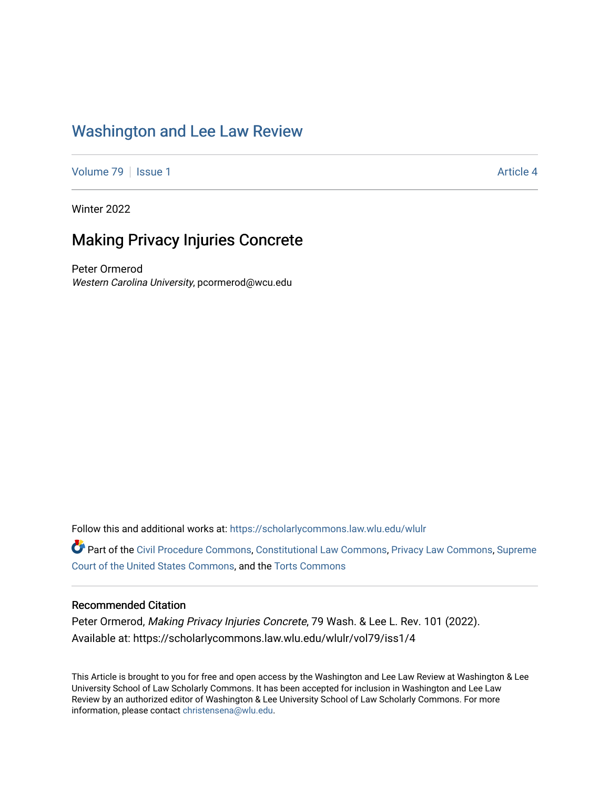# [Washington and Lee Law Review](https://scholarlycommons.law.wlu.edu/wlulr)

[Volume 79](https://scholarlycommons.law.wlu.edu/wlulr/vol79) | [Issue 1](https://scholarlycommons.law.wlu.edu/wlulr/vol79/iss1) Article 4

Winter 2022

# Making Privacy Injuries Concrete

Peter Ormerod Western Carolina University, pcormerod@wcu.edu

Follow this and additional works at: [https://scholarlycommons.law.wlu.edu/wlulr](https://scholarlycommons.law.wlu.edu/wlulr?utm_source=scholarlycommons.law.wlu.edu%2Fwlulr%2Fvol79%2Fiss1%2F4&utm_medium=PDF&utm_campaign=PDFCoverPages) 

Part of the [Civil Procedure Commons,](http://network.bepress.com/hgg/discipline/584?utm_source=scholarlycommons.law.wlu.edu%2Fwlulr%2Fvol79%2Fiss1%2F4&utm_medium=PDF&utm_campaign=PDFCoverPages) [Constitutional Law Commons](http://network.bepress.com/hgg/discipline/589?utm_source=scholarlycommons.law.wlu.edu%2Fwlulr%2Fvol79%2Fiss1%2F4&utm_medium=PDF&utm_campaign=PDFCoverPages), [Privacy Law Commons,](http://network.bepress.com/hgg/discipline/1234?utm_source=scholarlycommons.law.wlu.edu%2Fwlulr%2Fvol79%2Fiss1%2F4&utm_medium=PDF&utm_campaign=PDFCoverPages) [Supreme](http://network.bepress.com/hgg/discipline/1350?utm_source=scholarlycommons.law.wlu.edu%2Fwlulr%2Fvol79%2Fiss1%2F4&utm_medium=PDF&utm_campaign=PDFCoverPages)  [Court of the United States Commons](http://network.bepress.com/hgg/discipline/1350?utm_source=scholarlycommons.law.wlu.edu%2Fwlulr%2Fvol79%2Fiss1%2F4&utm_medium=PDF&utm_campaign=PDFCoverPages), and the [Torts Commons](http://network.bepress.com/hgg/discipline/913?utm_source=scholarlycommons.law.wlu.edu%2Fwlulr%2Fvol79%2Fiss1%2F4&utm_medium=PDF&utm_campaign=PDFCoverPages)

### Recommended Citation

Peter Ormerod, Making Privacy Injuries Concrete, 79 Wash. & Lee L. Rev. 101 (2022). Available at: https://scholarlycommons.law.wlu.edu/wlulr/vol79/iss1/4

This Article is brought to you for free and open access by the Washington and Lee Law Review at Washington & Lee University School of Law Scholarly Commons. It has been accepted for inclusion in Washington and Lee Law Review by an authorized editor of Washington & Lee University School of Law Scholarly Commons. For more information, please contact [christensena@wlu.edu](mailto:christensena@wlu.edu).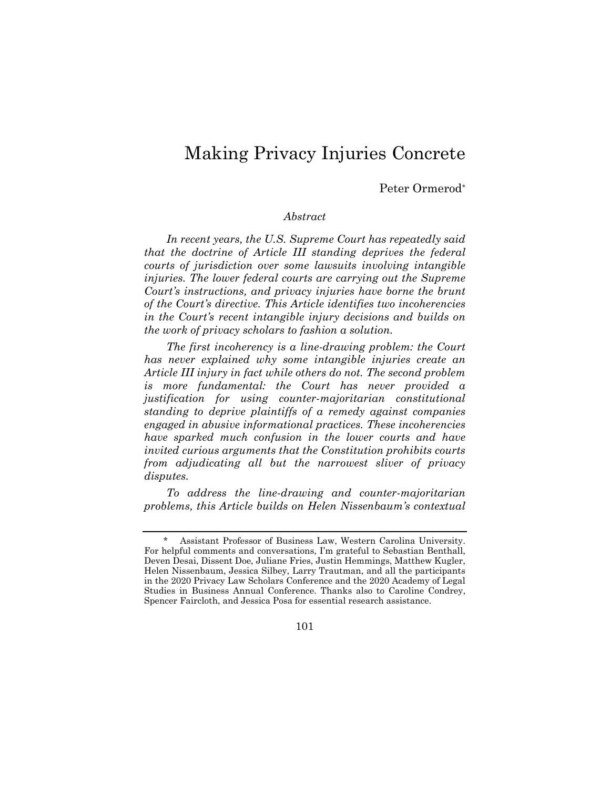# Making Privacy Injuries Concrete

Peter Ormerod\*

#### *Abstract*

*In recent years, the U.S. Supreme Court has repeatedly said that the doctrine of Article III standing deprives the federal courts of jurisdiction over some lawsuits involving intangible injuries. The lower federal courts are carrying out the Supreme Court's instructions, and privacy injuries have borne the brunt of the Court's directive. This Article identifies two incoherencies in the Court's recent intangible injury decisions and builds on the work of privacy scholars to fashion a solution.* 

*The first incoherency is a line-drawing problem: the Court has never explained why some intangible injuries create an Article III injury in fact while others do not. The second problem is more fundamental: the Court has never provided a justification for using counter-majoritarian constitutional standing to deprive plaintiffs of a remedy against companies engaged in abusive informational practices. These incoherencies have sparked much confusion in the lower courts and have invited curious arguments that the Constitution prohibits courts from adjudicating all but the narrowest sliver of privacy disputes.* 

*To address the line-drawing and counter-majoritarian problems, this Article builds on Helen Nissenbaum's contextual* 

101

Assistant Professor of Business Law, Western Carolina University. For helpful comments and conversations, I'm grateful to Sebastian Benthall, Deven Desai, Dissent Doe, Juliane Fries, Justin Hemmings, Matthew Kugler, Helen Nissenbaum, Jessica Silbey, Larry Trautman, and all the participants in the 2020 Privacy Law Scholars Conference and the 2020 Academy of Legal Studies in Business Annual Conference. Thanks also to Caroline Condrey, Spencer Faircloth, and Jessica Posa for essential research assistance.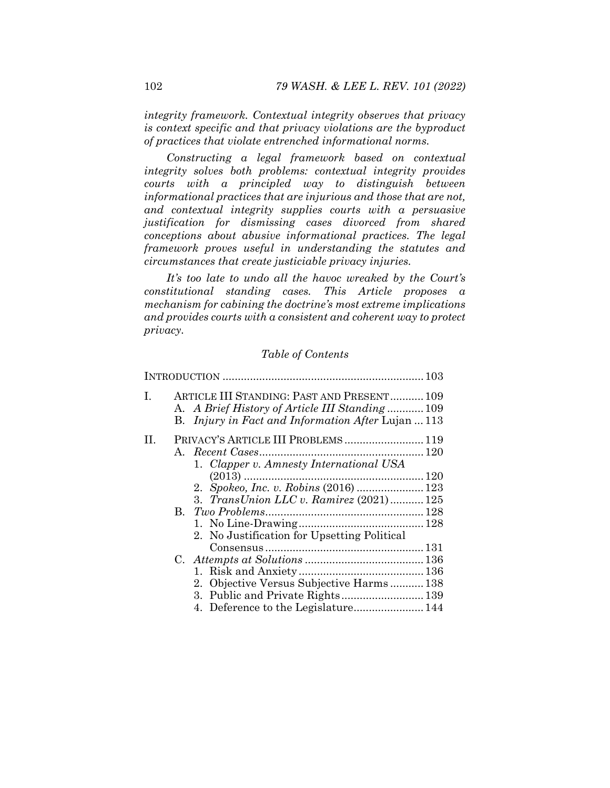*integrity framework. Contextual integrity observes that privacy is context specific and that privacy violations are the byproduct of practices that violate entrenched informational norms.* 

*Constructing a legal framework based on contextual integrity solves both problems: contextual integrity provides courts with a principled way to distinguish between informational practices that are injurious and those that are not, and contextual integrity supplies courts with a persuasive justification for dismissing cases divorced from shared conceptions about abusive informational practices. The legal framework proves useful in understanding the statutes and circumstances that create justiciable privacy injuries.* 

*It's too late to undo all the havoc wreaked by the Court's constitutional standing cases. This Article proposes a mechanism for cabining the doctrine's most extreme implications and provides courts with a consistent and coherent way to protect privacy.* 

#### *Table of Contents*

| L  | ARTICLE III STANDING: PAST AND PRESENT 109<br>A. A Brief History of Article III Standing 109<br>B. <i>Injury in Fact and Information After Lujan</i> 113 |  |
|----|----------------------------------------------------------------------------------------------------------------------------------------------------------|--|
| П. | PRIVACY'S ARTICLE III PROBLEMS 119<br>1. Clapper v. Amnesty International USA<br>3. TransUnion LLC v. Ramirez (2021) 125                                 |  |
|    | 2. No Justification for Upsetting Political                                                                                                              |  |
|    | 2. Objective Versus Subjective Harms138<br>3. Public and Private Rights 139                                                                              |  |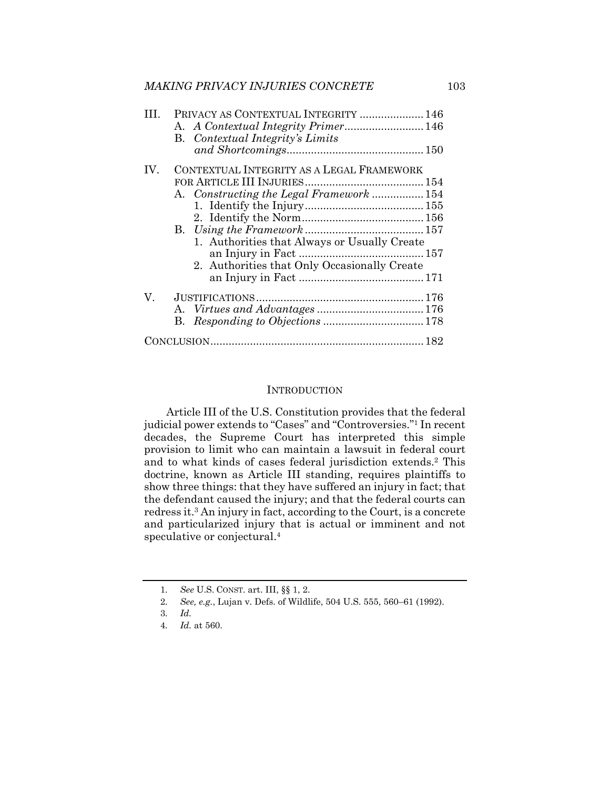| PRIVACY AS CONTEXTUAL INTEGRITY  146     |
|------------------------------------------|
| A. A Contextual Integrity Primer 146     |
|                                          |
|                                          |
|                                          |
|                                          |
| A. Constructing the Legal Framework  154 |
|                                          |
|                                          |
|                                          |
|                                          |
|                                          |
|                                          |
|                                          |
|                                          |
|                                          |
|                                          |
|                                          |
|                                          |

#### **INTRODUCTION**

Article III of the U.S. Constitution provides that the federal judicial power extends to "Cases" and "Controversies."1 In recent decades, the Supreme Court has interpreted this simple provision to limit who can maintain a lawsuit in federal court and to what kinds of cases federal jurisdiction extends.2 This doctrine, known as Article III standing, requires plaintiffs to show three things: that they have suffered an injury in fact; that the defendant caused the injury; and that the federal courts can redress it.3 An injury in fact, according to the Court, is a concrete and particularized injury that is actual or imminent and not speculative or conjectural.4

<sup>1</sup>*. See* U.S. CONST. art. III, §§ 1, 2.

<sup>2</sup>*. See, e.g.*, Lujan v. Defs. of Wildlife, 504 U.S. 555, 560–61 (1992).

<sup>3</sup>*. Id.*

<sup>4</sup>*. Id.* at 560.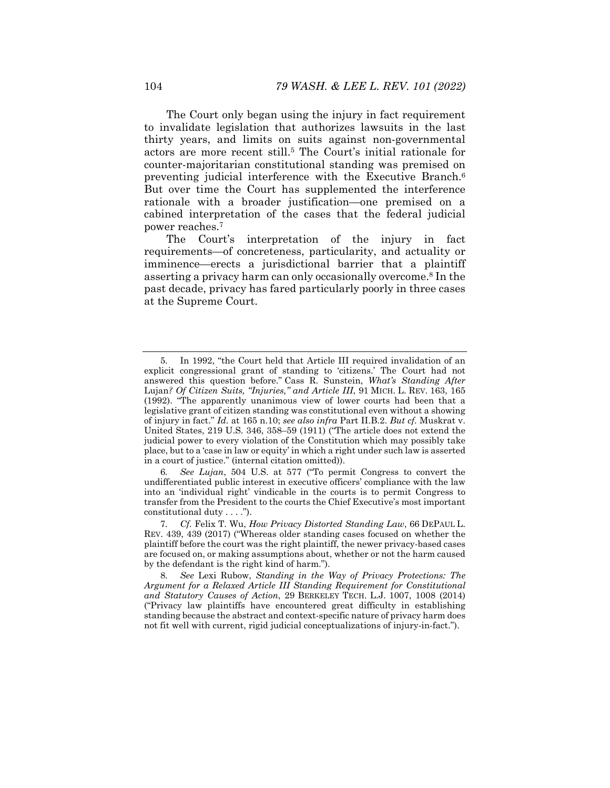The Court only began using the injury in fact requirement to invalidate legislation that authorizes lawsuits in the last thirty years, and limits on suits against non-governmental actors are more recent still.5 The Court's initial rationale for counter-majoritarian constitutional standing was premised on preventing judicial interference with the Executive Branch.6 But over time the Court has supplemented the interference rationale with a broader justification—one premised on a cabined interpretation of the cases that the federal judicial power reaches.7

The Court's interpretation of the injury in fact requirements—of concreteness, particularity, and actuality or imminence—erects a jurisdictional barrier that a plaintiff asserting a privacy harm can only occasionally overcome.8 In the past decade, privacy has fared particularly poorly in three cases at the Supreme Court.

6*. See Lujan*, 504 U.S. at 577 ("To permit Congress to convert the undifferentiated public interest in executive officers' compliance with the law into an 'individual right' vindicable in the courts is to permit Congress to transfer from the President to the courts the Chief Executive's most important constitutional duty . . . .").

<sup>5</sup>*.* In 1992, "the Court held that Article III required invalidation of an explicit congressional grant of standing to 'citizens.' The Court had not answered this question before." Cass R. Sunstein, *What's Standing After*  Lujan*? Of Citizen Suits, "Injuries," and Article III*, 91 MICH. L. REV. 163, 165 (1992). "The apparently unanimous view of lower courts had been that a legislative grant of citizen standing was constitutional even without a showing of injury in fact." *Id.* at 165 n.10; *see also infra* Part II.B.2. *But cf.* Muskrat v. United States, 219 U.S. 346, 358–59 (1911) ("The article does not extend the judicial power to every violation of the Constitution which may possibly take place, but to a 'case in law or equity' in which a right under such law is asserted in a court of justice." (internal citation omitted)).

<sup>7</sup>*. Cf.* Felix T. Wu, *How Privacy Distorted Standing Law*, 66 DEPAUL L. REV. 439, 439 (2017) ("Whereas older standing cases focused on whether the plaintiff before the court was the right plaintiff, the newer privacy-based cases are focused on, or making assumptions about, whether or not the harm caused by the defendant is the right kind of harm.").

<sup>8</sup>*. See* Lexi Rubow, *Standing in the Way of Privacy Protections: The Argument for a Relaxed Article III Standing Requirement for Constitutional and Statutory Causes of Action*, 29 BERKELEY TECH. L.J. 1007, 1008 (2014) ("Privacy law plaintiffs have encountered great difficulty in establishing standing because the abstract and context-specific nature of privacy harm does not fit well with current, rigid judicial conceptualizations of injury-in-fact.").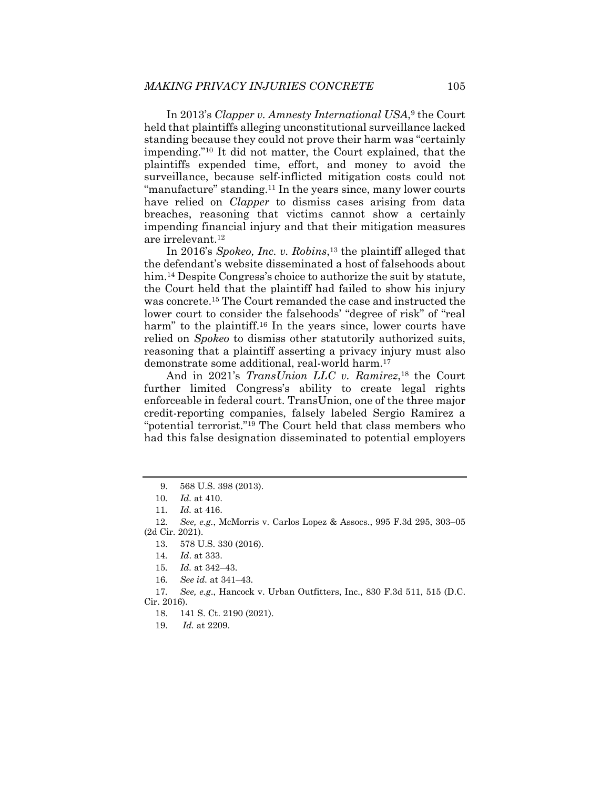In 2013's *Clapper v. Amnesty International USA*,9 the Court held that plaintiffs alleging unconstitutional surveillance lacked standing because they could not prove their harm was "certainly impending."10 It did not matter, the Court explained, that the plaintiffs expended time, effort, and money to avoid the surveillance, because self-inflicted mitigation costs could not "manufacture" standing.11 In the years since, many lower courts have relied on *Clapper* to dismiss cases arising from data breaches, reasoning that victims cannot show a certainly impending financial injury and that their mitigation measures are irrelevant.12

In 2016's *Spokeo, Inc. v. Robins*,13 the plaintiff alleged that the defendant's website disseminated a host of falsehoods about him.<sup>14</sup> Despite Congress's choice to authorize the suit by statute, the Court held that the plaintiff had failed to show his injury was concrete.15 The Court remanded the case and instructed the lower court to consider the falsehoods' "degree of risk" of "real harm" to the plaintiff.<sup>16</sup> In the years since, lower courts have relied on *Spokeo* to dismiss other statutorily authorized suits, reasoning that a plaintiff asserting a privacy injury must also demonstrate some additional, real-world harm.17

And in 2021's *TransUnion LLC v. Ramirez*<sup>18</sup> the Court further limited Congress's ability to create legal rights enforceable in federal court. TransUnion, one of the three major credit-reporting companies, falsely labeled Sergio Ramirez a "potential terrorist."19 The Court held that class members who had this false designation disseminated to potential employers

17*. See, e.g*., Hancock v. Urban Outfitters, Inc., 830 F.3d 511, 515 (D.C. Cir. 2016).

19. *Id.* at 2209.

 <sup>9. 568</sup> U.S. 398 (2013).

<sup>10</sup>*. Id.* at 410.

<sup>11</sup>*. Id.* at 416.

<sup>12</sup>*. See, e.g.*, McMorris v. Carlos Lopez & Assocs., 995 F.3d 295, 303–05 (2d Cir. 2021).

 <sup>13. 578</sup> U.S. 330 (2016).

<sup>14</sup>*. Id*. at 333.

<sup>15</sup>*. Id.* at 342–43.

<sup>16</sup>*. See id.* at 341–43.

 <sup>18. 141</sup> S. Ct. 2190 (2021).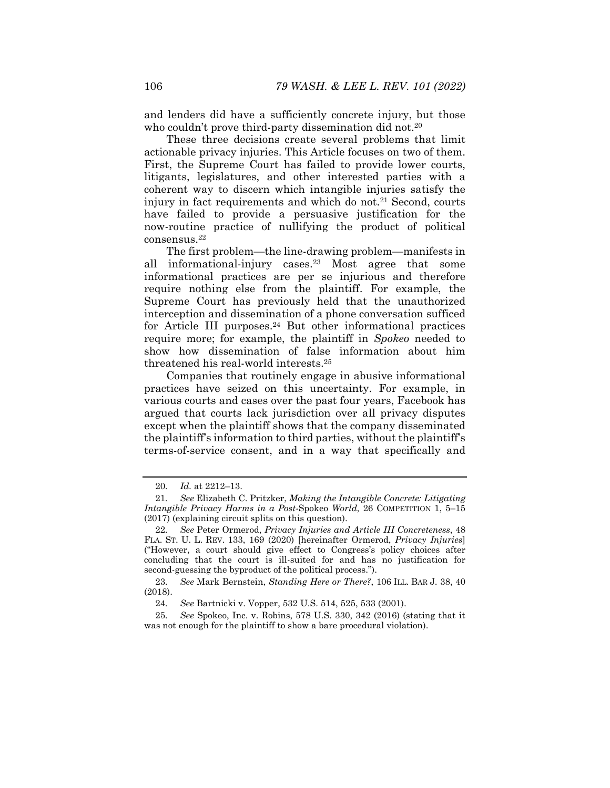and lenders did have a sufficiently concrete injury, but those who couldn't prove third-party dissemination did not.<sup>20</sup>

These three decisions create several problems that limit actionable privacy injuries. This Article focuses on two of them. First, the Supreme Court has failed to provide lower courts, litigants, legislatures, and other interested parties with a coherent way to discern which intangible injuries satisfy the injury in fact requirements and which do not.<sup>21</sup> Second, courts have failed to provide a persuasive justification for the now*-*routine practice of nullifying the product of political consensus.22

The first problem—the line-drawing problem—manifests in all informational-injury cases.23 Most agree that some informational practices are per se injurious and therefore require nothing else from the plaintiff. For example, the Supreme Court has previously held that the unauthorized interception and dissemination of a phone conversation sufficed for Article III purposes.<sup>24</sup> But other informational practices require more; for example, the plaintiff in *Spokeo* needed to show how dissemination of false information about him threatened his real-world interests.25

Companies that routinely engage in abusive informational practices have seized on this uncertainty. For example, in various courts and cases over the past four years, Facebook has argued that courts lack jurisdiction over all privacy disputes except when the plaintiff shows that the company disseminated the plaintiff's information to third parties, without the plaintiff's terms-of-service consent, and in a way that specifically and

<sup>20</sup>*. Id.* at 2212–13.

<sup>21</sup>*. See* Elizabeth C. Pritzker, *Making the Intangible Concrete: Litigating Intangible Privacy Harms in a Post-*Spokeo *World*, 26 COMPETITION 1, 5–15 (2017) (explaining circuit splits on this question).

<sup>22</sup>*. See* Peter Ormerod, *Privacy Injuries and Article III Concreteness*, 48 FLA. ST. U. L. REV. 133, 169 (2020) [hereinafter Ormerod, *Privacy Injuries*] ("However, a court should give effect to Congress's policy choices after concluding that the court is ill-suited for and has no justification for second-guessing the byproduct of the political process.").

<sup>23</sup>*. See* Mark Bernstein, *Standing Here or There?*, 106 ILL. BAR J. 38, 40 (2018).

<sup>24</sup>*. See* Bartnicki v. Vopper, 532 U.S. 514, 525, 533 (2001).

<sup>25</sup>*. See* Spokeo, Inc. v. Robins, 578 U.S. 330, 342 (2016) (stating that it was not enough for the plaintiff to show a bare procedural violation).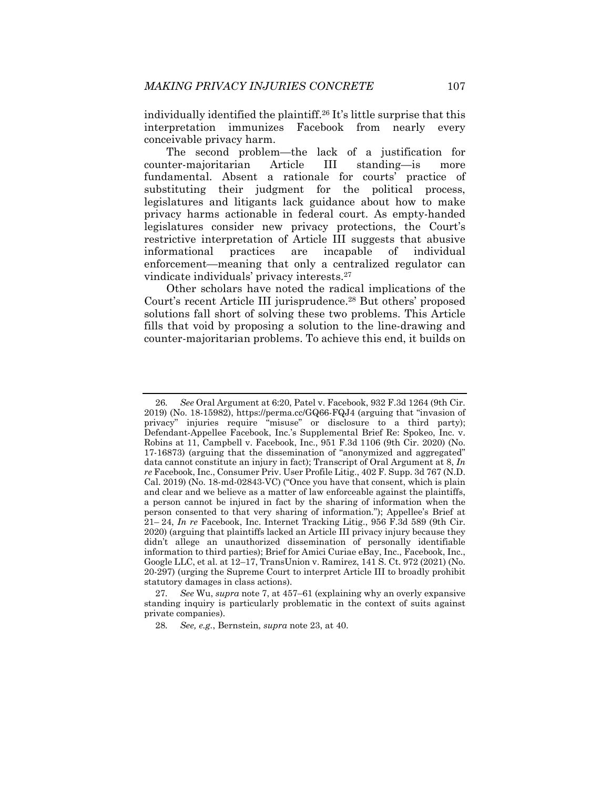individually identified the plaintiff.26 It's little surprise that this interpretation immunizes Facebook from nearly every conceivable privacy harm.

The second problem—the lack of a justification for counter-majoritarian Article III standing—is more fundamental. Absent a rationale for courts' practice of substituting their judgment for the political process, legislatures and litigants lack guidance about how to make privacy harms actionable in federal court. As empty-handed legislatures consider new privacy protections, the Court's restrictive interpretation of Article III suggests that abusive informational practices are incapable of individual enforcement—meaning that only a centralized regulator can vindicate individuals' privacy interests.27

Other scholars have noted the radical implications of the Court's recent Article III jurisprudence.28 But others' proposed solutions fall short of solving these two problems. This Article fills that void by proposing a solution to the line-drawing and counter-majoritarian problems. To achieve this end, it builds on

<sup>26</sup>*. See* Oral Argument at 6:20, Patel v. Facebook, 932 F.3d 1264 (9th Cir. 2019) (No. 18-15982), https://perma.cc/GQ66-FQJ4 (arguing that "invasion of privacy" injuries require "misuse" or disclosure to a third party); Defendant-Appellee Facebook, Inc.'s Supplemental Brief Re: Spokeo, Inc. v. Robins at 11, Campbell v. Facebook, Inc., 951 F.3d 1106 (9th Cir. 2020) (No. 17-16873) (arguing that the dissemination of "anonymized and aggregated" data cannot constitute an injury in fact); Transcript of Oral Argument at 8, *In re* Facebook, Inc., Consumer Priv. User Profile Litig., 402 F. Supp. 3d 767 (N.D. Cal. 2019) (No. 18-md-02843-VC) ("Once you have that consent, which is plain and clear and we believe as a matter of law enforceable against the plaintiffs, a person cannot be injured in fact by the sharing of information when the person consented to that very sharing of information."); Appellee's Brief at 21– 24, *In re* Facebook, Inc. Internet Tracking Litig., 956 F.3d 589 (9th Cir. 2020) (arguing that plaintiffs lacked an Article III privacy injury because they didn't allege an unauthorized dissemination of personally identifiable information to third parties); Brief for Amici Curiae eBay, Inc., Facebook, Inc., Google LLC, et al. at 12–17, TransUnion v. Ramirez, 141 S. Ct. 972 (2021) (No. 20-297) (urging the Supreme Court to interpret Article III to broadly prohibit statutory damages in class actions).

<sup>27</sup>*. See* Wu, *supra* note 7, at 457–61 (explaining why an overly expansive standing inquiry is particularly problematic in the context of suits against private companies).

<sup>28</sup>*. See, e.g.*, Bernstein, *supra* note 23, at 40.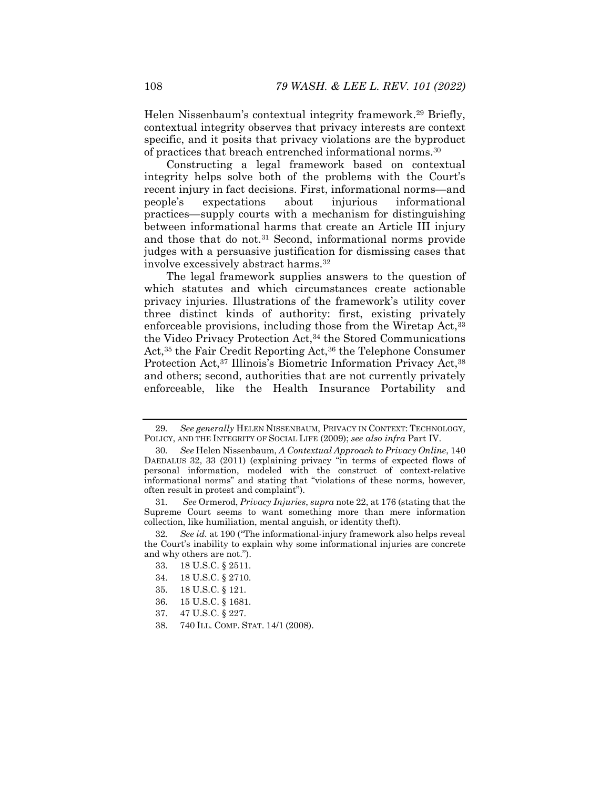Helen Nissenbaum's contextual integrity framework.29 Briefly, contextual integrity observes that privacy interests are context specific, and it posits that privacy violations are the byproduct of practices that breach entrenched informational norms.30

Constructing a legal framework based on contextual integrity helps solve both of the problems with the Court's recent injury in fact decisions. First, informational norms—and people's expectations about injurious informational practices—supply courts with a mechanism for distinguishing between informational harms that create an Article III injury and those that do not.<sup>31</sup> Second, informational norms provide judges with a persuasive justification for dismissing cases that involve excessively abstract harms.32

The legal framework supplies answers to the question of which statutes and which circumstances create actionable privacy injuries. Illustrations of the framework's utility cover three distinct kinds of authority: first, existing privately enforceable provisions, including those from the Wiretap Act,<sup>33</sup> the Video Privacy Protection Act,34 the Stored Communications Act,<sup>35</sup> the Fair Credit Reporting Act,<sup>36</sup> the Telephone Consumer Protection Act,<sup>37</sup> Illinois's Biometric Information Privacy Act,<sup>38</sup> and others; second, authorities that are not currently privately enforceable, like the Health Insurance Portability and

- 35. 18 U.S.C. § 121.
- 36. 15 U.S.C. § 1681.
- 37. 47 U.S.C. § 227.
- 38. 740 ILL. COMP. STAT. 14/1 (2008).

<sup>29</sup>*. See generally* HELEN NISSENBAUM, PRIVACY IN CONTEXT: TECHNOLOGY, POLICY, AND THE INTEGRITY OF SOCIAL LIFE (2009); *see also infra* Part IV.

<sup>30</sup>*. See* Helen Nissenbaum, *A Contextual Approach to Privacy Online*, 140 DAEDALUS 32, 33 (2011) (explaining privacy "in terms of expected flows of personal information, modeled with the construct of context-relative informational norms" and stating that "violations of these norms, however, often result in protest and complaint").

<sup>31</sup>*. See* Ormerod, *Privacy Injuries*, *supra* note 22, at 176 (stating that the Supreme Court seems to want something more than mere information collection, like humiliation, mental anguish, or identity theft).

<sup>32</sup>*. See id.* at 190 ("The informational-injury framework also helps reveal the Court's inability to explain why some informational injuries are concrete and why others are not.").

 <sup>33. 18</sup> U.S.C. § 2511.

 <sup>34. 18</sup> U.S.C. § 2710.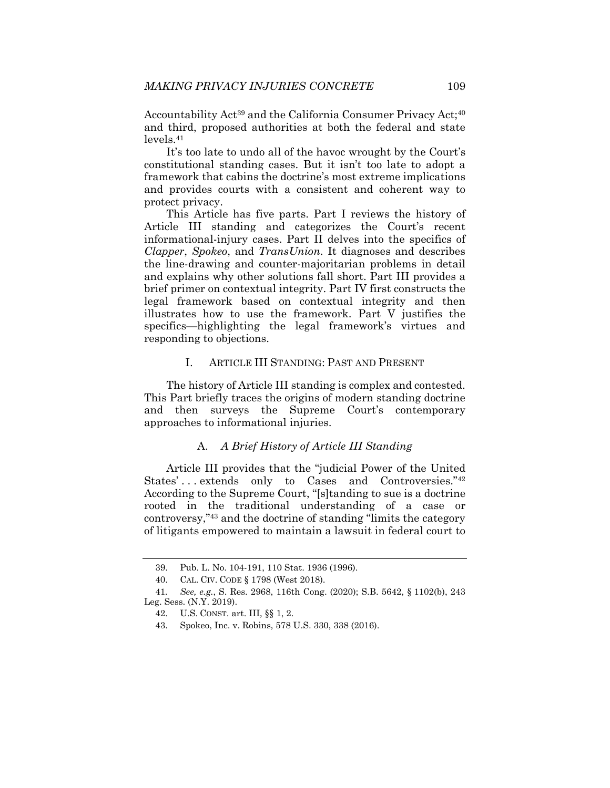Accountability Act<sup>39</sup> and the California Consumer Privacy Act;<sup>40</sup> and third, proposed authorities at both the federal and state levels.41

It's too late to undo all of the havoc wrought by the Court's constitutional standing cases. But it isn't too late to adopt a framework that cabins the doctrine's most extreme implications and provides courts with a consistent and coherent way to protect privacy.

This Article has five parts. Part I reviews the history of Article III standing and categorizes the Court's recent informational-injury cases. Part II delves into the specifics of *Clapper*, *Spokeo*, and *TransUnion*. It diagnoses and describes the line-drawing and counter-majoritarian problems in detail and explains why other solutions fall short. Part III provides a brief primer on contextual integrity. Part IV first constructs the legal framework based on contextual integrity and then illustrates how to use the framework. Part V justifies the specifics—highlighting the legal framework's virtues and responding to objections.

#### I. ARTICLE III STANDING: PAST AND PRESENT

The history of Article III standing is complex and contested. This Part briefly traces the origins of modern standing doctrine and then surveys the Supreme Court's contemporary approaches to informational injuries.

### A. *A Brief History of Article III Standing*

Article III provides that the "judicial Power of the United States'... extends only to Cases and Controversies."<sup>42</sup> According to the Supreme Court, "[s]tanding to sue is a doctrine rooted in the traditional understanding of a case or controversy,"43 and the doctrine of standing "limits the category of litigants empowered to maintain a lawsuit in federal court to

 <sup>39.</sup> Pub. L. No. 104-191, 110 Stat. 1936 (1996).

 <sup>40.</sup> CAL. CIV. CODE § 1798 (West 2018).

<sup>41</sup>*. See, e.g.*, S. Res. 2968, 116th Cong. (2020); S.B. 5642, § 1102(b), 243 Leg. Sess. (N.Y. 2019).

 <sup>42.</sup> U.S. CONST. art. III, §§ 1, 2.

 <sup>43.</sup> Spokeo, Inc. v. Robins, 578 U.S. 330, 338 (2016).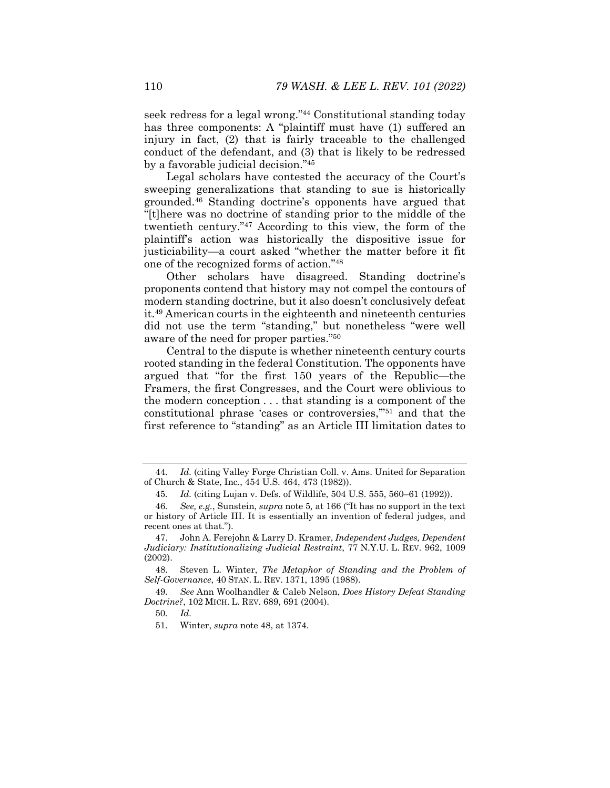seek redress for a legal wrong."44 Constitutional standing today has three components: A "plaintiff must have (1) suffered an injury in fact, (2) that is fairly traceable to the challenged conduct of the defendant, and (3) that is likely to be redressed by a favorable judicial decision."45

Legal scholars have contested the accuracy of the Court's sweeping generalizations that standing to sue is historically grounded.46 Standing doctrine's opponents have argued that "[t]here was no doctrine of standing prior to the middle of the twentieth century."47 According to this view, the form of the plaintiff's action was historically the dispositive issue for justiciability—a court asked "whether the matter before it fit one of the recognized forms of action."48

Other scholars have disagreed. Standing doctrine's proponents contend that history may not compel the contours of modern standing doctrine, but it also doesn't conclusively defeat it.49 American courts in the eighteenth and nineteenth centuries did not use the term "standing," but nonetheless "were well aware of the need for proper parties."50

Central to the dispute is whether nineteenth century courts rooted standing in the federal Constitution. The opponents have argued that "for the first 150 years of the Republic—the Framers, the first Congresses, and the Court were oblivious to the modern conception . . . that standing is a component of the constitutional phrase 'cases or controversies,'"51 and that the first reference to "standing" as an Article III limitation dates to

<sup>44</sup>*. Id.* (citing Valley Forge Christian Coll. v. Ams. United for Separation of Church & State, Inc*.*, 454 U.S. 464, 473 (1982)).

<sup>45</sup>*. Id.* (citing Lujan v. Defs. of Wildlife, 504 U.S. 555, 560–61 (1992)).

<sup>46</sup>*. See, e.g.*, Sunstein, *supra* note 5*,* at 166 ("It has no support in the text or history of Article III. It is essentially an invention of federal judges, and recent ones at that.").

 <sup>47.</sup> John A. Ferejohn & Larry D. Kramer, *Independent Judges, Dependent Judiciary: Institutionalizing Judicial Restraint*, 77 N.Y.U. L. REV. 962, 1009 (2002).

 <sup>48.</sup> Steven L. Winter, *The Metaphor of Standing and the Problem of Self-Governance*, 40 STAN. L. REV. 1371, 1395 (1988).

<sup>49</sup>*. See* Ann Woolhandler & Caleb Nelson, *Does History Defeat Standing Doctrine?*, 102 MICH. L. REV. 689, 691 (2004).

<sup>50</sup>*. Id.*

 <sup>51.</sup> Winter, *supra* note 48, at 1374.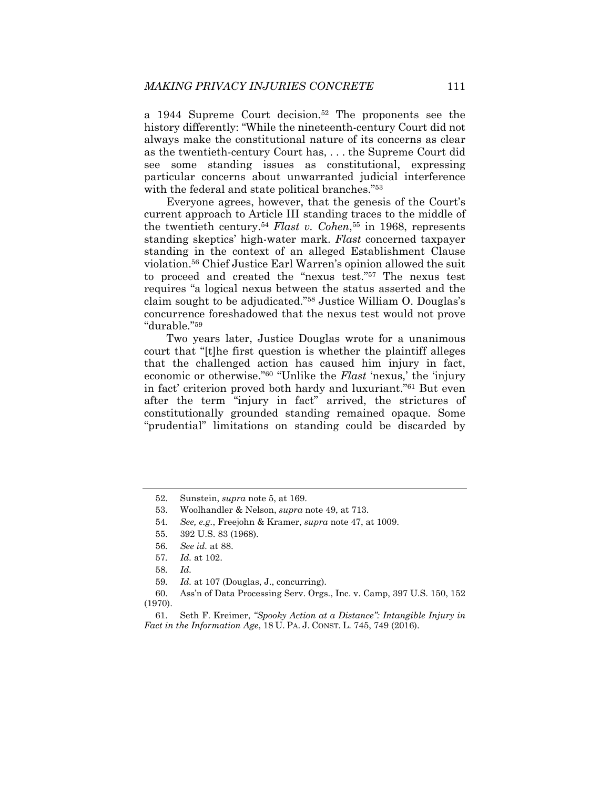a 1944 Supreme Court decision.52 The proponents see the history differently: "While the nineteenth-century Court did not always make the constitutional nature of its concerns as clear as the twentieth-century Court has, . . . the Supreme Court did see some standing issues as constitutional, expressing particular concerns about unwarranted judicial interference with the federal and state political branches."<sup>53</sup>

Everyone agrees, however, that the genesis of the Court's current approach to Article III standing traces to the middle of the twentieth century.54 *Flast v. Cohen*,55 in 1968, represents standing skeptics' high-water mark. *Flast* concerned taxpayer standing in the context of an alleged Establishment Clause violation.56 Chief Justice Earl Warren's opinion allowed the suit to proceed and created the "nexus test."57 The nexus test requires "a logical nexus between the status asserted and the claim sought to be adjudicated."58 Justice William O. Douglas's concurrence foreshadowed that the nexus test would not prove "durable."59

Two years later, Justice Douglas wrote for a unanimous court that "[t]he first question is whether the plaintiff alleges that the challenged action has caused him injury in fact, economic or otherwise."60 "Unlike the *Flast* 'nexus,' the 'injury in fact' criterion proved both hardy and luxuriant."61 But even after the term "injury in fact" arrived, the strictures of constitutionally grounded standing remained opaque. Some "prudential" limitations on standing could be discarded by

 60. Ass'n of Data Processing Serv. Orgs., Inc. v. Camp, 397 U.S. 150, 152 (1970).

 <sup>52.</sup> Sunstein, *supra* note 5, at 169.

 <sup>53.</sup> Woolhandler & Nelson, *supra* note 49, at 713.

<sup>54</sup>*. See, e.g.*, Freejohn & Kramer, *supra* note 47, at 1009.

 <sup>55. 392</sup> U.S. 83 (1968).

<sup>56</sup>*. See id.* at 88.

<sup>57</sup>*. Id.* at 102.

<sup>58</sup>*. Id.*

<sup>59</sup>*. Id.* at 107 (Douglas, J., concurring).

 <sup>61.</sup> Seth F. Kreimer, *"Spooky Action at a Distance": Intangible Injury in Fact in the Information Age*, 18 U. PA. J. CONST. L. 745, 749 (2016).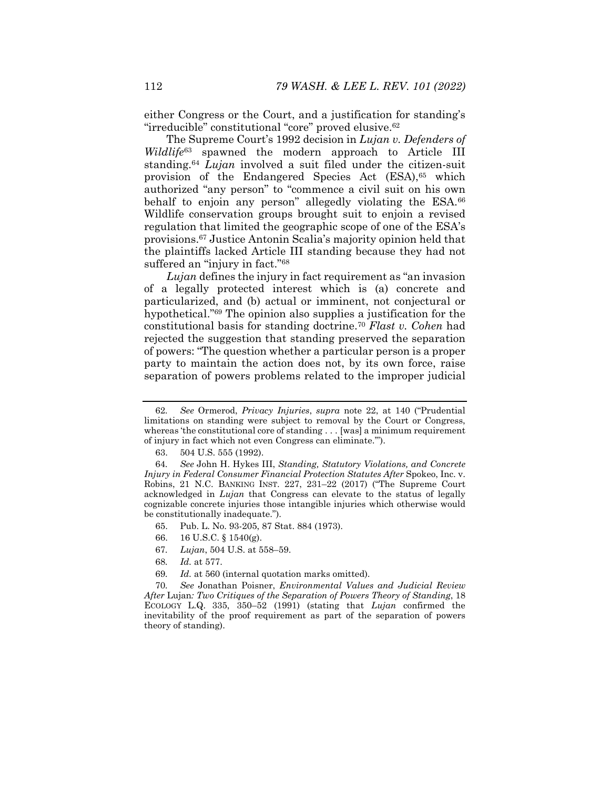either Congress or the Court, and a justification for standing's "irreducible" constitutional "core" proved elusive.<sup>62</sup>

The Supreme Court's 1992 decision in *Lujan v. Defenders of Wildlife*63 spawned the modern approach to Article III standing.64 *Lujan* involved a suit filed under the citizen-suit provision of the Endangered Species Act (ESA),<sup>65</sup> which authorized "any person" to "commence a civil suit on his own behalf to enjoin any person" allegedly violating the ESA.<sup>66</sup> Wildlife conservation groups brought suit to enjoin a revised regulation that limited the geographic scope of one of the ESA's provisions.67 Justice Antonin Scalia's majority opinion held that the plaintiffs lacked Article III standing because they had not suffered an "injury in fact."68

*Lujan* defines the injury in fact requirement as "an invasion of a legally protected interest which is (a) concrete and particularized, and (b) actual or imminent, not conjectural or hypothetical."69 The opinion also supplies a justification for the constitutional basis for standing doctrine.70 *Flast v. Cohen* had rejected the suggestion that standing preserved the separation of powers: "The question whether a particular person is a proper party to maintain the action does not, by its own force, raise separation of powers problems related to the improper judicial

- 65. Pub. L. No. 93-205, 87 Stat. 884 (1973).
- 66. 16 U.S.C. § 1540(g).
- 67*. Lujan*, 504 U.S. at 558–59.
- 68*. Id.* at 577.
- 69*. Id.* at 560 (internal quotation marks omitted).

70*. See* Jonathan Poisner, *Environmental Values and Judicial Review After* Lujan*: Two Critiques of the Separation of Powers Theory of Standing*, 18 ECOLOGY L.Q. 335, 350–52 (1991) (stating that *Lujan* confirmed the inevitability of the proof requirement as part of the separation of powers theory of standing).

<sup>62</sup>*. See* Ormerod, *Privacy Injuries*, *supra* note 22, at 140 ("Prudential limitations on standing were subject to removal by the Court or Congress, whereas 'the constitutional core of standing . . . [was] a minimum requirement of injury in fact which not even Congress can eliminate.'").

 <sup>63. 504</sup> U.S. 555 (1992).

<sup>64</sup>*. See* John H. Hykes III, *Standing, Statutory Violations, and Concrete Injury in Federal Consumer Financial Protection Statutes After Spokeo, Inc. v.* Robins, 21 N.C. BANKING INST. 227, 231–22 (2017) ("The Supreme Court acknowledged in *Lujan* that Congress can elevate to the status of legally cognizable concrete injuries those intangible injuries which otherwise would be constitutionally inadequate.").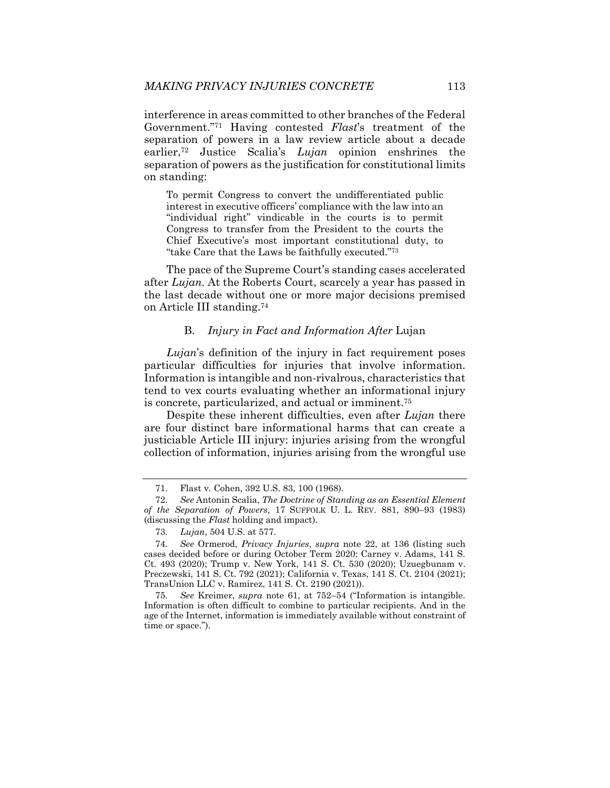interference in areas committed to other branches of the Federal Government."71 Having contested *Flast*'s treatment of the separation of powers in a law review article about a decade earlier,72 Justice Scalia's *Lujan* opinion enshrines the separation of powers as the justification for constitutional limits on standing:

To permit Congress to convert the undifferentiated public interest in executive officers' compliance with the law into an "individual right" vindicable in the courts is to permit Congress to transfer from the President to the courts the Chief Executive's most important constitutional duty, to "take Care that the Laws be faithfully executed."73

The pace of the Supreme Court's standing cases accelerated after *Lujan*. At the Roberts Court, scarcely a year has passed in the last decade without one or more major decisions premised on Article III standing.74

#### B. *Injury in Fact and Information After* Lujan

*Lujan*'s definition of the injury in fact requirement poses particular difficulties for injuries that involve information. Information is intangible and non-rivalrous, characteristics that tend to vex courts evaluating whether an informational injury is concrete, particularized, and actual or imminent.75

Despite these inherent difficulties, even after *Lujan* there are four distinct bare informational harms that can create a justiciable Article III injury: injuries arising from the wrongful collection of information, injuries arising from the wrongful use

75*. See* Kreimer, *supra* note 61, at 752–54 ("Information is intangible. Information is often difficult to combine to particular recipients. And in the age of the Internet, information is immediately available without constraint of time or space.").

 <sup>71.</sup> Flast v. Cohen, 392 U.S. 83, 100 (1968).

<sup>72</sup>*. See* Antonin Scalia, *The Doctrine of Standing as an Essential Element of the Separation of Powers*, 17 SUFFOLK U. L. REV. 881, 890–93 (1983) (discussing the *Flast* holding and impact).

<sup>73</sup>*. Lujan*, 504 U.S. at 577.

<sup>74</sup>*. See* Ormerod, *Privacy Injuries*, *supra* note 22, at 136 (listing such cases decided before or during October Term 2020: Carney v. Adams, 141 S. Ct. 493 (2020); Trump v. New York, 141 S. Ct. 530 (2020); Uzuegbunam v. Preczewski, 141 S. Ct. 792 (2021); California v. Texas, 141 S. Ct. 2104 (2021); TransUnion LLC v. Ramirez, 141 S. Ct. 2190 (2021)).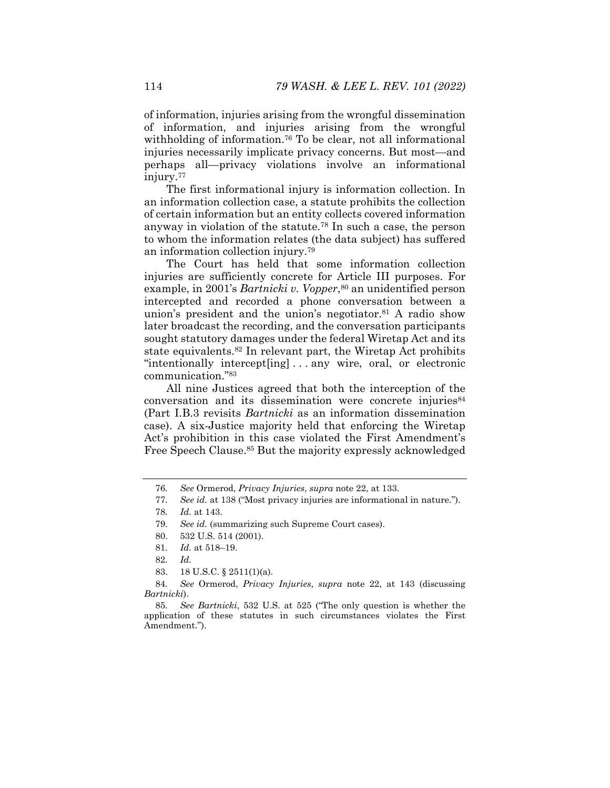of information, injuries arising from the wrongful dissemination of information, and injuries arising from the wrongful withholding of information.<sup>76</sup> To be clear, not all informational injuries necessarily implicate privacy concerns. But most—and perhaps all—privacy violations involve an informational injury.77

The first informational injury is information collection. In an information collection case, a statute prohibits the collection of certain information but an entity collects covered information anyway in violation of the statute.78 In such a case, the person to whom the information relates (the data subject) has suffered an information collection injury.79

The Court has held that some information collection injuries are sufficiently concrete for Article III purposes. For example, in 2001's *Bartnicki v. Vopper*,80 an unidentified person intercepted and recorded a phone conversation between a union's president and the union's negotiator.<sup>81</sup> A radio show later broadcast the recording, and the conversation participants sought statutory damages under the federal Wiretap Act and its state equivalents.82 In relevant part, the Wiretap Act prohibits "intentionally intercept[ing] . . . any wire, oral, or electronic communication."83

All nine Justices agreed that both the interception of the conversation and its dissemination were concrete injuries<sup>84</sup> (Part I.B.3 revisits *Bartnicki* as an information dissemination case). A six-Justice majority held that enforcing the Wiretap Act's prohibition in this case violated the First Amendment's Free Speech Clause.<sup>85</sup> But the majority expressly acknowledged

<sup>76</sup>*. See* Ormerod, *Privacy Injuries*, *supra* note 22, at 133.

<sup>77</sup>*. See id.* at 138 ("Most privacy injuries are informational in nature.").

<sup>78</sup>*. Id.* at 143.

<sup>79</sup>*. See id.* (summarizing such Supreme Court cases).

 <sup>80. 532</sup> U.S. 514 (2001).

<sup>81</sup>*. Id.* at 518–19.

<sup>82</sup>*. Id.*

 <sup>83. 18</sup> U.S.C. § 2511(1)(a).

<sup>84</sup>*. See* Ormerod, *Privacy Injuries*, *supra* note 22, at 143 (discussing *Bartnicki*).

<sup>85</sup>*. See Bartnicki*, 532 U.S. at 525 ("The only question is whether the application of these statutes in such circumstances violates the First Amendment.").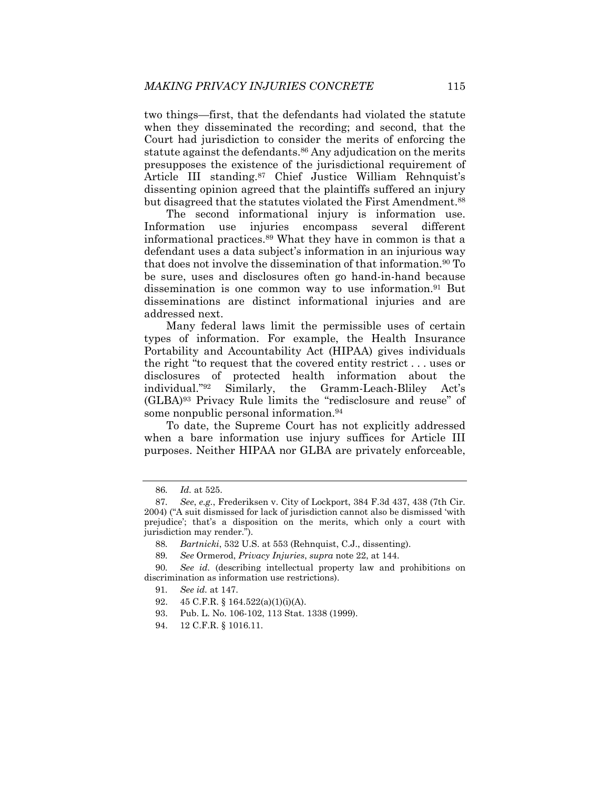two things—first, that the defendants had violated the statute when they disseminated the recording; and second, that the Court had jurisdiction to consider the merits of enforcing the statute against the defendants.<sup>86</sup> Any adjudication on the merits presupposes the existence of the jurisdictional requirement of Article III standing.87 Chief Justice William Rehnquist's dissenting opinion agreed that the plaintiffs suffered an injury but disagreed that the statutes violated the First Amendment.<sup>88</sup>

The second informational injury is information use. Information use injuries encompass several different informational practices.89 What they have in common is that a defendant uses a data subject's information in an injurious way that does not involve the dissemination of that information.90 To be sure, uses and disclosures often go hand-in-hand because dissemination is one common way to use information.91 But disseminations are distinct informational injuries and are addressed next.

Many federal laws limit the permissible uses of certain types of information. For example, the Health Insurance Portability and Accountability Act (HIPAA) gives individuals the right "to request that the covered entity restrict . . . uses or disclosures of protected health information about the individual."<sup>92</sup> Similarly, the Gramm-Leach-Bliley Act's Similarly, the Gramm-Leach-Bliley Act's (GLBA)93 Privacy Rule limits the "redisclosure and reuse" of some nonpublic personal information.<sup>94</sup>

To date, the Supreme Court has not explicitly addressed when a bare information use injury suffices for Article III purposes. Neither HIPAA nor GLBA are privately enforceable,

<sup>86</sup>*. Id.* at 525.

<sup>87</sup>*. See*, *e.g.*, Frederiksen v. City of Lockport, 384 F.3d 437, 438 (7th Cir. 2004) ("A suit dismissed for lack of jurisdiction cannot also be dismissed 'with prejudice'; that's a disposition on the merits, which only a court with jurisdiction may render.").

<sup>88</sup>*. Bartnicki*, 532 U.S. at 553 (Rehnquist, C.J., dissenting).

<sup>89</sup>*. See* Ormerod, *Privacy Injuries*, *supra* note 22, at 144.

<sup>90</sup>*. See id.* (describing intellectual property law and prohibitions on discrimination as information use restrictions).

<sup>91</sup>*. See id.* at 147.

 <sup>92. 45</sup> C.F.R. § 164.522(a)(1)(i)(A).

 <sup>93.</sup> Pub. L. No. 106-102, 113 Stat. 1338 (1999).

 <sup>94. 12</sup> C.F.R. § 1016.11.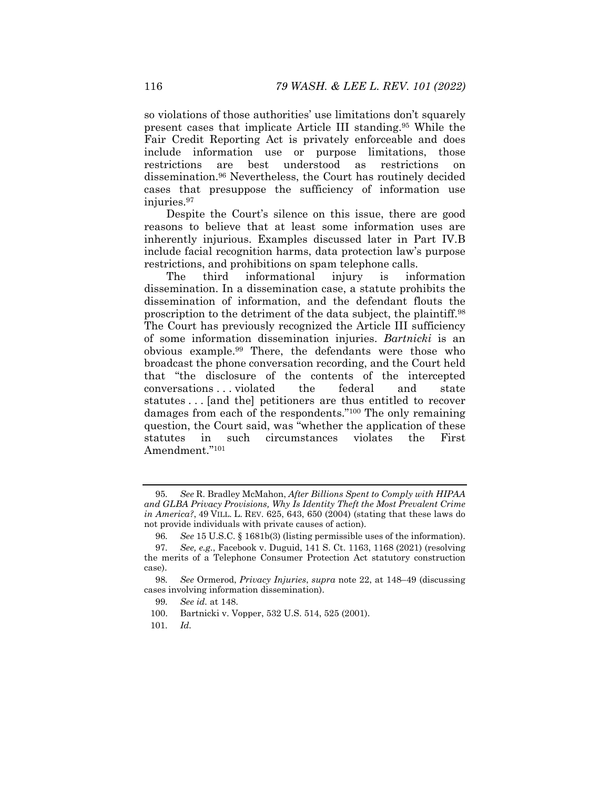so violations of those authorities' use limitations don't squarely present cases that implicate Article III standing.95 While the Fair Credit Reporting Act is privately enforceable and does include information use or purpose limitations, those restrictions are best understood as restrictions on dissemination.96 Nevertheless, the Court has routinely decided cases that presuppose the sufficiency of information use injuries.97

Despite the Court's silence on this issue, there are good reasons to believe that at least some information uses are inherently injurious. Examples discussed later in Part IV.B include facial recognition harms, data protection law's purpose restrictions, and prohibitions on spam telephone calls.

The third informational injury is information dissemination. In a dissemination case, a statute prohibits the dissemination of information, and the defendant flouts the proscription to the detriment of the data subject, the plaintiff.98 The Court has previously recognized the Article III sufficiency of some information dissemination injuries. *Bartnicki* is an obvious example.99 There, the defendants were those who broadcast the phone conversation recording, and the Court held that "the disclosure of the contents of the intercepted conversations . . . violated the federal and state statutes . . . [and the] petitioners are thus entitled to recover damages from each of the respondents."100 The only remaining question, the Court said, was "whether the application of these statutes in such circumstances violates the First Amendment."101

101*. Id.*

<sup>95</sup>*. See* R. Bradley McMahon, *After Billions Spent to Comply with HIPAA and GLBA Privacy Provisions, Why Is Identity Theft the Most Prevalent Crime in America?*, 49 VILL. L. REV. 625, 643, 650 (2004) (stating that these laws do not provide individuals with private causes of action).

<sup>96</sup>*. See* 15 U.S.C. § 1681b(3) (listing permissible uses of the information).

<sup>97</sup>*. See, e.g.*, Facebook v. Duguid, 141 S. Ct. 1163, 1168 (2021) (resolving the merits of a Telephone Consumer Protection Act statutory construction case).

<sup>98</sup>*. See* Ormerod, *Privacy Injuries*, *supra* note 22, at 148–49 (discussing cases involving information dissemination).

<sup>99</sup>*. See id.* at 148.

 <sup>100.</sup> Bartnicki v. Vopper, 532 U.S. 514, 525 (2001).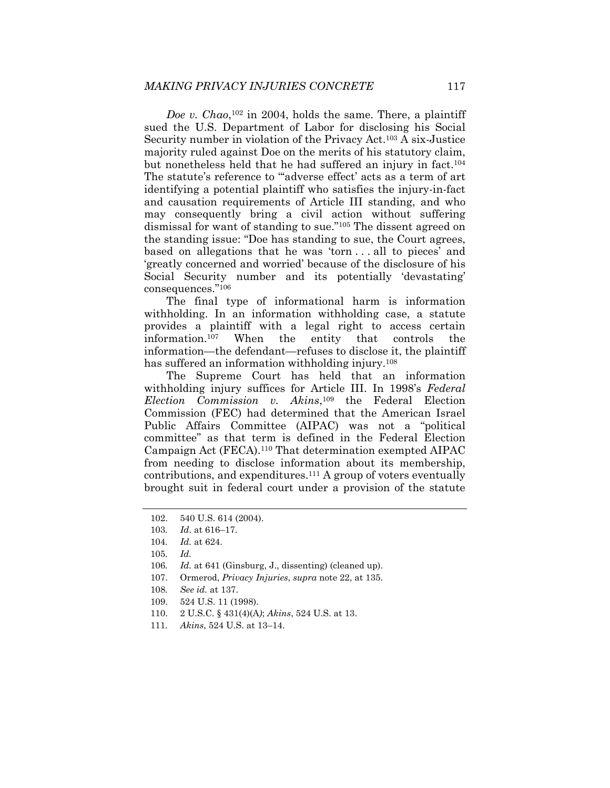*Doe v. Chao*,102 in 2004, holds the same. There, a plaintiff sued the U.S. Department of Labor for disclosing his Social Security number in violation of the Privacy Act.103 A six-Justice majority ruled against Doe on the merits of his statutory claim, but nonetheless held that he had suffered an injury in fact.104 The statute's reference to ""adverse effect' acts as a term of art identifying a potential plaintiff who satisfies the injury-in-fact and causation requirements of Article III standing, and who may consequently bring a civil action without suffering dismissal for want of standing to sue."105 The dissent agreed on the standing issue: "Doe has standing to sue, the Court agrees, based on allegations that he was 'torn . . . all to pieces' and 'greatly concerned and worried' because of the disclosure of his Social Security number and its potentially 'devastating' consequences."106

The final type of informational harm is information withholding. In an information withholding case, a statute provides a plaintiff with a legal right to access certain information.107 When the entity that controls the information—the defendant—refuses to disclose it, the plaintiff has suffered an information withholding injury.<sup>108</sup>

The Supreme Court has held that an information withholding injury suffices for Article III. In 1998's *Federal Election Commission v. Akins*,109 the Federal Election Commission (FEC) had determined that the American Israel Public Affairs Committee (AIPAC) was not a "political committee" as that term is defined in the Federal Election Campaign Act (FECA).110 That determination exempted AIPAC from needing to disclose information about its membership, contributions, and expenditures.111 A group of voters eventually brought suit in federal court under a provision of the statute

- 107. Ormerod, *Privacy Injuries*, *supra* note 22, at 135.
- 108*. See id.* at 137.
- 109. 524 U.S. 11 (1998).
- 110. 2 U.S.C. § 431(4)(A*)*; *Akins*, 524 U.S. at 13.
- 111*. Akins*, 524 U.S. at 13–14.

 <sup>102. 540</sup> U.S. 614 (2004).

<sup>103</sup>*. Id*. at 616–17.

<sup>104</sup>*. Id.* at 624.

<sup>105</sup>*. Id.*

<sup>106</sup>*. Id.* at 641 (Ginsburg, J., dissenting) (cleaned up).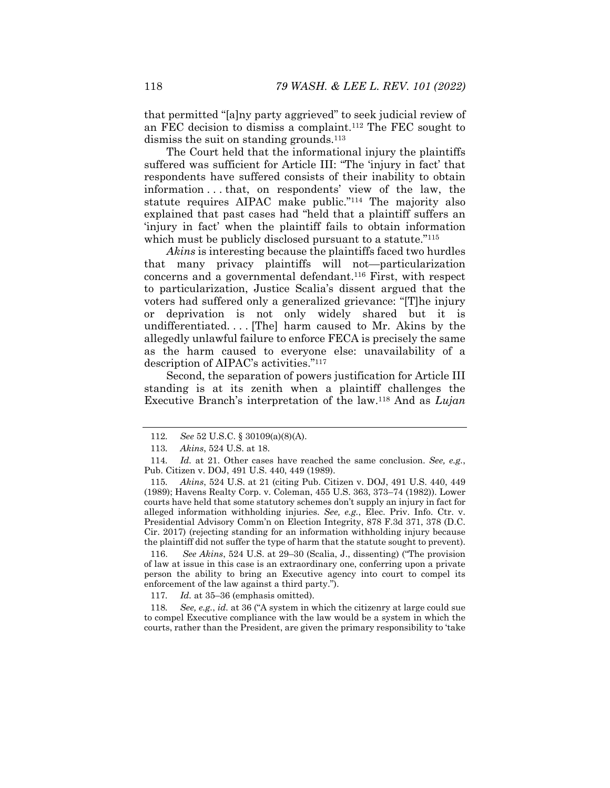that permitted "[a]ny party aggrieved" to seek judicial review of an FEC decision to dismiss a complaint.112 The FEC sought to dismiss the suit on standing grounds.<sup>113</sup>

The Court held that the informational injury the plaintiffs suffered was sufficient for Article III: "The 'injury in fact' that respondents have suffered consists of their inability to obtain information . . . that, on respondents' view of the law, the statute requires AIPAC make public."114 The majority also explained that past cases had "held that a plaintiff suffers an 'injury in fact' when the plaintiff fails to obtain information which must be publicly disclosed pursuant to a statute.<sup>"115</sup>

*Akins* is interesting because the plaintiffs faced two hurdles that many privacy plaintiffs will not—particularization concerns and a governmental defendant.116 First, with respect to particularization, Justice Scalia's dissent argued that the voters had suffered only a generalized grievance: "[T]he injury or deprivation is not only widely shared but it is undifferentiated. . . . [The] harm caused to Mr. Akins by the allegedly unlawful failure to enforce FECA is precisely the same as the harm caused to everyone else: unavailability of a description of AIPAC's activities."117

Second, the separation of powers justification for Article III standing is at its zenith when a plaintiff challenges the Executive Branch's interpretation of the law.118 And as *Lujan*

115*. Akins*, 524 U.S. at 21 (citing Pub. Citizen v. DOJ, 491 U.S. 440, 449 (1989); Havens Realty Corp. v. Coleman, 455 U.S. 363, 373–74 (1982)). Lower courts have held that some statutory schemes don't supply an injury in fact for alleged information withholding injuries. *See, e.g.*, Elec. Priv. Info. Ctr. v. Presidential Advisory Comm'n on Election Integrity, 878 F.3d 371, 378 (D.C. Cir. 2017) (rejecting standing for an information withholding injury because the plaintiff did not suffer the type of harm that the statute sought to prevent).

 116. *See Akins*, 524 U.S. at 29–30 (Scalia, J., dissenting) ("The provision of law at issue in this case is an extraordinary one, conferring upon a private person the ability to bring an Executive agency into court to compel its enforcement of the law against a third party.").

117*. Id.* at 35–36 (emphasis omitted).

118*. See, e.g.*, *id.* at 36 ("A system in which the citizenry at large could sue to compel Executive compliance with the law would be a system in which the courts, rather than the President, are given the primary responsibility to 'take

<sup>112</sup>*. See* 52 U.S.C. § 30109(a)(8)(A).

<sup>113</sup>*. Akins*, 524 U.S. at 18.

<sup>114</sup>*. Id.* at 21. Other cases have reached the same conclusion. *See, e.g.*, Pub. Citizen v. DOJ, 491 U.S. 440, 449 (1989).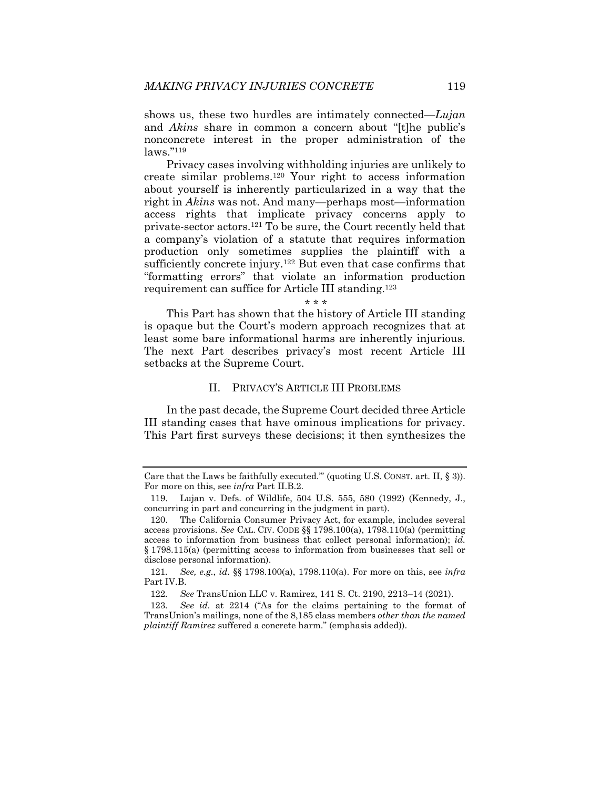shows us, these two hurdles are intimately connected—*Lujan* and *Akins* share in common a concern about "[t]he public's nonconcrete interest in the proper administration of the laws."119

Privacy cases involving withholding injuries are unlikely to create similar problems.120 Your right to access information about yourself is inherently particularized in a way that the right in *Akins* was not. And many—perhaps most—information access rights that implicate privacy concerns apply to private-sector actors.121 To be sure, the Court recently held that a company's violation of a statute that requires information production only sometimes supplies the plaintiff with a sufficiently concrete injury.<sup>122</sup> But even that case confirms that "formatting errors" that violate an information production requirement can suffice for Article III standing.123

\* \* \*

This Part has shown that the history of Article III standing is opaque but the Court's modern approach recognizes that at least some bare informational harms are inherently injurious. The next Part describes privacy's most recent Article III setbacks at the Supreme Court.

## II. PRIVACY'S ARTICLE III PROBLEMS

In the past decade, the Supreme Court decided three Article III standing cases that have ominous implications for privacy. This Part first surveys these decisions; it then synthesizes the

Care that the Laws be faithfully executed.'" (quoting U.S. CONST. art. II, § 3)). For more on this, see *infra* Part II.B.2.

 <sup>119.</sup> Lujan v. Defs. of Wildlife, 504 U.S. 555, 580 (1992) (Kennedy, J., concurring in part and concurring in the judgment in part).

 <sup>120.</sup> The California Consumer Privacy Act, for example, includes several access provisions. *See* CAL. CIV. CODE §§ 1798.100(a), 1798.110(a) (permitting access to information from business that collect personal information); *id.*  § 1798.115(a) (permitting access to information from businesses that sell or disclose personal information).

<sup>121</sup>*. See, e.g.*, *id.* §§ 1798.100(a), 1798.110(a). For more on this, see *infra* Part IV.B.

<sup>122</sup>*. See* TransUnion LLC v. Ramirez, 141 S. Ct. 2190, 2213–14 (2021).

<sup>123</sup>*. See id.* at 2214 ("As for the claims pertaining to the format of TransUnion's mailings, none of the 8,185 class members *other than the named plaintiff Ramirez* suffered a concrete harm." (emphasis added)).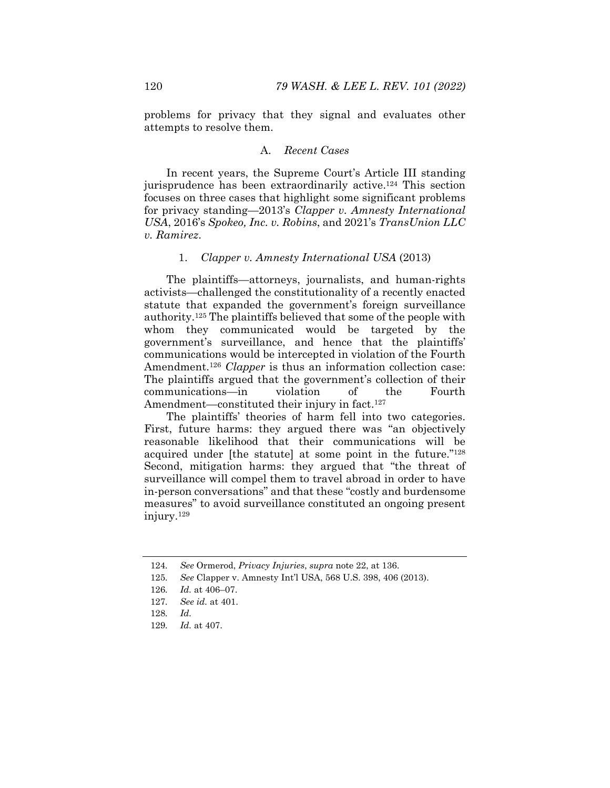problems for privacy that they signal and evaluates other attempts to resolve them.

#### A. *Recent Cases*

In recent years, the Supreme Court's Article III standing jurisprudence has been extraordinarily active.<sup>124</sup> This section focuses on three cases that highlight some significant problems for privacy standing—2013's *Clapper v. Amnesty International USA*, 2016's *Spokeo, Inc. v. Robins*, and 2021's *TransUnion LLC v. Ramirez*.

#### 1. *Clapper v. Amnesty International USA* (2013)

The plaintiffs—attorneys, journalists, and human-rights activists—challenged the constitutionality of a recently enacted statute that expanded the government's foreign surveillance authority.125 The plaintiffs believed that some of the people with whom they communicated would be targeted by the government's surveillance, and hence that the plaintiffs' communications would be intercepted in violation of the Fourth Amendment.<sup>126</sup> *Clapper* is thus an information collection case: The plaintiffs argued that the government's collection of their communications—in violation of the Fourth Amendment—constituted their injury in fact.<sup>127</sup>

The plaintiffs' theories of harm fell into two categories. First, future harms: they argued there was "an objectively reasonable likelihood that their communications will be acquired under [the statute] at some point in the future."128 Second, mitigation harms: they argued that "the threat of surveillance will compel them to travel abroad in order to have in-person conversations" and that these "costly and burdensome measures" to avoid surveillance constituted an ongoing present injury.129

<sup>124</sup>*. See* Ormerod, *Privacy Injuries*, *supra* note 22, at 136.

<sup>125</sup>*. See* Clapper v. Amnesty Int'l USA, 568 U.S. 398, 406 (2013).

<sup>126</sup>*. Id.* at 406–07.

<sup>127</sup>*. See id.* at 401.

<sup>128</sup>*. Id.*

<sup>129</sup>*. Id.* at 407.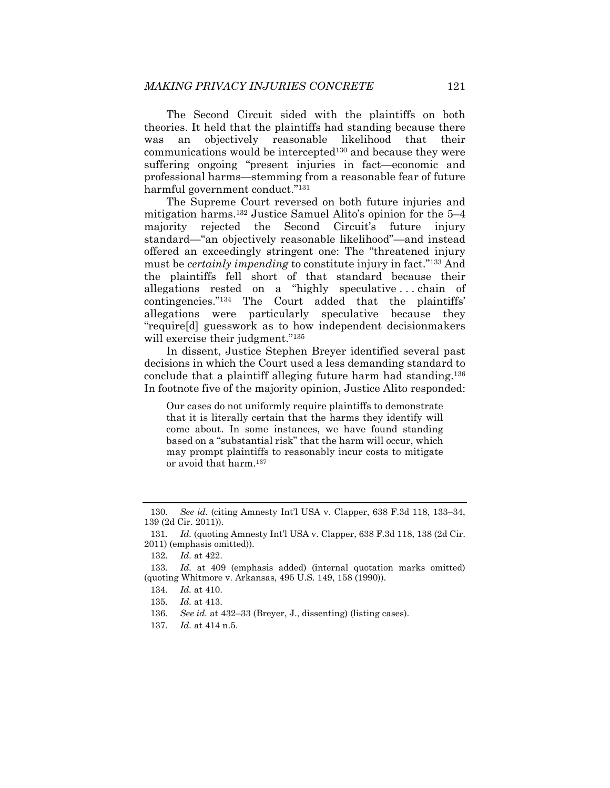The Second Circuit sided with the plaintiffs on both theories. It held that the plaintiffs had standing because there was an objectively reasonable likelihood that their  $communications$  would be intercepted<sup>130</sup> and because they were suffering ongoing "present injuries in fact—economic and professional harms—stemming from a reasonable fear of future harmful government conduct."131

The Supreme Court reversed on both future injuries and mitigation harms.132 Justice Samuel Alito's opinion for the 5–4 majority rejected the Second Circuit's future injury standard—"an objectively reasonable likelihood"—and instead offered an exceedingly stringent one: The "threatened injury must be *certainly impending* to constitute injury in fact."133 And the plaintiffs fell short of that standard because their allegations rested on a "highly speculative . . . chain of contingencies."134 The Court added that the plaintiffs' allegations were particularly speculative because they "require[d] guesswork as to how independent decisionmakers will exercise their judgment."<sup>135</sup>

In dissent, Justice Stephen Breyer identified several past decisions in which the Court used a less demanding standard to conclude that a plaintiff alleging future harm had standing.136 In footnote five of the majority opinion, Justice Alito responded:

Our cases do not uniformly require plaintiffs to demonstrate that it is literally certain that the harms they identify will come about. In some instances, we have found standing based on a "substantial risk" that the harm will occur, which may prompt plaintiffs to reasonably incur costs to mitigate or avoid that harm.137

<sup>130</sup>*. See id.* (citing Amnesty Int'l USA v. Clapper, 638 F.3d 118, 133–34, 139 (2d Cir. 2011)).

<sup>131</sup>*. Id.* (quoting Amnesty Int'l USA v. Clapper, 638 F.3d 118, 138 (2d Cir. 2011) (emphasis omitted)).

<sup>132</sup>*. Id.* at 422.

<sup>133</sup>*. Id.* at 409 (emphasis added) (internal quotation marks omitted) (quoting Whitmore v. Arkansas, 495 U.S. 149, 158 (1990)).

<sup>134</sup>*. Id.* at 410.

<sup>135</sup>*. Id.* at 413.

<sup>136</sup>*. See id.* at 432–33 (Breyer, J., dissenting) (listing cases).

<sup>137</sup>*. Id.* at 414 n.5.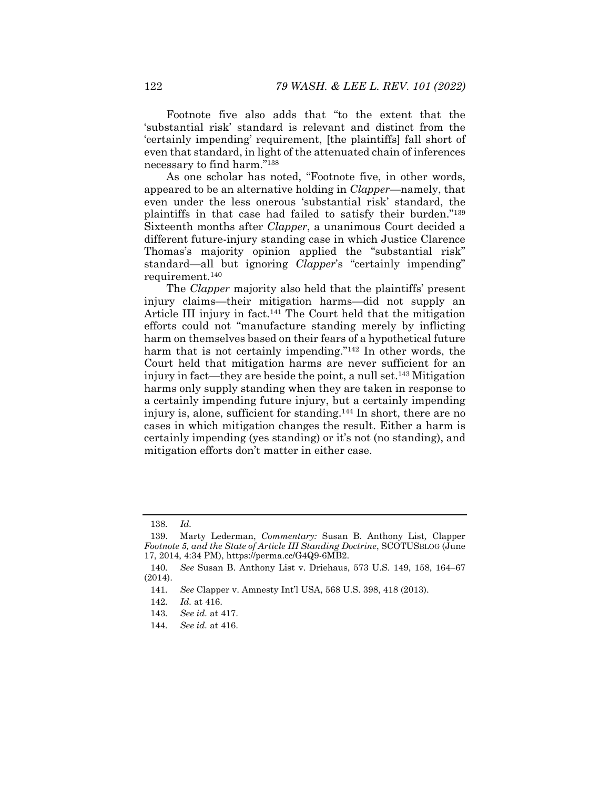Footnote five also adds that "to the extent that the 'substantial risk' standard is relevant and distinct from the 'certainly impending' requirement, [the plaintiffs] fall short of even that standard, in light of the attenuated chain of inferences necessary to find harm."138

As one scholar has noted, "Footnote five, in other words, appeared to be an alternative holding in *Clapper*—namely, that even under the less onerous 'substantial risk' standard, the plaintiffs in that case had failed to satisfy their burden."139 Sixteenth months after *Clapper*, a unanimous Court decided a different future-injury standing case in which Justice Clarence Thomas's majority opinion applied the "substantial risk" standard—all but ignoring *Clapper*'s "certainly impending" requirement.140

The *Clapper* majority also held that the plaintiffs' present injury claims—their mitigation harms—did not supply an Article III injury in fact.141 The Court held that the mitigation efforts could not "manufacture standing merely by inflicting harm on themselves based on their fears of a hypothetical future harm that is not certainly impending."<sup>142</sup> In other words, the Court held that mitigation harms are never sufficient for an injury in fact—they are beside the point, a null set.143 Mitigation harms only supply standing when they are taken in response to a certainly impending future injury, but a certainly impending injury is, alone, sufficient for standing.144 In short, there are no cases in which mitigation changes the result. Either a harm is certainly impending (yes standing) or it's not (no standing), and mitigation efforts don't matter in either case.

<sup>138</sup>*. Id.*

 <sup>139.</sup> Marty Lederman, *Commentary:* Susan B. Anthony List*,* Clapper *Footnote 5, and the State of Article III Standing Doctrine*, SCOTUSBLOG (June 17, 2014, 4:34 PM), https://perma.cc/G4Q9-6MB2.

<sup>140</sup>*. See* Susan B. Anthony List v. Driehaus, 573 U.S. 149, 158, 164–67 (2014).

<sup>141</sup>*. See* Clapper v. Amnesty Int'l USA, 568 U.S. 398, 418 (2013).

<sup>142</sup>*. Id.* at 416.

<sup>143</sup>*. See id.* at 417.

<sup>144</sup>*. See id.* at 416.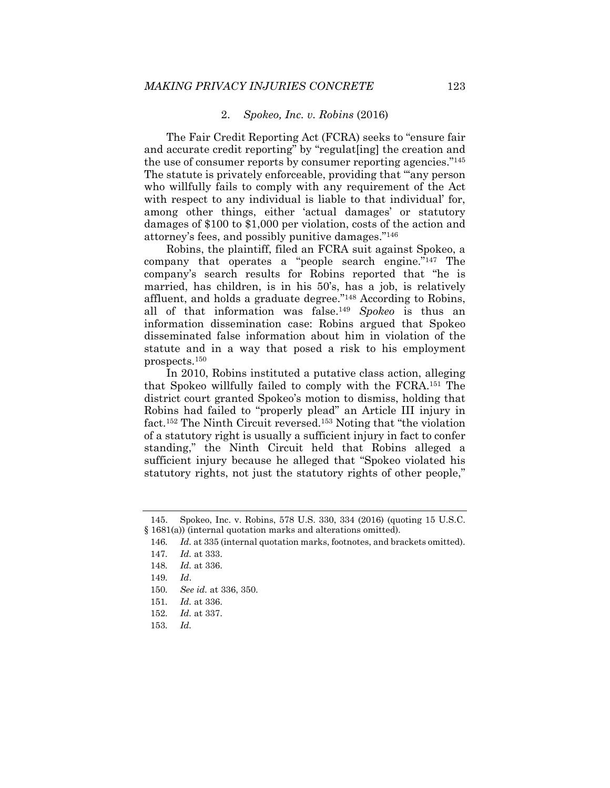#### 2. *Spokeo, Inc. v. Robins* (2016)

The Fair Credit Reporting Act (FCRA) seeks to "ensure fair and accurate credit reporting" by "regulat[ing] the creation and the use of consumer reports by consumer reporting agencies."145 The statute is privately enforceable, providing that "'any person who willfully fails to comply with any requirement of the Act with respect to any individual is liable to that individual' for, among other things, either 'actual damages' or statutory damages of \$100 to \$1,000 per violation, costs of the action and attorney's fees, and possibly punitive damages."146

Robins, the plaintiff, filed an FCRA suit against Spokeo, a company that operates a "people search engine."147 The company's search results for Robins reported that "he is married, has children, is in his 50's, has a job, is relatively affluent, and holds a graduate degree."148 According to Robins, all of that information was false.149 *Spokeo* is thus an information dissemination case: Robins argued that Spokeo disseminated false information about him in violation of the statute and in a way that posed a risk to his employment prospects.150

In 2010, Robins instituted a putative class action, alleging that Spokeo willfully failed to comply with the FCRA.151 The district court granted Spokeo's motion to dismiss, holding that Robins had failed to "properly plead" an Article III injury in fact.152 The Ninth Circuit reversed.153 Noting that "the violation of a statutory right is usually a sufficient injury in fact to confer standing," the Ninth Circuit held that Robins alleged a sufficient injury because he alleged that "Spokeo violated his statutory rights, not just the statutory rights of other people,"

 <sup>145.</sup> Spokeo, Inc. v. Robins, 578 U.S. 330, 334 (2016) (quoting 15 U.S.C. § 1681(a)) (internal quotation marks and alterations omitted).

<sup>146</sup>*. Id.* at 335 (internal quotation marks, footnotes, and brackets omitted).

<sup>147</sup>*. Id.* at 333.

<sup>148</sup>*. Id.* at 336.

<sup>149</sup>*. Id*.

<sup>150</sup>*. See id.* at 336, 350.

<sup>151</sup>*. Id.* at 336.

<sup>152</sup>*. Id.* at 337.

<sup>153</sup>*. Id.*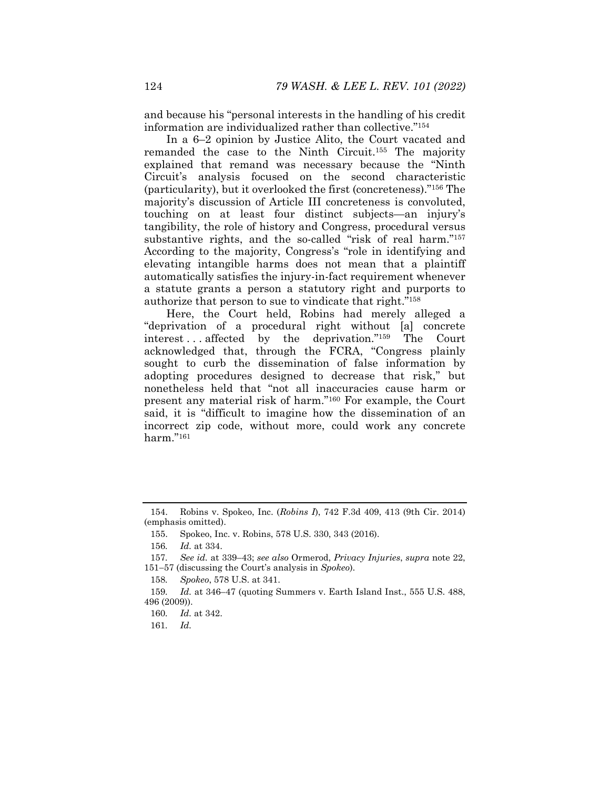and because his "personal interests in the handling of his credit information are individualized rather than collective."154

In a 6–2 opinion by Justice Alito, the Court vacated and remanded the case to the Ninth Circuit.155 The majority explained that remand was necessary because the "Ninth Circuit's analysis focused on the second characteristic (particularity), but it overlooked the first (concreteness)."156 The majority's discussion of Article III concreteness is convoluted, touching on at least four distinct subjects—an injury's tangibility, the role of history and Congress, procedural versus substantive rights, and the so-called "risk of real harm."157 According to the majority, Congress's "role in identifying and elevating intangible harms does not mean that a plaintiff automatically satisfies the injury-in-fact requirement whenever a statute grants a person a statutory right and purports to authorize that person to sue to vindicate that right."158

Here, the Court held, Robins had merely alleged a "deprivation of a procedural right without [a] concrete interest . . . affected by the deprivation."159 The Court acknowledged that, through the FCRA, "Congress plainly sought to curb the dissemination of false information by adopting procedures designed to decrease that risk," but nonetheless held that "not all inaccuracies cause harm or present any material risk of harm."160 For example, the Court said, it is "difficult to imagine how the dissemination of an incorrect zip code, without more, could work any concrete harm."161

 <sup>154.</sup> Robins v. Spokeo, Inc. (*Robins I*), 742 F.3d 409, 413 (9th Cir. 2014) (emphasis omitted).

 <sup>155.</sup> Spokeo, Inc. v. Robins, 578 U.S. 330, 343 (2016).

<sup>156</sup>*. Id.* at 334.

<sup>157</sup>*. See id.* at 339–43; *see also* Ormerod, *Privacy Injuries*, *supra* note 22, 15157 (discussing the Court's analysis in *Spokeo*).

<sup>158</sup>*. Spokeo*, 578 U.S. at 341.

<sup>159</sup>*. Id.* at 346–47 (quoting Summers v. Earth Island Inst., 555 U.S. 488, 496 (2009)).

<sup>160</sup>*. Id.* at 342.

<sup>161</sup>*. Id.*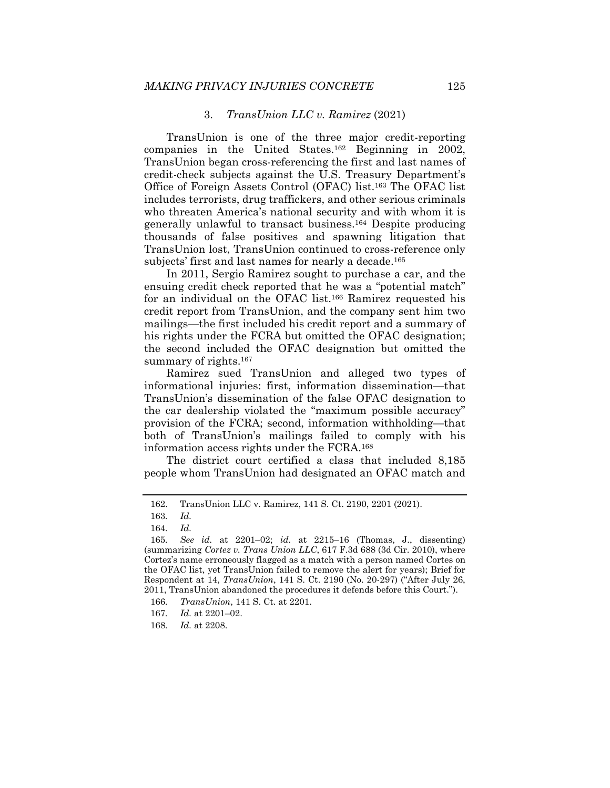#### 3. *TransUnion LLC v. Ramirez* (2021)

TransUnion is one of the three major credit-reporting companies in the United States.162 Beginning in 2002, TransUnion began cross-referencing the first and last names of credit-check subjects against the U.S. Treasury Department's Office of Foreign Assets Control (OFAC) list.163 The OFAC list includes terrorists, drug traffickers, and other serious criminals who threaten America's national security and with whom it is generally unlawful to transact business.164 Despite producing thousands of false positives and spawning litigation that TransUnion lost, TransUnion continued to cross-reference only subjects' first and last names for nearly a decade.<sup>165</sup>

In 2011, Sergio Ramirez sought to purchase a car, and the ensuing credit check reported that he was a "potential match" for an individual on the OFAC list.166 Ramirez requested his credit report from TransUnion, and the company sent him two mailings—the first included his credit report and a summary of his rights under the FCRA but omitted the OFAC designation; the second included the OFAC designation but omitted the summary of rights.<sup>167</sup>

Ramirez sued TransUnion and alleged two types of informational injuries: first, information dissemination—that TransUnion's dissemination of the false OFAC designation to the car dealership violated the "maximum possible accuracy" provision of the FCRA; second, information withholding—that both of TransUnion's mailings failed to comply with his information access rights under the FCRA.168

The district court certified a class that included 8,185 people whom TransUnion had designated an OFAC match and

 <sup>162.</sup> TransUnion LLC v. Ramirez, 141 S. Ct. 2190, 2201 (2021).

<sup>163</sup>*. Id.*

<sup>164</sup>*. Id.*

<sup>165</sup>*. See id.* at 2201–02; *id.* at 2215–16 (Thomas, J., dissenting) (summarizing *Cortez v. Trans Union LLC*, 617 F.3d 688 (3d Cir. 2010), where Cortez's name erroneously flagged as a match with a person named Cortes on the OFAC list, yet TransUnion failed to remove the alert for years); Brief for Respondent at 14, *TransUnion*, 141 S. Ct. 2190 (No. 20-297) ("After July 26, 2011, TransUnion abandoned the procedures it defends before this Court.").

<sup>166</sup>*. TransUnion*, 141 S. Ct. at 2201.

<sup>167</sup>*. Id.* at 2201–02.

<sup>168</sup>*. Id.* at 2208.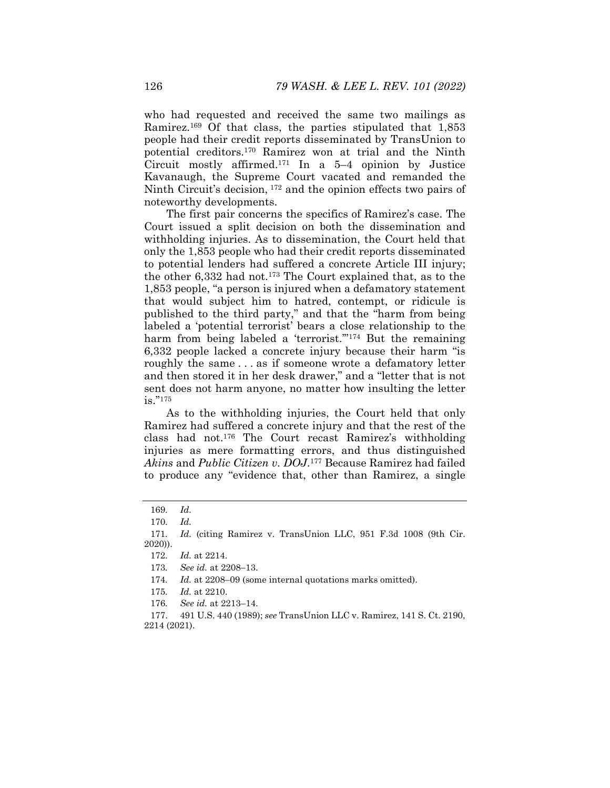who had requested and received the same two mailings as Ramirez.169 Of that class, the parties stipulated that 1,853 people had their credit reports disseminated by TransUnion to potential creditors.170 Ramirez won at trial and the Ninth Circuit mostly affirmed.<sup>171</sup> In a  $5-4$  opinion by Justice Kavanaugh, the Supreme Court vacated and remanded the Ninth Circuit's decision, 172 and the opinion effects two pairs of noteworthy developments.

The first pair concerns the specifics of Ramirez's case. The Court issued a split decision on both the dissemination and withholding injuries. As to dissemination, the Court held that only the 1,853 people who had their credit reports disseminated to potential lenders had suffered a concrete Article III injury; the other 6,332 had not.173 The Court explained that, as to the 1,853 people, "a person is injured when a defamatory statement that would subject him to hatred, contempt, or ridicule is published to the third party," and that the "harm from being labeled a 'potential terrorist' bears a close relationship to the harm from being labeled a 'terrorist."<sup>174</sup> But the remaining 6,332 people lacked a concrete injury because their harm "is roughly the same . . . as if someone wrote a defamatory letter and then stored it in her desk drawer," and a "letter that is not sent does not harm anyone, no matter how insulting the letter is."175

As to the withholding injuries, the Court held that only Ramirez had suffered a concrete injury and that the rest of the class had not.176 The Court recast Ramirez's withholding injuries as mere formatting errors, and thus distinguished *Akins* and *Public Citizen v. DOJ*.177 Because Ramirez had failed to produce any "evidence that, other than Ramirez, a single

<sup>169</sup>*. Id.* 

<sup>170</sup>*. Id.*

<sup>171</sup>*. Id.* (citing Ramirez v. TransUnion LLC, 951 F.3d 1008 (9th Cir. 2020)).

<sup>172</sup>*. Id.* at 2214.

<sup>173.</sup> See *id.* at 2208-13.

<sup>174</sup>*. Id.* at 2208–09 (some internal quotations marks omitted).

<sup>175</sup>*. Id.* at 2210.

<sup>176</sup>*. See id.* at 2213–14.

 <sup>177. 491</sup> U.S. 440 (1989); *see* TransUnion LLC v. Ramirez, 141 S. Ct. 2190, 2214 (2021).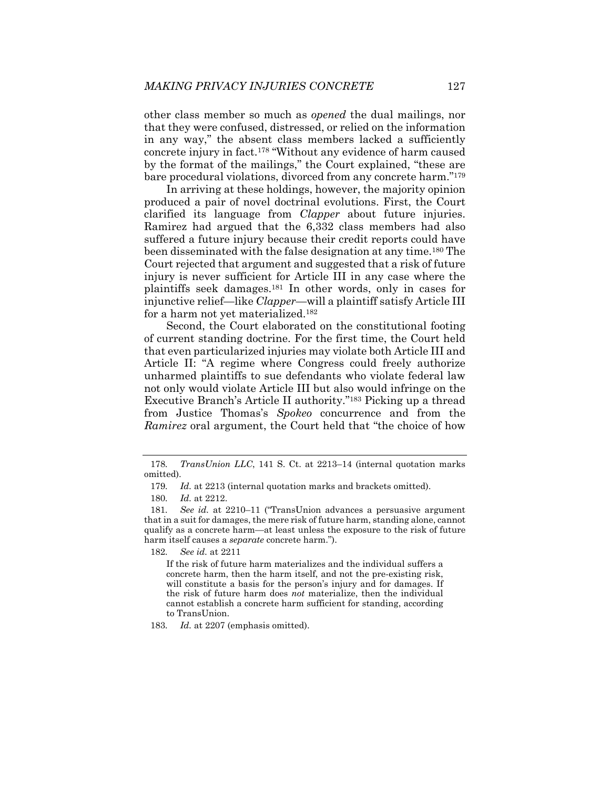other class member so much as *opened* the dual mailings, nor that they were confused, distressed, or relied on the information in any way," the absent class members lacked a sufficiently concrete injury in fact.178 "Without any evidence of harm caused by the format of the mailings," the Court explained, "these are bare procedural violations, divorced from any concrete harm."179

In arriving at these holdings, however, the majority opinion produced a pair of novel doctrinal evolutions. First, the Court clarified its language from *Clapper* about future injuries. Ramirez had argued that the 6,332 class members had also suffered a future injury because their credit reports could have been disseminated with the false designation at any time.180 The Court rejected that argument and suggested that a risk of future injury is never sufficient for Article III in any case where the plaintiffs seek damages.181 In other words, only in cases for injunctive relief—like *Clapper*—will a plaintiff satisfy Article III for a harm not yet materialized.182

Second, the Court elaborated on the constitutional footing of current standing doctrine. For the first time, the Court held that even particularized injuries may violate both Article III and Article II: "A regime where Congress could freely authorize unharmed plaintiffs to sue defendants who violate federal law not only would violate Article III but also would infringe on the Executive Branch's Article II authority."183 Picking up a thread from Justice Thomas's *Spokeo* concurrence and from the *Ramirez* oral argument, the Court held that "the choice of how

182*. See id.* at 2211

If the risk of future harm materializes and the individual suffers a concrete harm, then the harm itself, and not the pre-existing risk, will constitute a basis for the person's injury and for damages. If the risk of future harm does *not* materialize, then the individual cannot establish a concrete harm sufficient for standing, according to TransUnion.

183*. Id.* at 2207 (emphasis omitted).

<sup>178</sup>*. TransUnion LLC*, 141 S. Ct. at 2213–14 (internal quotation marks omitted).

<sup>179</sup>*. Id.* at 2213 (internal quotation marks and brackets omitted).

<sup>180</sup>*. Id.* at 2212.

<sup>181</sup>*. See id.* at 2210–11 ("TransUnion advances a persuasive argument that in a suit for damages, the mere risk of future harm, standing alone, cannot qualify as a concrete harm—at least unless the exposure to the risk of future harm itself causes a *separate* concrete harm.").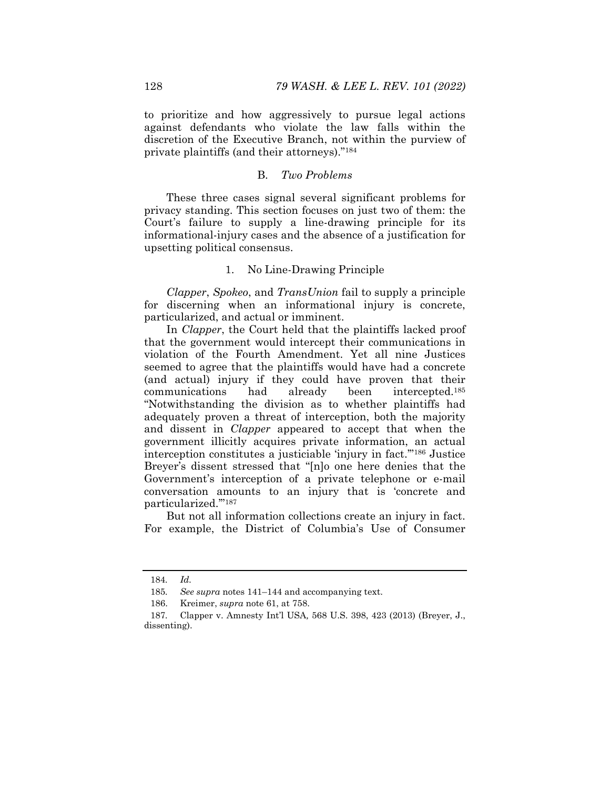to prioritize and how aggressively to pursue legal actions against defendants who violate the law falls within the discretion of the Executive Branch, not within the purview of private plaintiffs (and their attorneys)."184

### B. *Two Problems*

These three cases signal several significant problems for privacy standing. This section focuses on just two of them: the Court's failure to supply a line-drawing principle for its informational-injury cases and the absence of a justification for upsetting political consensus.

#### 1. No Line-Drawing Principle

*Clapper*, *Spokeo*, and *TransUnion* fail to supply a principle for discerning when an informational injury is concrete, particularized, and actual or imminent.

In *Clapper*, the Court held that the plaintiffs lacked proof that the government would intercept their communications in violation of the Fourth Amendment. Yet all nine Justices seemed to agree that the plaintiffs would have had a concrete (and actual) injury if they could have proven that their communications had already been intercepted.185 "Notwithstanding the division as to whether plaintiffs had adequately proven a threat of interception, both the majority and dissent in *Clapper* appeared to accept that when the government illicitly acquires private information, an actual interception constitutes a justiciable 'injury in fact.'"186 Justice Breyer's dissent stressed that "[n]o one here denies that the Government's interception of a private telephone or e-mail conversation amounts to an injury that is 'concrete and particularized.'"187

But not all information collections create an injury in fact. For example, the District of Columbia's Use of Consumer

<sup>184</sup>*. Id.*

<sup>185</sup>*. See supra* notes 141–144 and accompanying text.

 <sup>186.</sup> Kreimer, *supra* note 61, at 758.

<sup>187</sup>*.* Clapper v. Amnesty Int'l USA*,* 568 U.S. 398, 423 (2013) (Breyer, J., dissenting).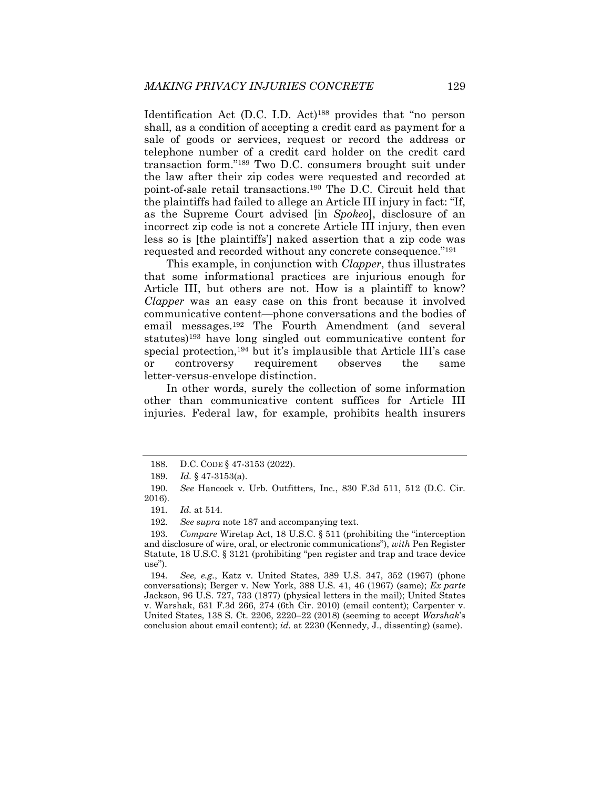Identification Act (D.C. I.D. Act)<sup>188</sup> provides that "no person shall, as a condition of accepting a credit card as payment for a sale of goods or services, request or record the address or telephone number of a credit card holder on the credit card transaction form."189 Two D.C. consumers brought suit under the law after their zip codes were requested and recorded at point-of-sale retail transactions.190 The D.C. Circuit held that the plaintiffs had failed to allege an Article III injury in fact: "If, as the Supreme Court advised [in *Spokeo*], disclosure of an incorrect zip code is not a concrete Article III injury, then even less so is [the plaintiffs'] naked assertion that a zip code was requested and recorded without any concrete consequence."191

This example, in conjunction with *Clapper*, thus illustrates that some informational practices are injurious enough for Article III, but others are not. How is a plaintiff to know? *Clapper* was an easy case on this front because it involved communicative content—phone conversations and the bodies of email messages.192 The Fourth Amendment (and several statutes)193 have long singled out communicative content for special protection,194 but it's implausible that Article III's case or controversy requirement observes the same letter-versus-envelope distinction.

In other words, surely the collection of some information other than communicative content suffices for Article III injuries. Federal law, for example, prohibits health insurers

 <sup>188.</sup> D.C. CODE § 47-3153 (2022).

 <sup>189.</sup> *Id.* § 47-3153(a).

<sup>190</sup>*. See* Hancock v. Urb. Outfitters, Inc*.*, 830 F.3d 511, 512 (D.C. Cir. 2016).

<sup>191</sup>*. Id.* at 514.

<sup>192</sup>*. See supra* note 187 and accompanying text.

<sup>193</sup>*. Compare* Wiretap Act, 18 U.S.C. § 511 (prohibiting the "interception and disclosure of wire, oral, or electronic communications"), *with* Pen Register Statute, 18 U.S.C. § 3121 (prohibiting "pen register and trap and trace device use").

<sup>194</sup>*. See, e.g.*, Katz v. United States, 389 U.S. 347, 352 (1967) (phone conversations); Berger v. New York, 388 U.S. 41, 46 (1967) (same); *Ex parte*  Jackson, 96 U.S. 727, 733 (1877) (physical letters in the mail); United States v. Warshak, 631 F.3d 266, 274 (6th Cir. 2010) (email content); Carpenter v. United States, 138 S. Ct. 2206, 2220–22 (2018) (seeming to accept *Warshak*'s conclusion about email content); *id.* at 2230 (Kennedy, J., dissenting) (same).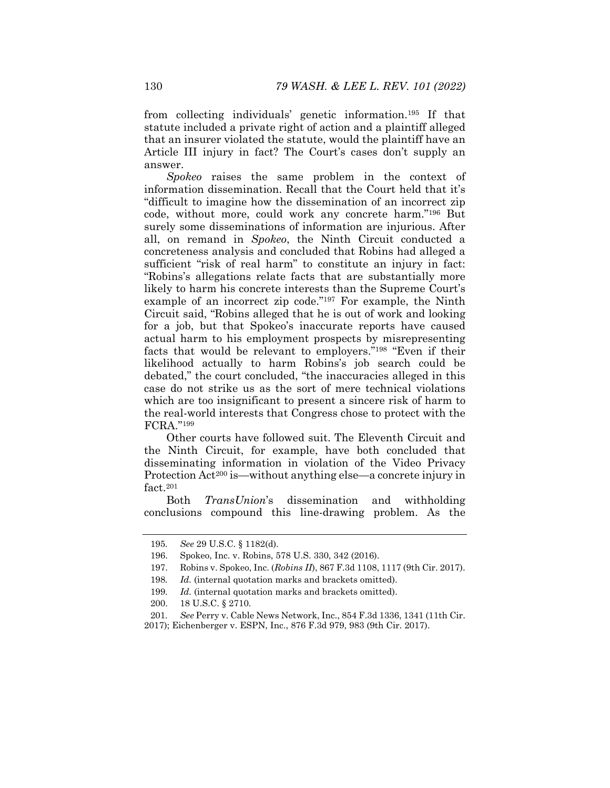from collecting individuals' genetic information.195 If that statute included a private right of action and a plaintiff alleged that an insurer violated the statute, would the plaintiff have an Article III injury in fact? The Court's cases don't supply an answer.

*Spokeo* raises the same problem in the context of information dissemination. Recall that the Court held that it's "difficult to imagine how the dissemination of an incorrect zip code, without more, could work any concrete harm."196 But surely some disseminations of information are injurious. After all, on remand in *Spokeo*, the Ninth Circuit conducted a concreteness analysis and concluded that Robins had alleged a sufficient "risk of real harm" to constitute an injury in fact: "Robins's allegations relate facts that are substantially more likely to harm his concrete interests than the Supreme Court's example of an incorrect zip code."197 For example, the Ninth Circuit said, "Robins alleged that he is out of work and looking for a job, but that Spokeo's inaccurate reports have caused actual harm to his employment prospects by misrepresenting facts that would be relevant to employers."198 "Even if their likelihood actually to harm Robins's job search could be debated," the court concluded, "the inaccuracies alleged in this case do not strike us as the sort of mere technical violations which are too insignificant to present a sincere risk of harm to the real-world interests that Congress chose to protect with the FCRA."199

Other courts have followed suit. The Eleventh Circuit and the Ninth Circuit, for example, have both concluded that disseminating information in violation of the Video Privacy Protection Act<sup>200</sup> is—without anything else—a concrete injury in fact.<sup>201</sup>

Both *TransUnion*'s dissemination and withholding conclusions compound this line-drawing problem. As the

<sup>195</sup>*. See* 29 U.S.C. § 1182(d).

 <sup>196.</sup> Spokeo, Inc. v. Robins, 578 U.S. 330, 342 (2016).

 <sup>197.</sup> Robins v. Spokeo, Inc. (*Robins II*), 867 F.3d 1108, 1117 (9th Cir. 2017).

<sup>198</sup>*. Id.* (internal quotation marks and brackets omitted).

<sup>199</sup>*. Id.* (internal quotation marks and brackets omitted).

 <sup>200. 18</sup> U.S.C. § 2710.

<sup>201</sup>*. See* Perry v. Cable News Network, Inc., 854 F.3d 1336, 1341 (11th Cir. 2017); Eichenberger v. ESPN, Inc., 876 F.3d 979, 983 (9th Cir. 2017).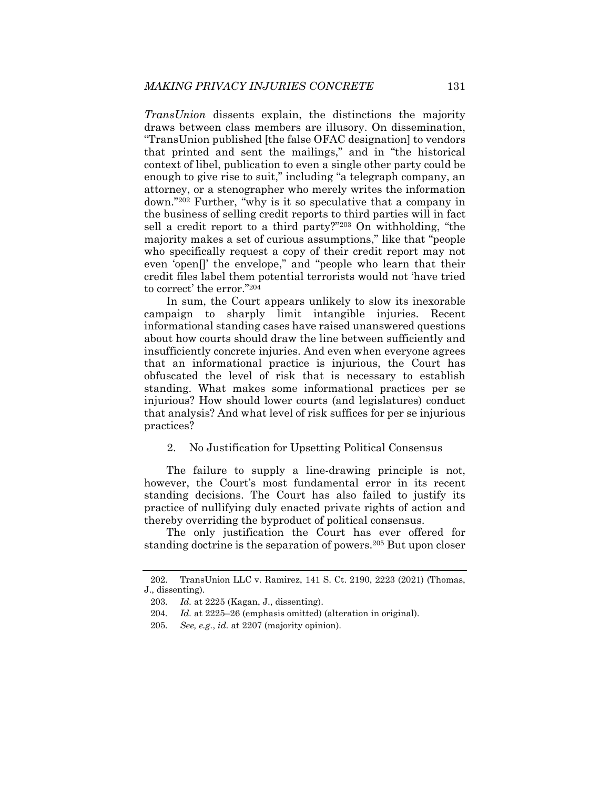*TransUnion* dissents explain, the distinctions the majority draws between class members are illusory. On dissemination, "TransUnion published [the false OFAC designation] to vendors that printed and sent the mailings," and in "the historical context of libel, publication to even a single other party could be enough to give rise to suit," including "a telegraph company, an attorney, or a stenographer who merely writes the information down."202 Further, "why is it so speculative that a company in the business of selling credit reports to third parties will in fact sell a credit report to a third party?"203 On withholding, "the majority makes a set of curious assumptions," like that "people who specifically request a copy of their credit report may not even 'open[]' the envelope," and "people who learn that their credit files label them potential terrorists would not 'have tried to correct' the error."204

In sum, the Court appears unlikely to slow its inexorable campaign to sharply limit intangible injuries. Recent informational standing cases have raised unanswered questions about how courts should draw the line between sufficiently and insufficiently concrete injuries. And even when everyone agrees that an informational practice is injurious, the Court has obfuscated the level of risk that is necessary to establish standing. What makes some informational practices per se injurious? How should lower courts (and legislatures) conduct that analysis? And what level of risk suffices for per se injurious practices?

#### 2. No Justification for Upsetting Political Consensus

The failure to supply a line-drawing principle is not, however, the Court's most fundamental error in its recent standing decisions. The Court has also failed to justify its practice of nullifying duly enacted private rights of action and thereby overriding the byproduct of political consensus.

The only justification the Court has ever offered for standing doctrine is the separation of powers.205 But upon closer

 <sup>202.</sup> TransUnion LLC v. Ramirez, 141 S. Ct. 2190, 2223 (2021) (Thomas, J., dissenting).

<sup>203</sup>*. Id.* at 2225 (Kagan, J., dissenting).

<sup>204</sup>*. Id.* at 2225–26 (emphasis omitted) (alteration in original).

<sup>205</sup>*. See, e.g.*, *id.* at 2207 (majority opinion).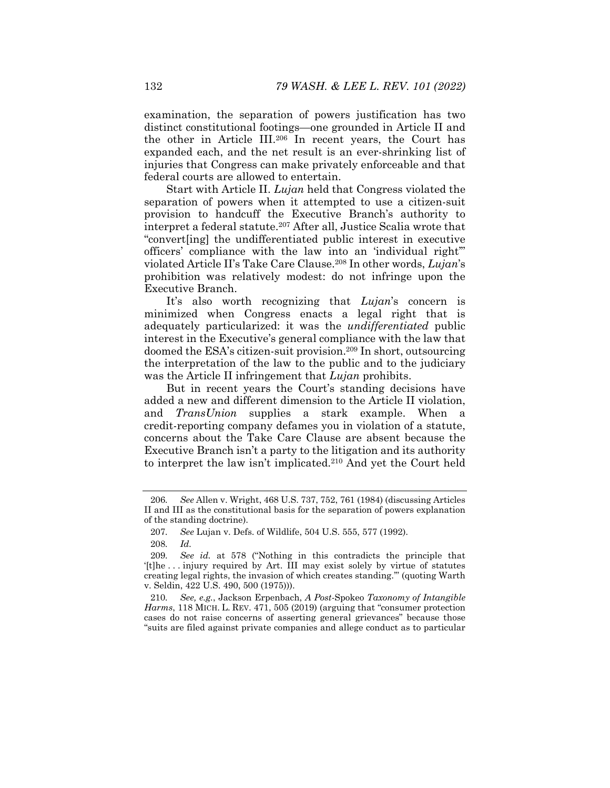examination, the separation of powers justification has two distinct constitutional footings—one grounded in Article II and the other in Article III.206 In recent years, the Court has expanded each, and the net result is an ever-shrinking list of injuries that Congress can make privately enforceable and that federal courts are allowed to entertain.

Start with Article II. *Lujan* held that Congress violated the separation of powers when it attempted to use a citizen-suit provision to handcuff the Executive Branch's authority to interpret a federal statute.207 After all, Justice Scalia wrote that "convert[ing] the undifferentiated public interest in executive officers' compliance with the law into an 'individual right'" violated Article II's Take Care Clause.208 In other words, *Lujan*'s prohibition was relatively modest: do not infringe upon the Executive Branch.

It's also worth recognizing that *Lujan*'s concern is minimized when Congress enacts a legal right that is adequately particularized: it was the *undifferentiated* public interest in the Executive's general compliance with the law that doomed the ESA's citizen-suit provision.209 In short, outsourcing the interpretation of the law to the public and to the judiciary was the Article II infringement that *Lujan* prohibits.

But in recent years the Court's standing decisions have added a new and different dimension to the Article II violation, and *TransUnion* supplies a stark example. When a credit-reporting company defames you in violation of a statute, concerns about the Take Care Clause are absent because the Executive Branch isn't a party to the litigation and its authority to interpret the law isn't implicated.210 And yet the Court held

<sup>206</sup>*. See* Allen v. Wright, 468 U.S. 737, 752, 761 (1984) (discussing Articles II and III as the constitutional basis for the separation of powers explanation of the standing doctrine).

<sup>207</sup>*. See* Lujan v. Defs. of Wildlife, 504 U.S. 555, 577 (1992).

<sup>208</sup>*. Id.*

<sup>209</sup>*. See id.* at 578 ("Nothing in this contradicts the principle that '[t]he . . . injury required by Art. III may exist solely by virtue of statutes creating legal rights, the invasion of which creates standing.'" (quoting Warth v. Seldin, 422 U.S. 490, 500 (1975))).

<sup>210</sup>*. See, e.g.*, Jackson Erpenbach, *A Post-*Spokeo *Taxonomy of Intangible Harms*, 118 MICH. L. REV. 471, 505 (2019) (arguing that "consumer protection cases do not raise concerns of asserting general grievances" because those "suits are filed against private companies and allege conduct as to particular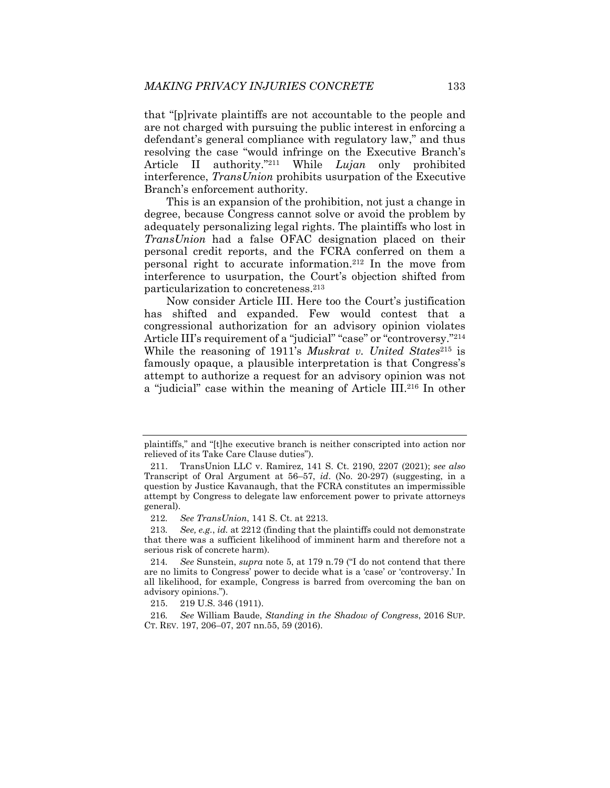that "[p]rivate plaintiffs are not accountable to the people and are not charged with pursuing the public interest in enforcing a defendant's general compliance with regulatory law," and thus resolving the case "would infringe on the Executive Branch's Article II authority."211 While *Lujan* only prohibited interference, *TransUnion* prohibits usurpation of the Executive Branch's enforcement authority.

This is an expansion of the prohibition, not just a change in degree, because Congress cannot solve or avoid the problem by adequately personalizing legal rights. The plaintiffs who lost in *TransUnion* had a false OFAC designation placed on their personal credit reports, and the FCRA conferred on them a personal right to accurate information.212 In the move from interference to usurpation, the Court's objection shifted from particularization to concreteness.213

Now consider Article III. Here too the Court's justification has shifted and expanded. Few would contest that a congressional authorization for an advisory opinion violates Article III's requirement of a "judicial" "case" or "controversy."<sup>214</sup> While the reasoning of 1911's *Muskrat v. United States*215 is famously opaque, a plausible interpretation is that Congress's attempt to authorize a request for an advisory opinion was not a "judicial" case within the meaning of Article III.216 In other

plaintiffs," and "[t]he executive branch is neither conscripted into action nor relieved of its Take Care Clause duties").

 <sup>211.</sup> TransUnion LLC v. Ramirez, 141 S. Ct. 2190, 2207 (2021); *see also* Transcript of Oral Argument at 56–57, *id*. (No. 20-297) (suggesting, in a question by Justice Kavanaugh, that the FCRA constitutes an impermissible attempt by Congress to delegate law enforcement power to private attorneys general).

<sup>212</sup>*. See TransUnion*, 141 S. Ct. at 2213.

<sup>213</sup>*. See, e.g.*, *id.* at 2212 (finding that the plaintiffs could not demonstrate that there was a sufficient likelihood of imminent harm and therefore not a serious risk of concrete harm).

<sup>214</sup>*. See* Sunstein, *supra* note 5, at 179 n.79 ("I do not contend that there are no limits to Congress' power to decide what is a 'case' or 'controversy.' In all likelihood, for example, Congress is barred from overcoming the ban on advisory opinions.").

 <sup>215. 219</sup> U.S. 346 (1911).

<sup>216</sup>*. See* William Baude, *Standing in the Shadow of Congress*, 2016 SUP. CT. REV. 197, 206–07, 207 nn.55, 59 (2016).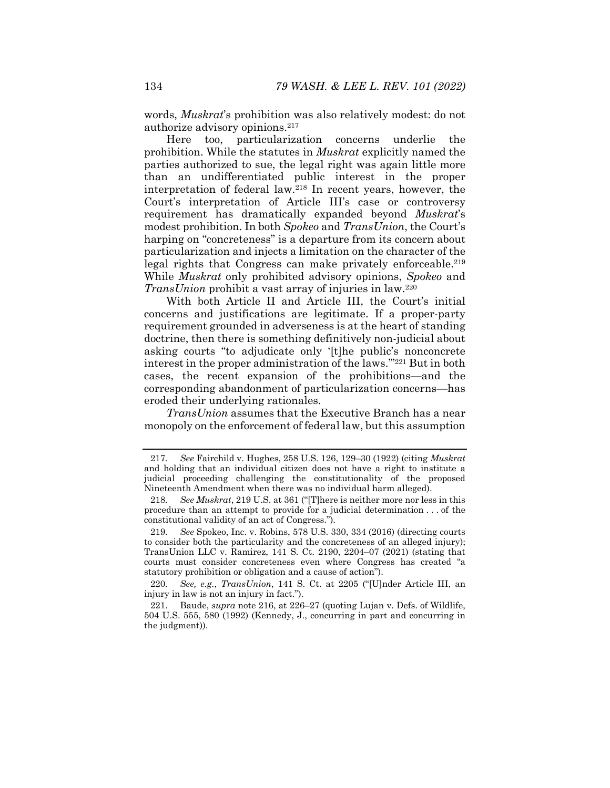words, *Muskrat*'s prohibition was also relatively modest: do not authorize advisory opinions.217

Here too, particularization concerns underlie the prohibition. While the statutes in *Muskrat* explicitly named the parties authorized to sue, the legal right was again little more than an undifferentiated public interest in the proper interpretation of federal law.218 In recent years, however, the Court's interpretation of Article III's case or controversy requirement has dramatically expanded beyond *Muskrat*'s modest prohibition. In both *Spokeo* and *TransUnion*, the Court's harping on "concreteness" is a departure from its concern about particularization and injects a limitation on the character of the legal rights that Congress can make privately enforceable.<sup>219</sup> While *Muskrat* only prohibited advisory opinions, *Spokeo* and *TransUnion* prohibit a vast array of injuries in law.<sup>220</sup>

With both Article II and Article III, the Court's initial concerns and justifications are legitimate. If a proper-party requirement grounded in adverseness is at the heart of standing doctrine, then there is something definitively non-judicial about asking courts "to adjudicate only '[t]he public's nonconcrete interest in the proper administration of the laws.'"221 But in both cases, the recent expansion of the prohibitions—and the corresponding abandonment of particularization concerns—has eroded their underlying rationales.

*TransUnion* assumes that the Executive Branch has a near monopoly on the enforcement of federal law, but this assumption

220*. See, e.g.*, *TransUnion*, 141 S. Ct. at 2205 ("[U]nder Article III, an injury in law is not an injury in fact.").

<sup>217</sup>*. See* Fairchild v. Hughes, 258 U.S. 126, 129–30 (1922) (citing *Muskrat* and holding that an individual citizen does not have a right to institute a judicial proceeding challenging the constitutionality of the proposed Nineteenth Amendment when there was no individual harm alleged).

<sup>218</sup>*. See Muskrat*, 219 U.S. at 361 ("[T]here is neither more nor less in this procedure than an attempt to provide for a judicial determination . . . of the constitutional validity of an act of Congress.").

<sup>219</sup>*. See* Spokeo, Inc. v. Robins, 578 U.S. 330, 334 (2016) (directing courts to consider both the particularity and the concreteness of an alleged injury); TransUnion LLC v. Ramirez, 141 S. Ct. 2190, 2204–07 (2021) (stating that courts must consider concreteness even where Congress has created "a statutory prohibition or obligation and a cause of action").

 <sup>221.</sup> Baude, *supra* note 216, at 226–27 (quoting Lujan v. Defs. of Wildlife, 504 U.S. 555, 580 (1992) (Kennedy, J., concurring in part and concurring in the judgment)).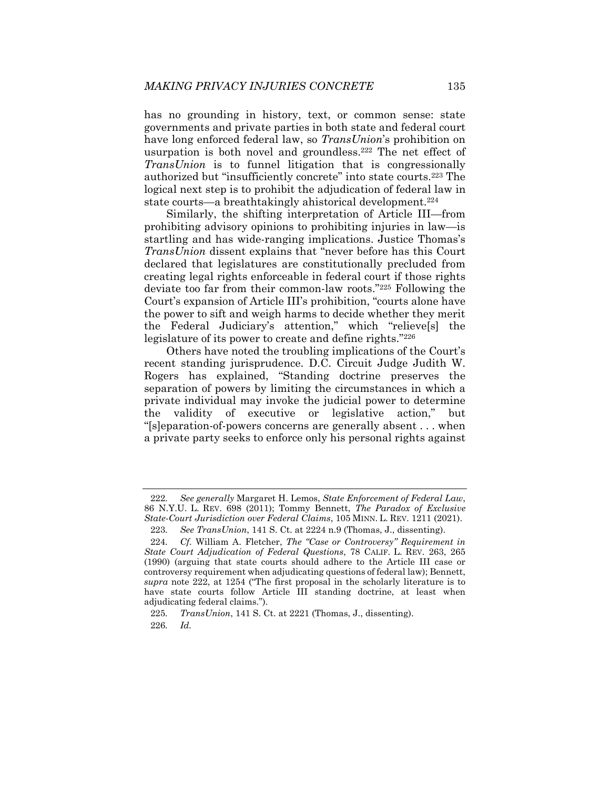has no grounding in history, text, or common sense: state governments and private parties in both state and federal court have long enforced federal law, so *TransUnion*'s prohibition on usurpation is both novel and groundless.<sup>222</sup> The net effect of *TransUnion* is to funnel litigation that is congressionally authorized but "insufficiently concrete" into state courts.223 The logical next step is to prohibit the adjudication of federal law in state courts—a breathtakingly ahistorical development.<sup>224</sup>

Similarly, the shifting interpretation of Article III—from prohibiting advisory opinions to prohibiting injuries in law—is startling and has wide-ranging implications. Justice Thomas's *TransUnion* dissent explains that "never before has this Court declared that legislatures are constitutionally precluded from creating legal rights enforceable in federal court if those rights deviate too far from their common-law roots."225 Following the Court's expansion of Article III's prohibition, "courts alone have the power to sift and weigh harms to decide whether they merit the Federal Judiciary's attention," which "relieve[s] the legislature of its power to create and define rights."226

Others have noted the troubling implications of the Court's recent standing jurisprudence. D.C. Circuit Judge Judith W. Rogers has explained, "Standing doctrine preserves the separation of powers by limiting the circumstances in which a private individual may invoke the judicial power to determine the validity of executive or legislative action," but "[s]eparation-of-powers concerns are generally absent . . . when a private party seeks to enforce only his personal rights against

<sup>222</sup>*. See generally* Margaret H. Lemos, *State Enforcement of Federal Law*, 86 N.Y.U. L. REV. 698 (2011); Tommy Bennett, *The Paradox of Exclusive State-Court Jurisdiction over Federal Claims*, 105 MINN. L. REV. 1211 (2021).

<sup>223</sup>*. See TransUnion*, 141 S. Ct. at 2224 n.9 (Thomas, J., dissenting).

<sup>224</sup>*. Cf.* William A. Fletcher, *The "Case or Controversy" Requirement in State Court Adjudication of Federal Questions*, 78 CALIF. L. REV. 263, 265 (1990) (arguing that state courts should adhere to the Article III case or controversy requirement when adjudicating questions of federal law); Bennett, *supra* note 222, at 1254 ("The first proposal in the scholarly literature is to have state courts follow Article III standing doctrine, at least when adjudicating federal claims.").

<sup>225</sup>*. TransUnion*, 141 S. Ct. at 2221 (Thomas, J., dissenting). 226*. Id.*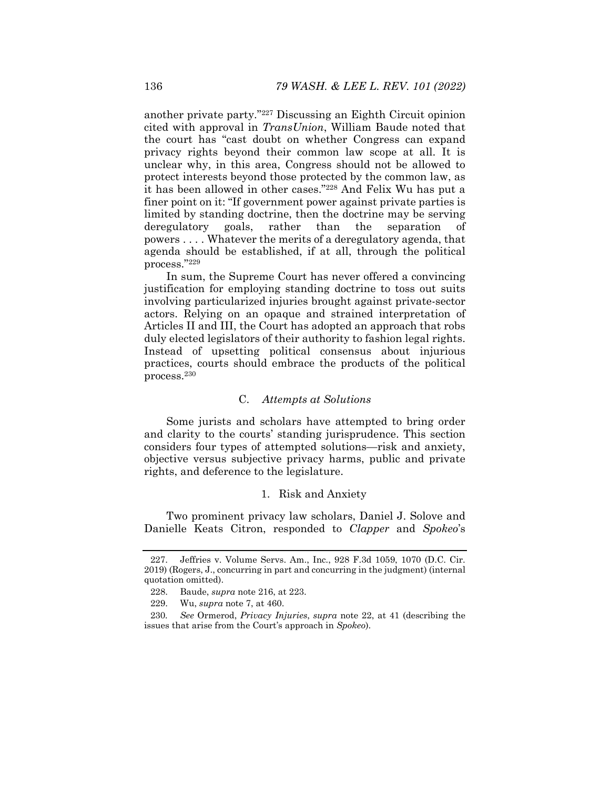another private party."227 Discussing an Eighth Circuit opinion cited with approval in *TransUnion*, William Baude noted that the court has "cast doubt on whether Congress can expand privacy rights beyond their common law scope at all. It is unclear why, in this area, Congress should not be allowed to protect interests beyond those protected by the common law, as it has been allowed in other cases."228 And Felix Wu has put a finer point on it: "If government power against private parties is limited by standing doctrine, then the doctrine may be serving deregulatory goals, rather than the separation of powers . . . . Whatever the merits of a deregulatory agenda, that agenda should be established, if at all, through the political process."229

In sum, the Supreme Court has never offered a convincing justification for employing standing doctrine to toss out suits involving particularized injuries brought against private-sector actors. Relying on an opaque and strained interpretation of Articles II and III, the Court has adopted an approach that robs duly elected legislators of their authority to fashion legal rights. Instead of upsetting political consensus about injurious practices, courts should embrace the products of the political process.230

# C. *Attempts at Solutions*

Some jurists and scholars have attempted to bring order and clarity to the courts' standing jurisprudence. This section considers four types of attempted solutions—risk and anxiety, objective versus subjective privacy harms, public and private rights, and deference to the legislature.

### 1. Risk and Anxiety

Two prominent privacy law scholars, Daniel J. Solove and Danielle Keats Citron, responded to *Clapper* and *Spokeo*'s

 <sup>227.</sup> Jeffries v. Volume Servs. Am., Inc*.*, 928 F.3d 1059, 1070 (D.C. Cir. 2019) (Rogers, J., concurring in part and concurring in the judgment) (internal quotation omitted).

 <sup>228.</sup> Baude, *supra* note 216, at 223.

 <sup>229.</sup> Wu, *supra* note 7, at 460.

<sup>230</sup>*. See* Ormerod, *Privacy Injuries*, *supra* note 22, at 41 (describing the issues that arise from the Court's approach in *Spokeo*).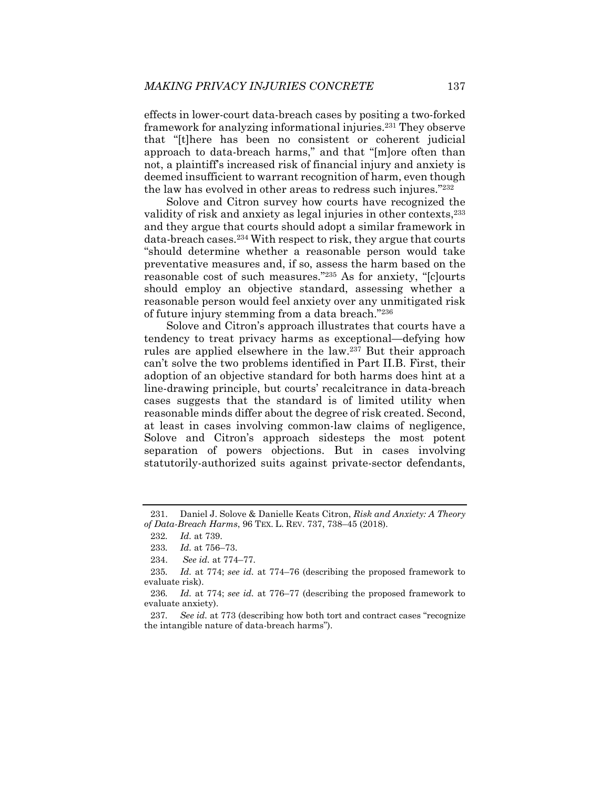effects in lower-court data-breach cases by positing a two-forked framework for analyzing informational injuries.231 They observe that "[t]here has been no consistent or coherent judicial approach to data-breach harms," and that "[m]ore often than not, a plaintiff's increased risk of financial injury and anxiety is deemed insufficient to warrant recognition of harm, even though the law has evolved in other areas to redress such injures."232

Solove and Citron survey how courts have recognized the validity of risk and anxiety as legal injuries in other contexts, <sup>233</sup> and they argue that courts should adopt a similar framework in data-breach cases.234 With respect to risk, they argue that courts "should determine whether a reasonable person would take preventative measures and, if so, assess the harm based on the reasonable cost of such measures."235 As for anxiety, "[c]ourts should employ an objective standard, assessing whether a reasonable person would feel anxiety over any unmitigated risk of future injury stemming from a data breach."236

Solove and Citron's approach illustrates that courts have a tendency to treat privacy harms as exceptional—defying how rules are applied elsewhere in the law.237 But their approach can't solve the two problems identified in Part II.B. First, their adoption of an objective standard for both harms does hint at a line-drawing principle, but courts' recalcitrance in data-breach cases suggests that the standard is of limited utility when reasonable minds differ about the degree of risk created. Second, at least in cases involving common-law claims of negligence, Solove and Citron's approach sidesteps the most potent separation of powers objections. But in cases involving statutorily-authorized suits against private-sector defendants,

 <sup>231.</sup> Daniel J. Solove & Danielle Keats Citron, *Risk and Anxiety: A Theory of Data-Breach Harms*, 96 TEX. L. REV. 737, 738–45 (2018).

<sup>232</sup>*. Id.* at 739.

<sup>233</sup>*. Id.* at 756–73.

 <sup>234.</sup> *See id.* at 774–77.

<sup>235</sup>*. Id.* at 774; *see id.* at 774–76 (describing the proposed framework to evaluate risk).

<sup>236</sup>*. Id.* at 774; *see id.* at 776–77 (describing the proposed framework to evaluate anxiety).

<sup>237</sup>*. See id.* at 773 (describing how both tort and contract cases "recognize the intangible nature of data-breach harms").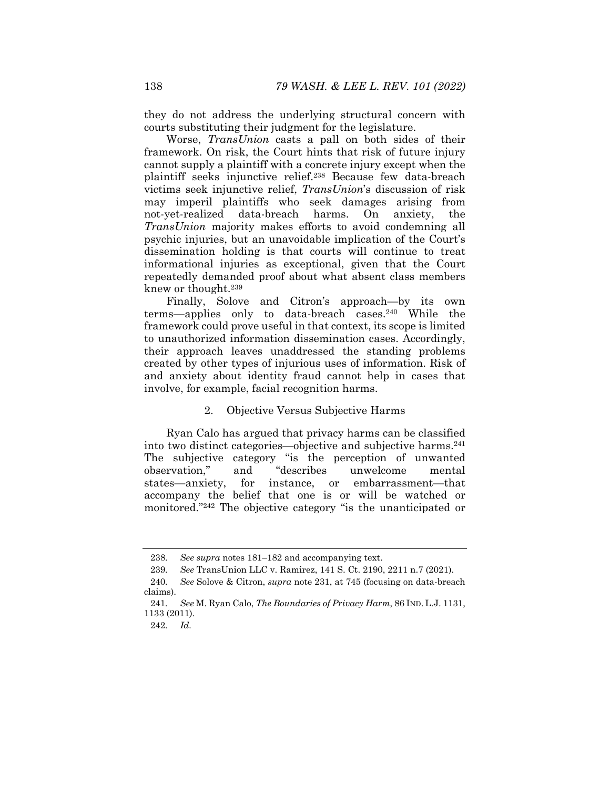they do not address the underlying structural concern with courts substituting their judgment for the legislature.

Worse, *TransUnion* casts a pall on both sides of their framework. On risk, the Court hints that risk of future injury cannot supply a plaintiff with a concrete injury except when the plaintiff seeks injunctive relief.238 Because few data-breach victims seek injunctive relief, *TransUnion*'s discussion of risk may imperil plaintiffs who seek damages arising from not-yet-realized data-breach harms. On anxiety, the *TransUnion* majority makes efforts to avoid condemning all psychic injuries, but an unavoidable implication of the Court's dissemination holding is that courts will continue to treat informational injuries as exceptional, given that the Court repeatedly demanded proof about what absent class members knew or thought.239

Finally, Solove and Citron's approach—by its own terms—applies only to data-breach cases.240 While the framework could prove useful in that context, its scope is limited to unauthorized information dissemination cases. Accordingly, their approach leaves unaddressed the standing problems created by other types of injurious uses of information. Risk of and anxiety about identity fraud cannot help in cases that involve, for example, facial recognition harms.

#### 2. Objective Versus Subjective Harms

Ryan Calo has argued that privacy harms can be classified into two distinct categories—objective and subjective harms.241 The subjective category "is the perception of unwanted observation." and "describes unwelcome mental observation," and "describes unwelcome mental states—anxiety, for instance, or embarrassment—that accompany the belief that one is or will be watched or monitored."242 The objective category "is the unanticipated or

<sup>238</sup>*. See supra* notes 181–182 and accompanying text.

<sup>239</sup>*. See* TransUnion LLC v. Ramirez, 141 S. Ct. 2190, 2211 n.7 (2021).

<sup>240</sup>*. See* Solove & Citron, *supra* note 231, at 745 (focusing on data-breach claims).

<sup>241</sup>*. See* M. Ryan Calo, *The Boundaries of Privacy Harm*, 86 IND. L.J. 1131, 1133 (2011).

<sup>242</sup>*. Id.*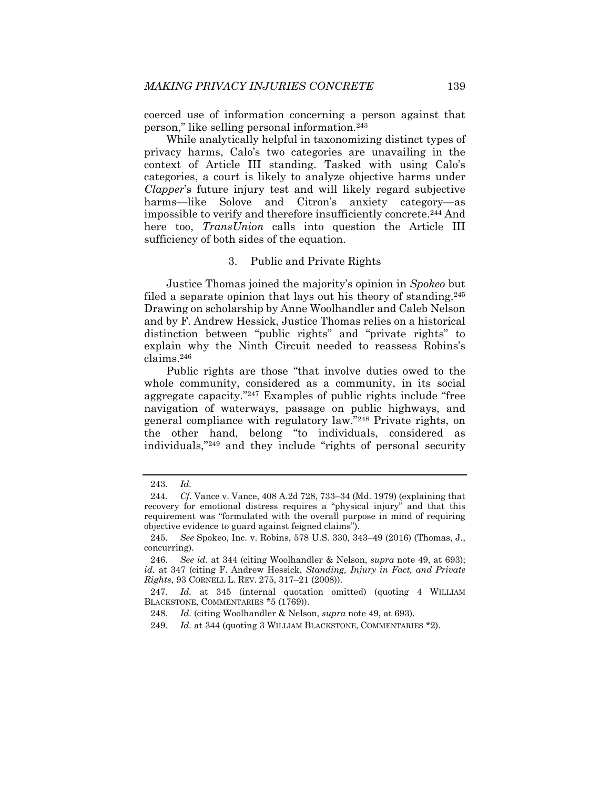coerced use of information concerning a person against that person," like selling personal information.243

While analytically helpful in taxonomizing distinct types of privacy harms, Calo's two categories are unavailing in the context of Article III standing. Tasked with using Calo's categories, a court is likely to analyze objective harms under *Clapper*'s future injury test and will likely regard subjective harms—like Solove and Citron's anxiety category—as impossible to verify and therefore insufficiently concrete.244 And here too, *TransUnion* calls into question the Article III sufficiency of both sides of the equation.

#### 3. Public and Private Rights

Justice Thomas joined the majority's opinion in *Spokeo* but filed a separate opinion that lays out his theory of standing.245 Drawing on scholarship by Anne Woolhandler and Caleb Nelson and by F. Andrew Hessick, Justice Thomas relies on a historical distinction between "public rights" and "private rights" to explain why the Ninth Circuit needed to reassess Robins's claims.246

Public rights are those "that involve duties owed to the whole community, considered as a community, in its social aggregate capacity."247 Examples of public rights include "free navigation of waterways, passage on public highways, and general compliance with regulatory law."248 Private rights, on the other hand, belong "to individuals, considered as individuals,"249 and they include "rights of personal security

<sup>243</sup>*. Id.*

<sup>244</sup>*. Cf.* Vance v. Vance, 408 A.2d 728, 733–34 (Md. 1979) (explaining that recovery for emotional distress requires a "physical injury" and that this requirement was "formulated with the overall purpose in mind of requiring objective evidence to guard against feigned claims").

<sup>245</sup>*. See* Spokeo, Inc. v. Robins, 578 U.S. 330, 343–49 (2016) (Thomas, J., concurring).

<sup>246</sup>*. See id.* at 344 (citing Woolhandler & Nelson, *supra* note 49, at 693); *id.* at 347 (citing F. Andrew Hessick, *Standing, Injury in Fact, and Private Rights*, 93 CORNELL L. REV. 275, 317–21 (2008)).

<sup>247</sup>*. Id.* at 345 (internal quotation omitted) (quoting 4 WILLIAM BLACKSTONE, COMMENTARIES \*5 (1769)).

<sup>248</sup>*. Id.* (citing Woolhandler & Nelson, *supra* note 49, at 693).

<sup>249</sup>*. Id.* at 344 (quoting 3 WILLIAM BLACKSTONE, COMMENTARIES \*2).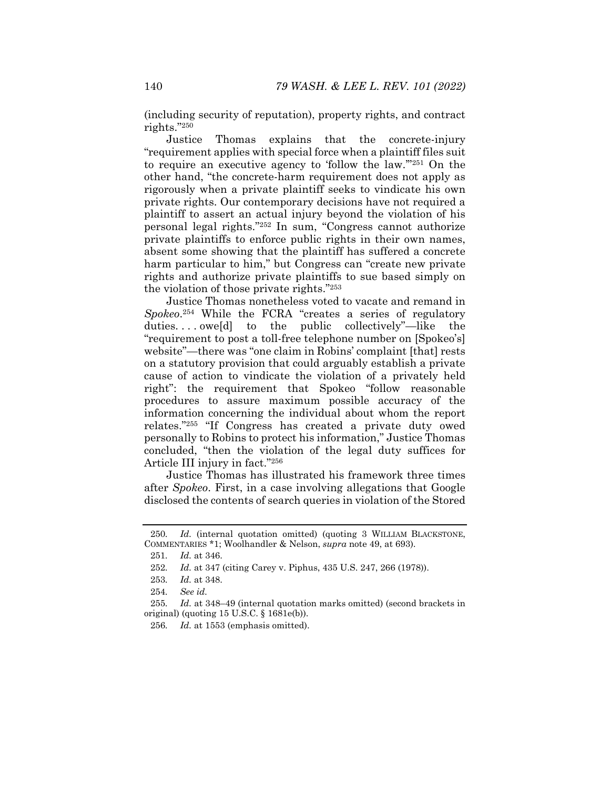(including security of reputation), property rights, and contract rights."250

Justice Thomas explains that the concrete-injury "requirement applies with special force when a plaintiff files suit to require an executive agency to 'follow the law.'"251 On the other hand, "the concrete-harm requirement does not apply as rigorously when a private plaintiff seeks to vindicate his own private rights. Our contemporary decisions have not required a plaintiff to assert an actual injury beyond the violation of his personal legal rights."252 In sum, "Congress cannot authorize private plaintiffs to enforce public rights in their own names, absent some showing that the plaintiff has suffered a concrete harm particular to him," but Congress can "create new private rights and authorize private plaintiffs to sue based simply on the violation of those private rights."253

Justice Thomas nonetheless voted to vacate and remand in *Spokeo*.254 While the FCRA "creates a series of regulatory duties. . . . owe[d] to the public collectively"—like the "requirement to post a toll-free telephone number on [Spokeo's] website"—there was "one claim in Robins' complaint [that] rests on a statutory provision that could arguably establish a private cause of action to vindicate the violation of a privately held right": the requirement that Spokeo "follow reasonable procedures to assure maximum possible accuracy of the information concerning the individual about whom the report relates."255 "If Congress has created a private duty owed personally to Robins to protect his information," Justice Thomas concluded, "then the violation of the legal duty suffices for Article III injury in fact."256

Justice Thomas has illustrated his framework three times after *Spokeo*. First, in a case involving allegations that Google disclosed the contents of search queries in violation of the Stored

<sup>250</sup>*. Id.* (internal quotation omitted) (quoting 3 WILLIAM BLACKSTONE, COMMENTARIES \*1; Woolhandler & Nelson, *supra* note 49, at 693).

<sup>251</sup>*. Id.* at 346.

<sup>252</sup>*. Id.* at 347 (citing Carey v. Piphus, 435 U.S. 247, 266 (1978)).

<sup>253</sup>*. Id.* at 348.

<sup>254</sup>*. See id.*

<sup>255</sup>*. Id.* at 348–49 (internal quotation marks omitted) (second brackets in original) (quoting  $15$  U.S.C.  $\S$   $1681e(b)$ ).

<sup>256</sup>*. Id.* at 1553 (emphasis omitted).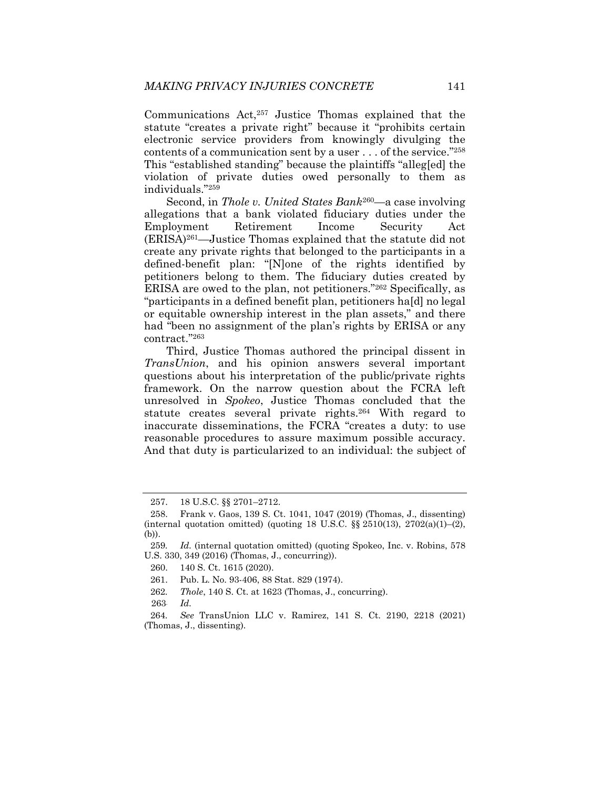Communications Act,257 Justice Thomas explained that the statute "creates a private right" because it "prohibits certain electronic service providers from knowingly divulging the contents of a communication sent by a user . . . of the service."258 This "established standing" because the plaintiffs "alleg[ed] the violation of private duties owed personally to them as individuals."259

Second, in *Thole v. United States Bank*260—a case involving allegations that a bank violated fiduciary duties under the Employment Retirement Income Security Act (ERISA)261—Justice Thomas explained that the statute did not create any private rights that belonged to the participants in a defined-benefit plan: "[N]one of the rights identified by petitioners belong to them. The fiduciary duties created by ERISA are owed to the plan, not petitioners."262 Specifically, as "participants in a defined benefit plan, petitioners ha[d] no legal or equitable ownership interest in the plan assets," and there had "been no assignment of the plan's rights by ERISA or any contract."263

Third, Justice Thomas authored the principal dissent in *TransUnion*, and his opinion answers several important questions about his interpretation of the public/private rights framework. On the narrow question about the FCRA left unresolved in *Spokeo*, Justice Thomas concluded that the statute creates several private rights.264 With regard to inaccurate disseminations, the FCRA "creates a duty: to use reasonable procedures to assure maximum possible accuracy. And that duty is particularized to an individual: the subject of

261. Pub. L. No. 93-406, 88 Stat. 829 (1974).

262*. Thole*, 140 S. Ct. at 1623 (Thomas, J., concurring).

263*. Id.*

264*. See* TransUnion LLC v. Ramirez, 141 S. Ct. 2190, 2218 (2021) (Thomas, J., dissenting).

 <sup>257. 18</sup> U.S.C. §§ 2701–2712.

 <sup>258.</sup> Frank v. Gaos, 139 S. Ct. 1041, 1047 (2019) (Thomas, J., dissenting) (internal quotation omitted) (quoting 18 U.S.C.  $\S$ § 2510(13), 2702(a)(1)–(2), (b)).

<sup>259</sup>*. Id.* (internal quotation omitted) (quoting Spokeo, Inc. v. Robins, 578 U.S. 330, 349 (2016) (Thomas, J., concurring)).

 <sup>260. 140</sup> S. Ct. 1615 (2020).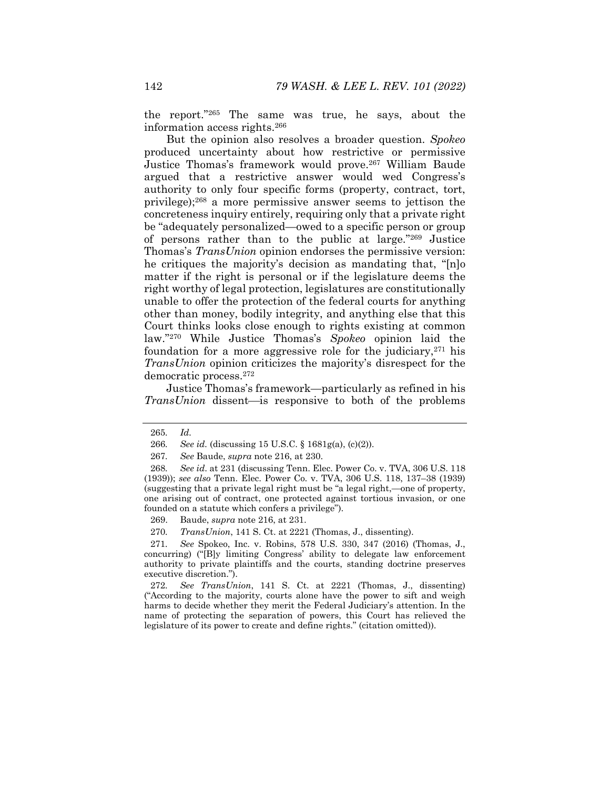the report."265 The same was true, he says, about the information access rights.266

But the opinion also resolves a broader question. *Spokeo* produced uncertainty about how restrictive or permissive Justice Thomas's framework would prove.267 William Baude argued that a restrictive answer would wed Congress's authority to only four specific forms (property, contract, tort, privilege);268 a more permissive answer seems to jettison the concreteness inquiry entirely, requiring only that a private right be "adequately personalized—owed to a specific person or group of persons rather than to the public at large."269 Justice Thomas's *TransUnion* opinion endorses the permissive version: he critiques the majority's decision as mandating that, "[n]o matter if the right is personal or if the legislature deems the right worthy of legal protection, legislatures are constitutionally unable to offer the protection of the federal courts for anything other than money, bodily integrity, and anything else that this Court thinks looks close enough to rights existing at common law."270 While Justice Thomas's *Spokeo* opinion laid the foundation for a more aggressive role for the judiciary,  $271$  his *TransUnion* opinion criticizes the majority's disrespect for the democratic process.272

Justice Thomas's framework—particularly as refined in his *TransUnion* dissent- is responsive to both of the problems

271*. See* Spokeo, Inc. v. Robins, 578 U.S. 330, 347 (2016) (Thomas, J., concurring) ("[B]y limiting Congress' ability to delegate law enforcement authority to private plaintiffs and the courts, standing doctrine preserves executive discretion.").

272*. See TransUnion*, 141 S. Ct. at 2221 (Thomas, J., dissenting) ("According to the majority, courts alone have the power to sift and weigh harms to decide whether they merit the Federal Judiciary's attention. In the name of protecting the separation of powers, this Court has relieved the legislature of its power to create and define rights." (citation omitted)).

<sup>265</sup>*. Id.*

<sup>266</sup>*. See id.* (discussing 15 U.S.C. § 1681g(a), (c)(2)).

<sup>267</sup>*. See* Baude, *supra* note 216, at 230.

<sup>268</sup>*. See id*. at 231 (discussing Tenn. Elec. Power Co. v. TVA, 306 U.S. 118 (1939)); *see also* Tenn. Elec. Power Co. v. TVA, 306 U.S. 118, 137–38 (1939) (suggesting that a private legal right must be "a legal right,—one of property, one arising out of contract, one protected against tortious invasion, or one founded on a statute which confers a privilege").

 <sup>269.</sup> Baude, *supra* note 216, at 231.

<sup>270</sup>*. TransUnion*, 141 S. Ct. at 2221 (Thomas, J., dissenting).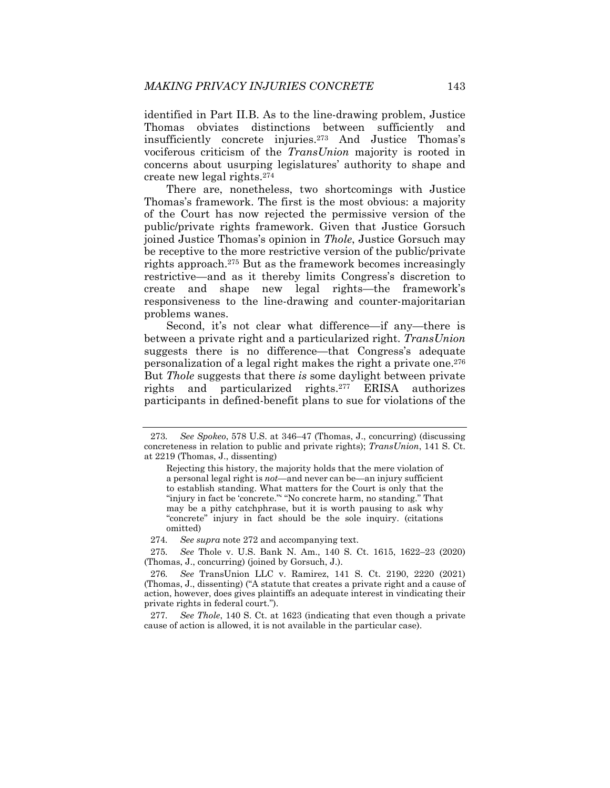identified in Part II.B. As to the line-drawing problem, Justice Thomas obviates distinctions between sufficiently and insufficiently concrete injuries.273 And Justice Thomas's vociferous criticism of the *TransUnion* majority is rooted in concerns about usurping legislatures' authority to shape and create new legal rights.274

There are, nonetheless, two shortcomings with Justice Thomas's framework. The first is the most obvious: a majority of the Court has now rejected the permissive version of the public/private rights framework. Given that Justice Gorsuch joined Justice Thomas's opinion in *Thole*, Justice Gorsuch may be receptive to the more restrictive version of the public/private rights approach.275 But as the framework becomes increasingly restrictive—and as it thereby limits Congress's discretion to create and shape new legal rights—the framework's responsiveness to the line-drawing and counter-majoritarian problems wanes.

Second, it's not clear what difference—if any—there is between a private right and a particularized right. *TransUnion* suggests there is no difference—that Congress's adequate personalization of a legal right makes the right a private one.276 But *Thole* suggests that there *is* some daylight between private rights and particularized rights.277 ERISA authorizes participants in defined-benefit plans to sue for violations of the

274*. See supra* note 272 and accompanying text.

275*. See* Thole v. U.S. Bank N. Am., 140 S. Ct. 1615, 1622–23 (2020) (Thomas, J., concurring) (joined by Gorsuch, J.).

276*. See* TransUnion LLC v. Ramirez, 141 S. Ct. 2190, 2220 (2021) (Thomas, J., dissenting) ("A statute that creates a private right and a cause of action, however, does gives plaintiffs an adequate interest in vindicating their private rights in federal court.").

277*. See Thole*, 140 S. Ct. at 1623 (indicating that even though a private cause of action is allowed, it is not available in the particular case).

<sup>273</sup>*. See Spokeo*, 578 U.S. at 346–47 (Thomas, J., concurring) (discussing concreteness in relation to public and private rights); *TransUnion*, 141 S. Ct. at 2219 (Thomas, J., dissenting)

Rejecting this history, the majority holds that the mere violation of a personal legal right is *not*—and never can be—an injury sufficient to establish standing. What matters for the Court is only that the "injury in fact be 'concrete." "No concrete harm, no standing." That may be a pithy catchphrase, but it is worth pausing to ask why "concrete" injury in fact should be the sole inquiry. (citations omitted)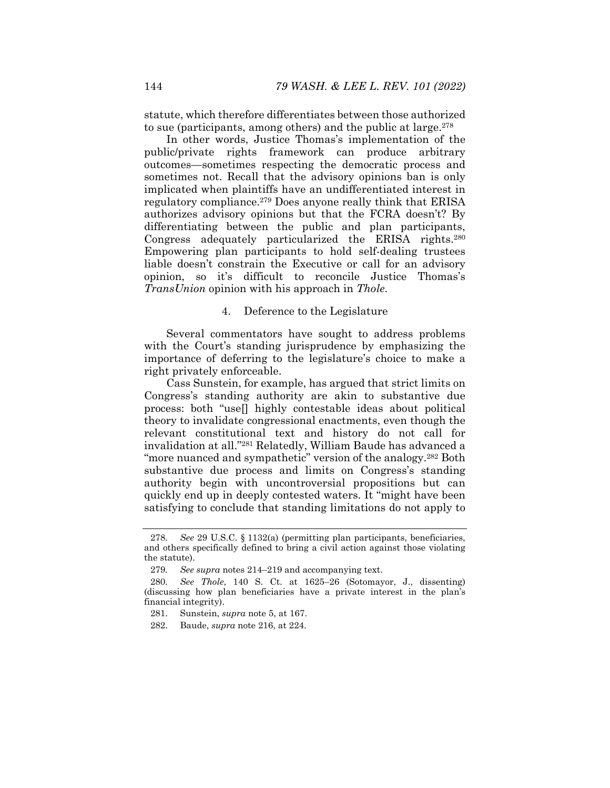statute, which therefore differentiates between those authorized to sue (participants, among others) and the public at large.<sup>278</sup>

In other words, Justice Thomas's implementation of the public/private rights framework can produce arbitrary outcomes—sometimes respecting the democratic process and sometimes not. Recall that the advisory opinions ban is only implicated when plaintiffs have an undifferentiated interest in regulatory compliance.279 Does anyone really think that ERISA authorizes advisory opinions but that the FCRA doesn't? By differentiating between the public and plan participants, Congress adequately particularized the ERISA rights.280 Empowering plan participants to hold self-dealing trustees liable doesn't constrain the Executive or call for an advisory opinion, so it's difficult to reconcile Justice Thomas's *TransUnion* opinion with his approach in *Thole*.

# 4. Deference to the Legislature

Several commentators have sought to address problems with the Court's standing jurisprudence by emphasizing the importance of deferring to the legislature's choice to make a right privately enforceable.

Cass Sunstein, for example, has argued that strict limits on Congress's standing authority are akin to substantive due process: both "use[] highly contestable ideas about political theory to invalidate congressional enactments, even though the relevant constitutional text and history do not call for invalidation at all."281 Relatedly, William Baude has advanced a "more nuanced and sympathetic" version of the analogy.<sup>282</sup> Both substantive due process and limits on Congress's standing authority begin with uncontroversial propositions but can quickly end up in deeply contested waters. It "might have been satisfying to conclude that standing limitations do not apply to

<sup>278</sup>*. See* 29 U.S.C. § 1132(a) (permitting plan participants, beneficiaries, and others specifically defined to bring a civil action against those violating the statute).

<sup>279</sup>*. See supra* notes 214–219 and accompanying text.

<sup>280</sup>*. See Thole*, 140 S. Ct. at 1625–26 (Sotomayor, J., dissenting) (discussing how plan beneficiaries have a private interest in the plan's financial integrity).

 <sup>281.</sup> Sunstein, *supra* note 5, at 167.

 <sup>282.</sup> Baude, *supra* note 216, at 224.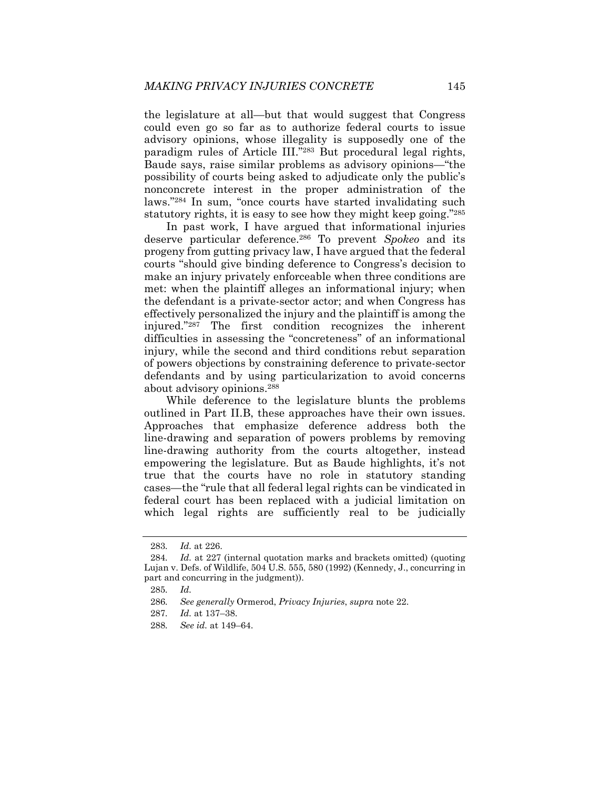the legislature at all—but that would suggest that Congress could even go so far as to authorize federal courts to issue advisory opinions, whose illegality is supposedly one of the paradigm rules of Article III."283 But procedural legal rights, Baude says, raise similar problems as advisory opinions—"the possibility of courts being asked to adjudicate only the public's nonconcrete interest in the proper administration of the laws."284 In sum, "once courts have started invalidating such statutory rights, it is easy to see how they might keep going."285

In past work, I have argued that informational injuries deserve particular deference.286 To prevent *Spokeo* and its progeny from gutting privacy law, I have argued that the federal courts "should give binding deference to Congress's decision to make an injury privately enforceable when three conditions are met: when the plaintiff alleges an informational injury; when the defendant is a private-sector actor; and when Congress has effectively personalized the injury and the plaintiff is among the injured."287 The first condition recognizes the inherent difficulties in assessing the "concreteness" of an informational injury, while the second and third conditions rebut separation of powers objections by constraining deference to private-sector defendants and by using particularization to avoid concerns about advisory opinions.288

While deference to the legislature blunts the problems outlined in Part II.B, these approaches have their own issues. Approaches that emphasize deference address both the line-drawing and separation of powers problems by removing line-drawing authority from the courts altogether, instead empowering the legislature. But as Baude highlights, it's not true that the courts have no role in statutory standing cases—the "rule that all federal legal rights can be vindicated in federal court has been replaced with a judicial limitation on which legal rights are sufficiently real to be judicially

<sup>283</sup>*. Id.* at 226.

<sup>284</sup>*. Id.* at 227 (internal quotation marks and brackets omitted) (quoting Lujan v. Defs. of Wildlife, 504 U.S. 555, 580 (1992) (Kennedy, J., concurring in part and concurring in the judgment)).

<sup>285</sup>*. Id.*

<sup>286</sup>*. See generally* Ormerod, *Privacy Injuries*, *supra* note 22.

<sup>287</sup>*. Id.* at 137–38.

<sup>288</sup>*. See id.* at 149–64.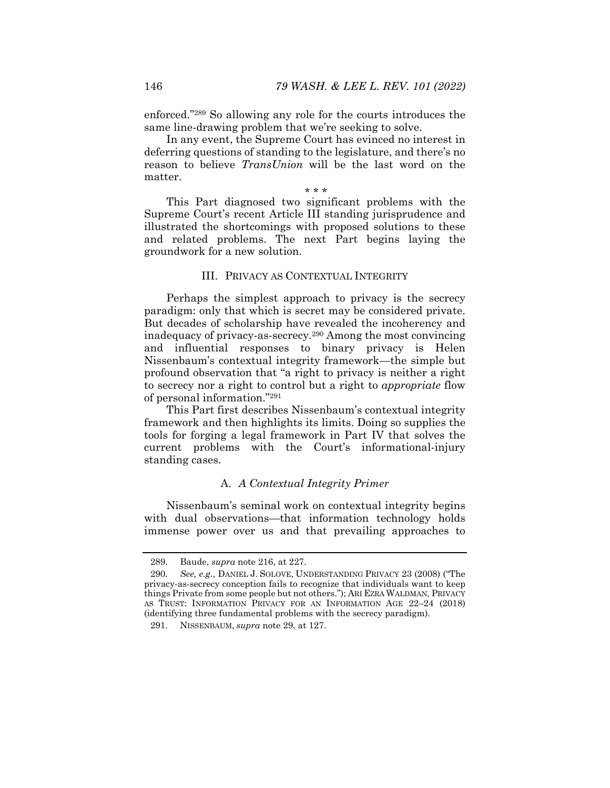enforced."289 So allowing any role for the courts introduces the same line-drawing problem that we're seeking to solve.

In any event, the Supreme Court has evinced no interest in deferring questions of standing to the legislature, and there's no reason to believe *TransUnion* will be the last word on the matter.

\* \* \*

This Part diagnosed two significant problems with the Supreme Court's recent Article III standing jurisprudence and illustrated the shortcomings with proposed solutions to these and related problems. The next Part begins laying the groundwork for a new solution.

### III. PRIVACY AS CONTEXTUAL INTEGRITY

Perhaps the simplest approach to privacy is the secrecy paradigm: only that which is secret may be considered private. But decades of scholarship have revealed the incoherency and inadequacy of privacy-as-secrecy.290 Among the most convincing and influential responses to binary privacy is Helen Nissenbaum's contextual integrity framework—the simple but profound observation that "a right to privacy is neither a right to secrecy nor a right to control but a right to *appropriate* flow of personal information."291

This Part first describes Nissenbaum's contextual integrity framework and then highlights its limits. Doing so supplies the tools for forging a legal framework in Part IV that solves the current problems with the Court's informational-injury standing cases.

#### A. *A Contextual Integrity Primer*

Nissenbaum's seminal work on contextual integrity begins with dual observations—that information technology holds immense power over us and that prevailing approaches to

 <sup>289.</sup> Baude, *supra* note 216, at 227.

<sup>290</sup>*. See, e.g.*, DANIEL J. SOLOVE, UNDERSTANDING PRIVACY 23 (2008) ("The privacy-as-secrecy conception fails to recognize that individuals want to keep things Private from some people but not others."); ARI EZRA WALDMAN, PRIVACY AS TRUST: INFORMATION PRIVACY FOR AN INFORMATION AGE 22–24 (2018) (identifying three fundamental problems with the secrecy paradigm).

 <sup>291.</sup> NISSENBAUM, *supra* note 29, at 127.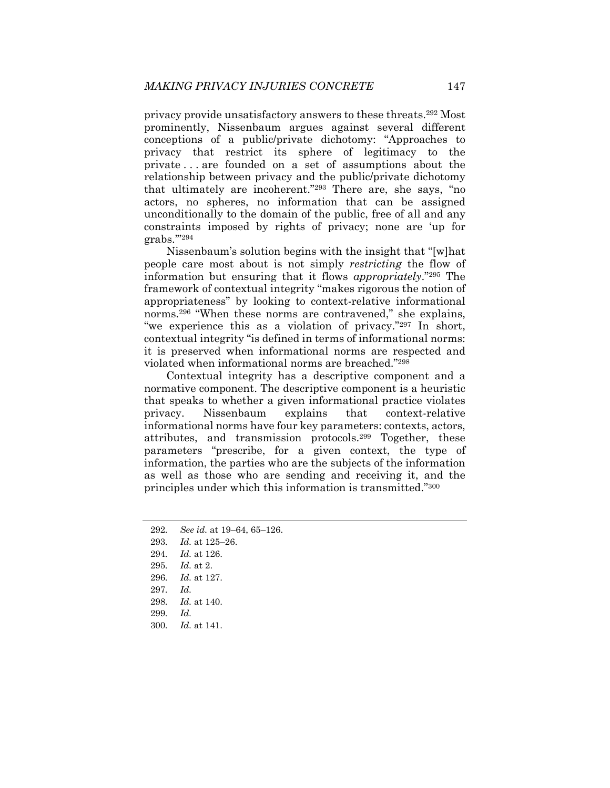privacy provide unsatisfactory answers to these threats.292 Most prominently, Nissenbaum argues against several different conceptions of a public/private dichotomy: "Approaches to privacy that restrict its sphere of legitimacy to the private . . . are founded on a set of assumptions about the relationship between privacy and the public/private dichotomy that ultimately are incoherent."293 There are, she says, "no actors, no spheres, no information that can be assigned unconditionally to the domain of the public, free of all and any constraints imposed by rights of privacy; none are 'up for grabs.'"294

Nissenbaum's solution begins with the insight that "[w]hat people care most about is not simply *restricting* the flow of information but ensuring that it flows *appropriately*."295 The framework of contextual integrity "makes rigorous the notion of appropriateness" by looking to context-relative informational norms.296 "When these norms are contravened," she explains, "we experience this as a violation of privacy."<sup>297</sup> In short, contextual integrity "is defined in terms of informational norms: it is preserved when informational norms are respected and violated when informational norms are breached."298

Contextual integrity has a descriptive component and a normative component. The descriptive component is a heuristic that speaks to whether a given informational practice violates privacy. Nissenbaum explains that context-relative informational norms have four key parameters: contexts, actors, attributes, and transmission protocols.299 Together, these parameters "prescribe, for a given context, the type of information, the parties who are the subjects of the information as well as those who are sending and receiving it, and the principles under which this information is transmitted."300

- 292*. See id.* at 19–64, 65–126.
- 293*. Id.* at 125–26.
- 294*. Id.* at 126.
- 295*. Id.* at 2.
- 296*. Id.* at 127.
- 297*. Id.*
- 298*. Id.* at 140.
- 299*. Id.*
- 300*. Id.* at 141.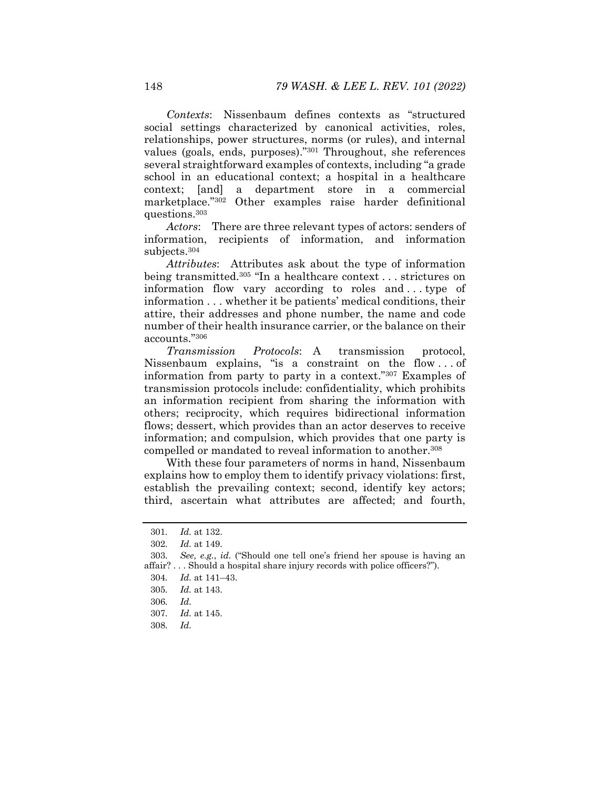*Contexts*: Nissenbaum defines contexts as "structured social settings characterized by canonical activities, roles, relationships, power structures, norms (or rules), and internal values (goals, ends, purposes)."301 Throughout, she references several straightforward examples of contexts, including "a grade school in an educational context; a hospital in a healthcare context; [and] a department store in a commercial marketplace."302 Other examples raise harder definitional questions.303

*Actors*: There are three relevant types of actors: senders of information, recipients of information, and information subjects.304

*Attributes*: Attributes ask about the type of information being transmitted.305 "In a healthcare context . . . strictures on information flow vary according to roles and . . . type of information . . . whether it be patients' medical conditions, their attire, their addresses and phone number, the name and code number of their health insurance carrier, or the balance on their accounts."306

*Transmission Protocols*: A transmission protocol, Nissenbaum explains, "is a constraint on the flow . . . of information from party to party in a context."307 Examples of transmission protocols include: confidentiality, which prohibits an information recipient from sharing the information with others; reciprocity, which requires bidirectional information flows; dessert, which provides than an actor deserves to receive information; and compulsion, which provides that one party is compelled or mandated to reveal information to another.308

With these four parameters of norms in hand, Nissenbaum explains how to employ them to identify privacy violations: first, establish the prevailing context; second, identify key actors; third, ascertain what attributes are affected; and fourth,

<sup>301</sup>*. Id.* at 132.

<sup>302</sup>*. Id.* at 149.

<sup>303</sup>*. See, e.g.*, *id.* ("Should one tell one's friend her spouse is having an affair? . . . Should a hospital share injury records with police officers?").

<sup>304</sup>*. Id.* at 141–43.

<sup>305</sup>*. Id.* at 143.

<sup>306</sup>*. Id.*

<sup>307</sup>*. Id.* at 145.

<sup>308</sup>*. Id.*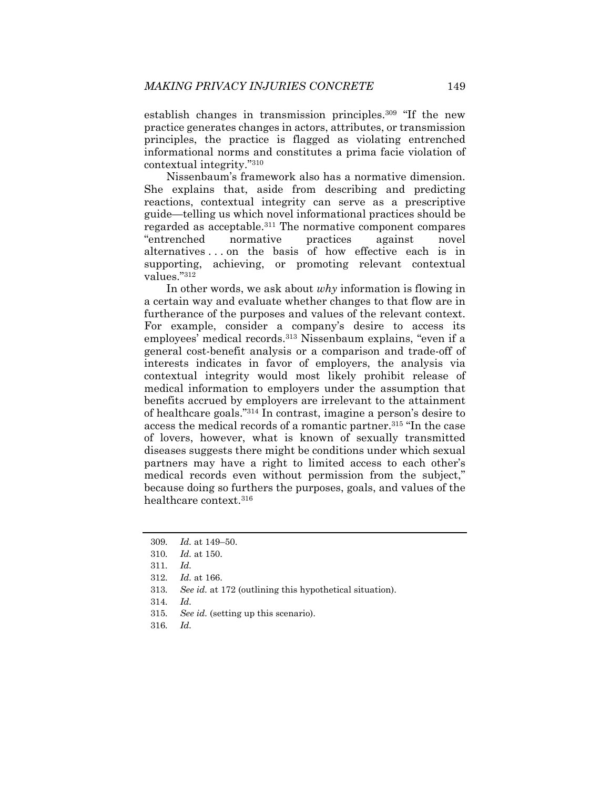establish changes in transmission principles.309 "If the new practice generates changes in actors, attributes, or transmission principles, the practice is flagged as violating entrenched informational norms and constitutes a prima facie violation of contextual integrity."310

Nissenbaum's framework also has a normative dimension. She explains that, aside from describing and predicting reactions, contextual integrity can serve as a prescriptive guide—telling us which novel informational practices should be regarded as acceptable.311 The normative component compares "entrenched normative practices against novel alternatives . . . on the basis of how effective each is in supporting, achieving, or promoting relevant contextual values."312

In other words, we ask about *why* information is flowing in a certain way and evaluate whether changes to that flow are in furtherance of the purposes and values of the relevant context. For example, consider a company's desire to access its employees' medical records.313 Nissenbaum explains, "even if a general cost-benefit analysis or a comparison and trade-off of interests indicates in favor of employers, the analysis via contextual integrity would most likely prohibit release of medical information to employers under the assumption that benefits accrued by employers are irrelevant to the attainment of healthcare goals."314 In contrast, imagine a person's desire to access the medical records of a romantic partner.315 "In the case of lovers, however, what is known of sexually transmitted diseases suggests there might be conditions under which sexual partners may have a right to limited access to each other's medical records even without permission from the subject," because doing so furthers the purposes, goals, and values of the healthcare context.316

- 315*. See id.* (setting up this scenario).
- 316*. Id.*

<sup>309</sup>*. Id.* at 149–50.

<sup>310</sup>*. Id.* at 150.

<sup>311</sup>*. Id.*

<sup>312</sup>*. Id.* at 166.

<sup>313</sup>*. See id.* at 172 (outlining this hypothetical situation).

<sup>314</sup>*. Id.*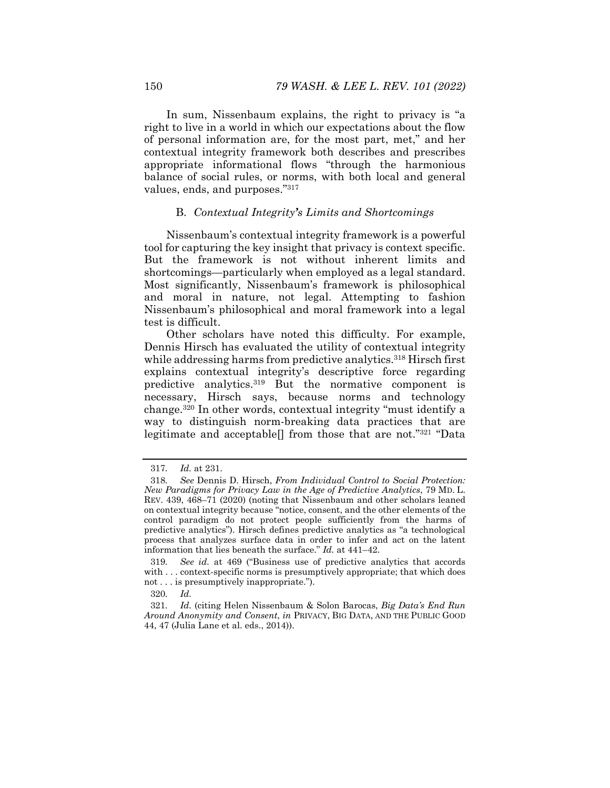In sum, Nissenbaum explains, the right to privacy is "a right to live in a world in which our expectations about the flow of personal information are, for the most part, met," and her contextual integrity framework both describes and prescribes appropriate informational flows "through the harmonious balance of social rules, or norms, with both local and general values, ends, and purposes."317

# B. *Contextual Integrity's Limits and Shortcomings*

Nissenbaum's contextual integrity framework is a powerful tool for capturing the key insight that privacy is context specific. But the framework is not without inherent limits and shortcomings—particularly when employed as a legal standard. Most significantly, Nissenbaum's framework is philosophical and moral in nature, not legal. Attempting to fashion Nissenbaum's philosophical and moral framework into a legal test is difficult.

Other scholars have noted this difficulty. For example, Dennis Hirsch has evaluated the utility of contextual integrity while addressing harms from predictive analytics.<sup>318</sup> Hirsch first explains contextual integrity's descriptive force regarding predictive analytics.319 But the normative component is necessary, Hirsch says, because norms and technology change.320 In other words, contextual integrity "must identify a way to distinguish norm-breaking data practices that are legitimate and acceptable[] from those that are not."321 "Data

<sup>317</sup>*. Id.* at 231.

<sup>318</sup>*. See* Dennis D. Hirsch, *From Individual Control to Social Protection: New Paradigms for Privacy Law in the Age of Predictive Analytics*, 79 MD. L. REV. 439, 468–71 (2020) (noting that Nissenbaum and other scholars leaned on contextual integrity because "notice, consent, and the other elements of the control paradigm do not protect people sufficiently from the harms of predictive analytics"). Hirsch defines predictive analytics as "a technological process that analyzes surface data in order to infer and act on the latent information that lies beneath the surface." *Id.* at 441–42.

<sup>319</sup>*. See id.* at 469 ("Business use of predictive analytics that accords with . . . context-specific norms is presumptively appropriate; that which does not . . . is presumptively inappropriate.").

<sup>320</sup>*. Id.*

<sup>321</sup>*. Id.* (citing Helen Nissenbaum & Solon Barocas, *Big Data's End Run Around Anonymity and Consent*, *in* PRIVACY, BIG DATA, AND THE PUBLIC GOOD 44, 47 (Julia Lane et al. eds., 2014)).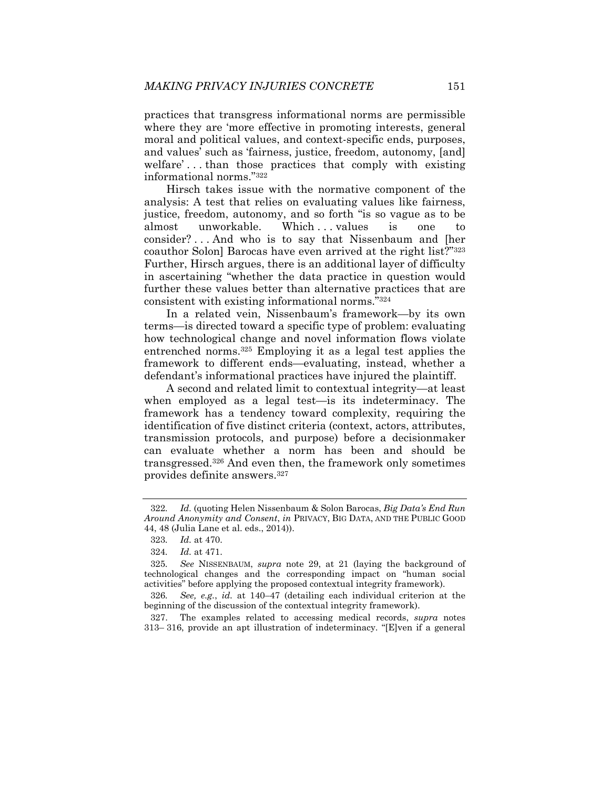practices that transgress informational norms are permissible where they are 'more effective in promoting interests, general moral and political values, and context-specific ends, purposes, and values' such as 'fairness, justice, freedom, autonomy, [and] welfare'...than those practices that comply with existing informational norms."322

Hirsch takes issue with the normative component of the analysis: A test that relies on evaluating values like fairness, justice, freedom, autonomy, and so forth "is so vague as to be almost unworkable. Which ... values is one to consider? . . . And who is to say that Nissenbaum and [her coauthor Solon] Barocas have even arrived at the right list?"323 Further, Hirsch argues, there is an additional layer of difficulty in ascertaining "whether the data practice in question would further these values better than alternative practices that are consistent with existing informational norms."324

In a related vein, Nissenbaum's framework—by its own terms—is directed toward a specific type of problem: evaluating how technological change and novel information flows violate entrenched norms.325 Employing it as a legal test applies the framework to different ends—evaluating, instead, whether a defendant's informational practices have injured the plaintiff.

A second and related limit to contextual integrity—at least when employed as a legal test—is its indeterminacy. The framework has a tendency toward complexity, requiring the identification of five distinct criteria (context, actors, attributes, transmission protocols, and purpose) before a decisionmaker can evaluate whether a norm has been and should be transgressed.326 And even then, the framework only sometimes provides definite answers.327

 327. The examples related to accessing medical records, *supra* notes 313– 316, provide an apt illustration of indeterminacy. "[E]ven if a general

<sup>322</sup>*. Id.* (quoting Helen Nissenbaum & Solon Barocas, *Big Data's End Run Around Anonymity and Consent*, *in* PRIVACY, BIG DATA, AND THE PUBLIC GOOD 44, 48 (Julia Lane et al. eds., 2014)).

<sup>323</sup>*. Id.* at 470.

<sup>324</sup>*. Id.* at 471.

<sup>325</sup>*. See* NISSENBAUM, *supra* note 29, at 21 (laying the background of technological changes and the corresponding impact on "human social activities" before applying the proposed contextual integrity framework).

<sup>326</sup>*. See, e.g.*, *id.* at 140–47 (detailing each individual criterion at the beginning of the discussion of the contextual integrity framework).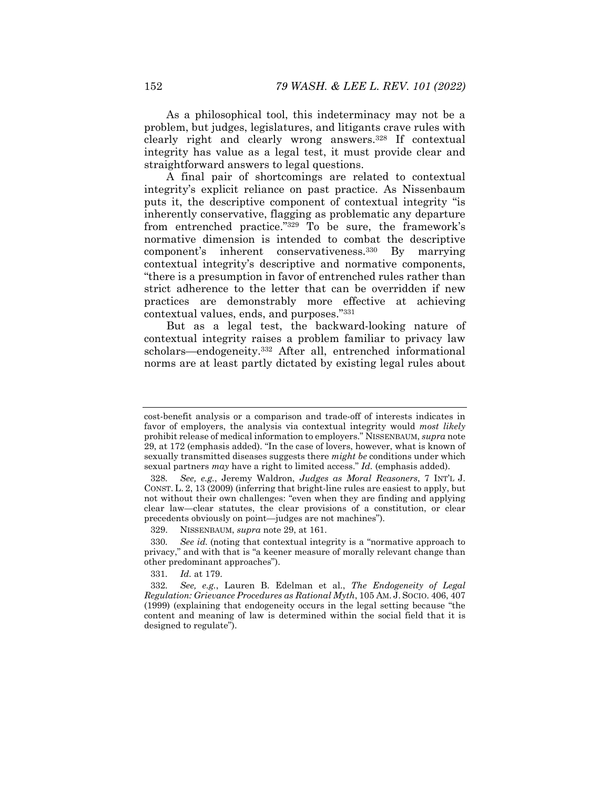As a philosophical tool, this indeterminacy may not be a problem, but judges, legislatures, and litigants crave rules with clearly right and clearly wrong answers.328 If contextual integrity has value as a legal test, it must provide clear and straightforward answers to legal questions.

A final pair of shortcomings are related to contextual integrity's explicit reliance on past practice. As Nissenbaum puts it, the descriptive component of contextual integrity "is inherently conservative, flagging as problematic any departure from entrenched practice."329 To be sure, the framework's normative dimension is intended to combat the descriptive component's inherent conservativeness.330 By marrying contextual integrity's descriptive and normative components, "there is a presumption in favor of entrenched rules rather than strict adherence to the letter that can be overridden if new practices are demonstrably more effective at achieving contextual values, ends, and purposes."331

But as a legal test, the backward-looking nature of contextual integrity raises a problem familiar to privacy law scholars—endogeneity.332 After all, entrenched informational norms are at least partly dictated by existing legal rules about

331*. Id.* at 179.

cost-benefit analysis or a comparison and trade-off of interests indicates in favor of employers, the analysis via contextual integrity would *most likely* prohibit release of medical information to employers." NISSENBAUM, *supra* note 29, at 172 (emphasis added). "In the case of lovers, however, what is known of sexually transmitted diseases suggests there *might be* conditions under which sexual partners *may* have a right to limited access." *Id.* (emphasis added).

<sup>328</sup>*. See, e.g.*, Jeremy Waldron, *Judges as Moral Reasoners*, 7 INT'L J. CONST. L. 2, 13 (2009) (inferring that bright-line rules are easiest to apply, but not without their own challenges: "even when they are finding and applying clear law—clear statutes, the clear provisions of a constitution, or clear precedents obviously on point—judges are not machines").

 <sup>329.</sup> NISSENBAUM, *supra* note 29, at 161.

<sup>330</sup>*. See id.* (noting that contextual integrity is a "normative approach to privacy," and with that is "a keener measure of morally relevant change than other predominant approaches").

<sup>332</sup>*. See, e.g.*, Lauren B. Edelman et al., *The Endogeneity of Legal Regulation: Grievance Procedures as Rational Myth*, 105 AM. J. SOCIO. 406, 407 (1999) (explaining that endogeneity occurs in the legal setting because "the content and meaning of law is determined within the social field that it is designed to regulate").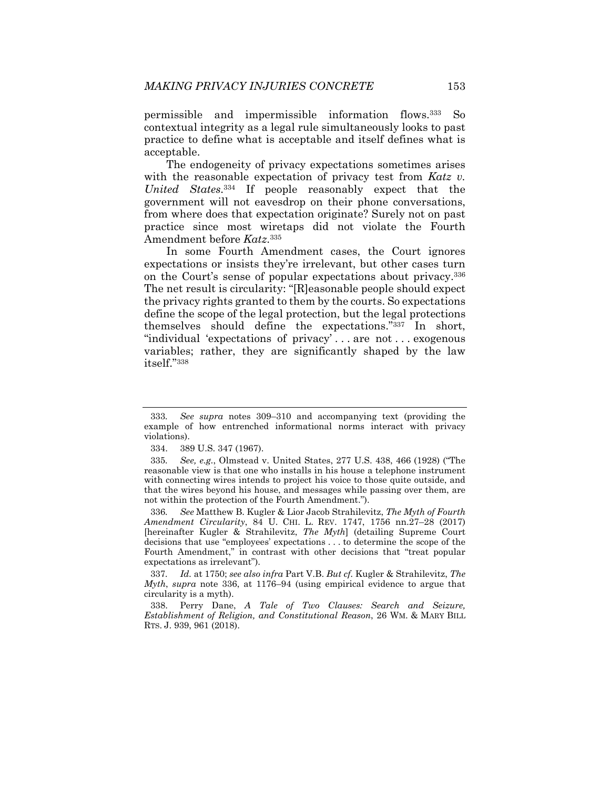permissible and impermissible information flows.333 So contextual integrity as a legal rule simultaneously looks to past practice to define what is acceptable and itself defines what is acceptable.

The endogeneity of privacy expectations sometimes arises with the reasonable expectation of privacy test from *Katz v. United States*.334 If people reasonably expect that the government will not eavesdrop on their phone conversations, from where does that expectation originate? Surely not on past practice since most wiretaps did not violate the Fourth Amendment before *Katz*.335

In some Fourth Amendment cases, the Court ignores expectations or insists they're irrelevant, but other cases turn on the Court's sense of popular expectations about privacy.336 The net result is circularity: "[R]easonable people should expect the privacy rights granted to them by the courts. So expectations define the scope of the legal protection, but the legal protections themselves should define the expectations."337 In short, "individual 'expectations of privacy' . . . are not . . . exogenous variables; rather, they are significantly shaped by the law itself."338

336*. See* Matthew B. Kugler & Lior Jacob Strahilevitz, *The Myth of Fourth Amendment Circularity*, 84 U. CHI. L. REV. 1747, 1756 nn.27–28 (2017) [hereinafter Kugler & Strahilevitz, *The Myth*] (detailing Supreme Court decisions that use "employees' expectations . . . to determine the scope of the Fourth Amendment," in contrast with other decisions that "treat popular expectations as irrelevant").

337*. Id.* at 1750; *see also infra* Part V.B. *But cf.* Kugler & Strahilevitz, *The Myth*, *supra* note 336, at 1176–94 (using empirical evidence to argue that circularity is a myth).

 338. Perry Dane, *A Tale of Two Clauses: Search and Seizure, Establishment of Religion, and Constitutional Reason*, 26 WM. & MARY BILL RTS. J. 939, 961 (2018).

<sup>333</sup>*. See supra* notes 309–310 and accompanying text (providing the example of how entrenched informational norms interact with privacy violations).

 <sup>334. 389</sup> U.S. 347 (1967).

<sup>335</sup>*. See, e.g.*, Olmstead v. United States, 277 U.S. 438, 466 (1928) ("The reasonable view is that one who installs in his house a telephone instrument with connecting wires intends to project his voice to those quite outside, and that the wires beyond his house, and messages while passing over them, are not within the protection of the Fourth Amendment.").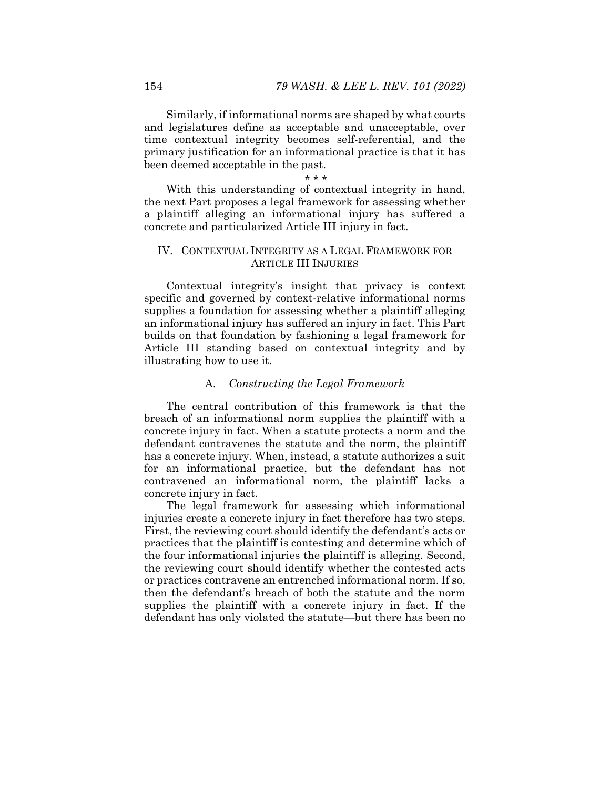Similarly, if informational norms are shaped by what courts and legislatures define as acceptable and unacceptable, over time contextual integrity becomes self-referential, and the primary justification for an informational practice is that it has been deemed acceptable in the past.

\* \* \* With this understanding of contextual integrity in hand, the next Part proposes a legal framework for assessing whether a plaintiff alleging an informational injury has suffered a concrete and particularized Article III injury in fact.

## IV. CONTEXTUAL INTEGRITY AS A LEGAL FRAMEWORK FOR ARTICLE III INJURIES

Contextual integrity's insight that privacy is context specific and governed by context-relative informational norms supplies a foundation for assessing whether a plaintiff alleging an informational injury has suffered an injury in fact. This Part builds on that foundation by fashioning a legal framework for Article III standing based on contextual integrity and by illustrating how to use it.

# A. *Constructing the Legal Framework*

The central contribution of this framework is that the breach of an informational norm supplies the plaintiff with a concrete injury in fact. When a statute protects a norm and the defendant contravenes the statute and the norm, the plaintiff has a concrete injury. When, instead, a statute authorizes a suit for an informational practice, but the defendant has not contravened an informational norm, the plaintiff lacks a concrete injury in fact.

The legal framework for assessing which informational injuries create a concrete injury in fact therefore has two steps. First, the reviewing court should identify the defendant's acts or practices that the plaintiff is contesting and determine which of the four informational injuries the plaintiff is alleging. Second, the reviewing court should identify whether the contested acts or practices contravene an entrenched informational norm. If so, then the defendant's breach of both the statute and the norm supplies the plaintiff with a concrete injury in fact. If the defendant has only violated the statute—but there has been no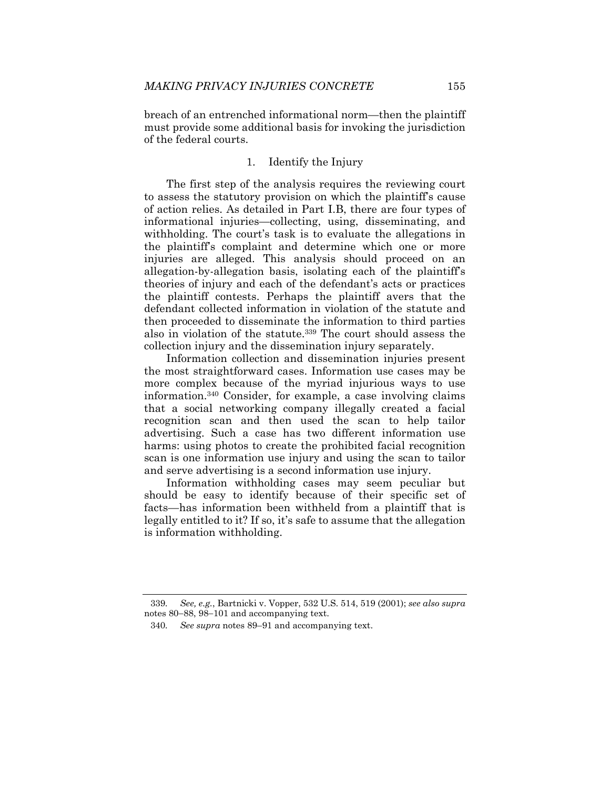breach of an entrenched informational norm—then the plaintiff must provide some additional basis for invoking the jurisdiction of the federal courts.

### 1. Identify the Injury

The first step of the analysis requires the reviewing court to assess the statutory provision on which the plaintiff's cause of action relies. As detailed in Part I.B, there are four types of informational injuries—collecting, using, disseminating, and withholding. The court's task is to evaluate the allegations in the plaintiff's complaint and determine which one or more injuries are alleged. This analysis should proceed on an allegation-by-allegation basis, isolating each of the plaintiff's theories of injury and each of the defendant's acts or practices the plaintiff contests. Perhaps the plaintiff avers that the defendant collected information in violation of the statute and then proceeded to disseminate the information to third parties also in violation of the statute.<sup>339</sup> The court should assess the collection injury and the dissemination injury separately.

Information collection and dissemination injuries present the most straightforward cases. Information use cases may be more complex because of the myriad injurious ways to use information.340 Consider, for example, a case involving claims that a social networking company illegally created a facial recognition scan and then used the scan to help tailor advertising. Such a case has two different information use harms: using photos to create the prohibited facial recognition scan is one information use injury and using the scan to tailor and serve advertising is a second information use injury.

Information withholding cases may seem peculiar but should be easy to identify because of their specific set of facts—has information been withheld from a plaintiff that is legally entitled to it? If so, it's safe to assume that the allegation is information withholding.

<sup>339</sup>*. See, e.g.*, Bartnicki v. Vopper, 532 U.S. 514, 519 (2001); *see also supra* notes 80-88, 98-101 and accompanying text.

<sup>340</sup>*. See supra* notes 89–91 and accompanying text.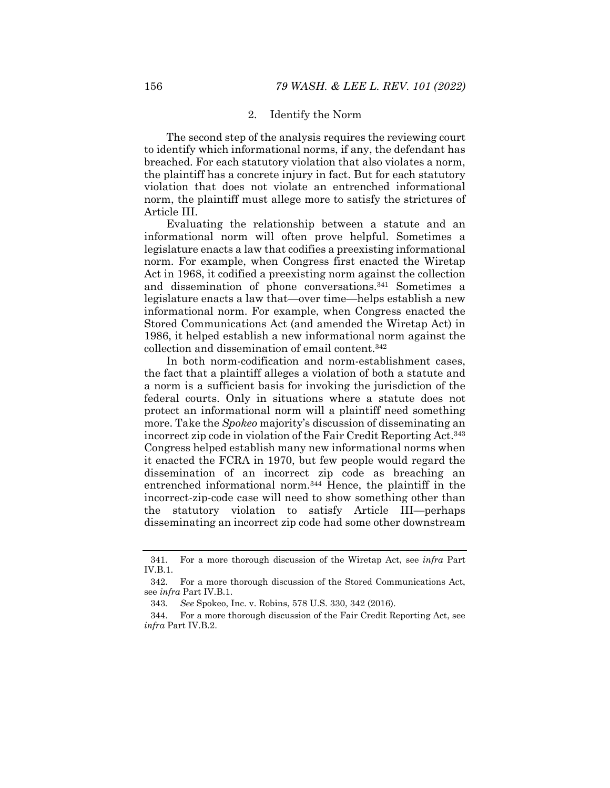#### 2. Identify the Norm

The second step of the analysis requires the reviewing court to identify which informational norms, if any, the defendant has breached. For each statutory violation that also violates a norm, the plaintiff has a concrete injury in fact. But for each statutory violation that does not violate an entrenched informational norm, the plaintiff must allege more to satisfy the strictures of Article III.

Evaluating the relationship between a statute and an informational norm will often prove helpful. Sometimes a legislature enacts a law that codifies a preexisting informational norm. For example, when Congress first enacted the Wiretap Act in 1968, it codified a preexisting norm against the collection and dissemination of phone conversations.341 Sometimes a legislature enacts a law that—over time—helps establish a new informational norm. For example, when Congress enacted the Stored Communications Act (and amended the Wiretap Act) in 1986, it helped establish a new informational norm against the collection and dissemination of email content.342

In both norm-codification and norm-establishment cases, the fact that a plaintiff alleges a violation of both a statute and a norm is a sufficient basis for invoking the jurisdiction of the federal courts. Only in situations where a statute does not protect an informational norm will a plaintiff need something more. Take the *Spokeo* majority's discussion of disseminating an incorrect zip code in violation of the Fair Credit Reporting Act.343 Congress helped establish many new informational norms when it enacted the FCRA in 1970, but few people would regard the dissemination of an incorrect zip code as breaching an entrenched informational norm.344 Hence, the plaintiff in the incorrect-zip-code case will need to show something other than the statutory violation to satisfy Article III—perhaps disseminating an incorrect zip code had some other downstream

 <sup>341.</sup> For a more thorough discussion of the Wiretap Act, see *infra* Part IV.B.1.

 <sup>342.</sup> For a more thorough discussion of the Stored Communications Act, see *infra* Part IV.B.1.

<sup>343</sup>*. See* Spokeo, Inc. v. Robins, 578 U.S. 330, 342 (2016).

 <sup>344.</sup> For a more thorough discussion of the Fair Credit Reporting Act, see *infra* Part IV.B.2.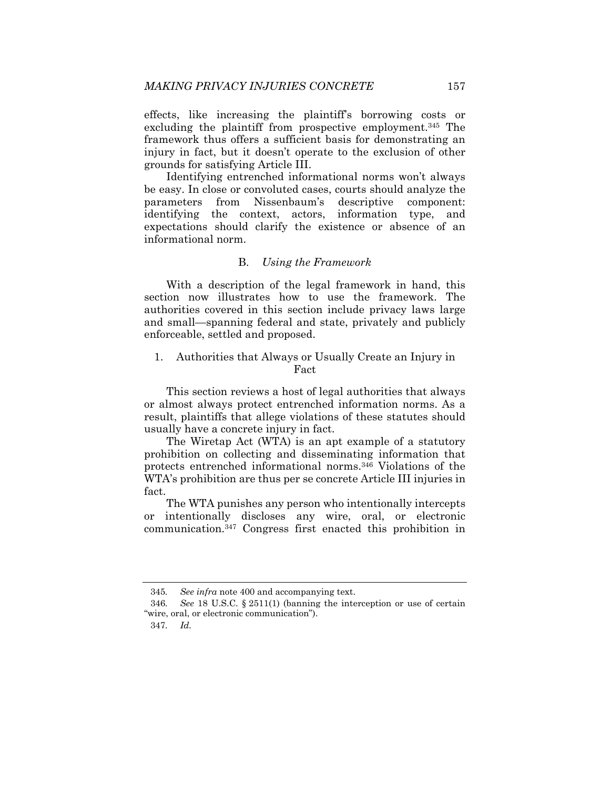effects, like increasing the plaintiff's borrowing costs or excluding the plaintiff from prospective employment.<sup>345</sup> The framework thus offers a sufficient basis for demonstrating an injury in fact, but it doesn't operate to the exclusion of other grounds for satisfying Article III.

Identifying entrenched informational norms won't always be easy. In close or convoluted cases, courts should analyze the parameters from Nissenbaum's descriptive component: identifying the context, actors, information type, and expectations should clarify the existence or absence of an informational norm.

## B. *Using the Framework*

With a description of the legal framework in hand, this section now illustrates how to use the framework. The authorities covered in this section include privacy laws large and small—spanning federal and state, privately and publicly enforceable, settled and proposed.

# 1. Authorities that Always or Usually Create an Injury in Fact

This section reviews a host of legal authorities that always or almost always protect entrenched information norms. As a result, plaintiffs that allege violations of these statutes should usually have a concrete injury in fact.

The Wiretap Act (WTA) is an apt example of a statutory prohibition on collecting and disseminating information that protects entrenched informational norms.346 Violations of the WTA's prohibition are thus per se concrete Article III injuries in fact.

The WTA punishes any person who intentionally intercepts or intentionally discloses any wire, oral, or electronic communication.347 Congress first enacted this prohibition in

<sup>345</sup>*. See infra* note 400 and accompanying text.

<sup>346</sup>*. See* 18 U.S.C. § 2511(1) (banning the interception or use of certain "wire, oral, or electronic communication").

<sup>347</sup>*. Id.*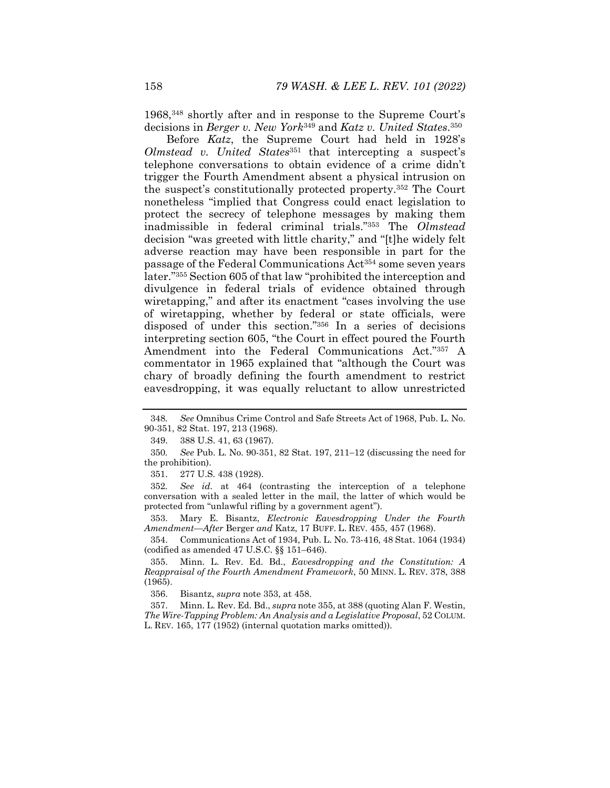1968,348 shortly after and in response to the Supreme Court's decisions in *Berger v. New York*349 and *Katz v. United States*.350

Before *Katz*, the Supreme Court had held in 1928's *Olmstead v. United States*351 that intercepting a suspect's telephone conversations to obtain evidence of a crime didn't trigger the Fourth Amendment absent a physical intrusion on the suspect's constitutionally protected property.352 The Court nonetheless "implied that Congress could enact legislation to protect the secrecy of telephone messages by making them inadmissible in federal criminal trials."353 The *Olmstead* decision "was greeted with little charity," and "[t]he widely felt adverse reaction may have been responsible in part for the passage of the Federal Communications Act354 some seven years later."355 Section 605 of that law "prohibited the interception and divulgence in federal trials of evidence obtained through wiretapping," and after its enactment "cases involving the use of wiretapping, whether by federal or state officials, were disposed of under this section."356 In a series of decisions interpreting section 605, "the Court in effect poured the Fourth Amendment into the Federal Communications Act."357 A commentator in 1965 explained that "although the Court was chary of broadly defining the fourth amendment to restrict eavesdropping, it was equally reluctant to allow unrestricted

351. 277 U.S. 438 (1928).

352*. See id.* at 464 (contrasting the interception of a telephone conversation with a sealed letter in the mail, the latter of which would be protected from "unlawful rifling by a government agent").

 353. Mary E. Bisantz, *Electronic Eavesdropping Under the Fourth Amendment—After* Berger *and* Katz, 17 BUFF. L. REV. 455, 457 (1968).

 354. Communications Act of 1934, Pub. L. No. 73-416, 48 Stat. 1064 (1934) (codified as amended 47 U.S.C. §§ 151–646).

 355. Minn. L. Rev. Ed. Bd., *Eavesdropping and the Constitution: A Reappraisal of the Fourth Amendment Framework*, 50 MINN. L. REV. 378, 388 (1965).

356. Bisantz, *supra* note 353, at 458.

 357. Minn. L. Rev. Ed. Bd., *supra* note 355, at 388 (quoting Alan F. Westin, *The Wire-Tapping Problem: An Analysis and a Legislative Proposal*, 52 COLUM. L. REV. 165, 177 (1952) (internal quotation marks omitted)).

<sup>348</sup>*. See* Omnibus Crime Control and Safe Streets Act of 1968, Pub. L. No. 90-351, 82 Stat. 197, 213 (1968).

 <sup>349. 388</sup> U.S. 41, 63 (1967).

<sup>350.</sup> See Pub. L. No. 90-351, 82 Stat. 197, 211–12 (discussing the need for the prohibition).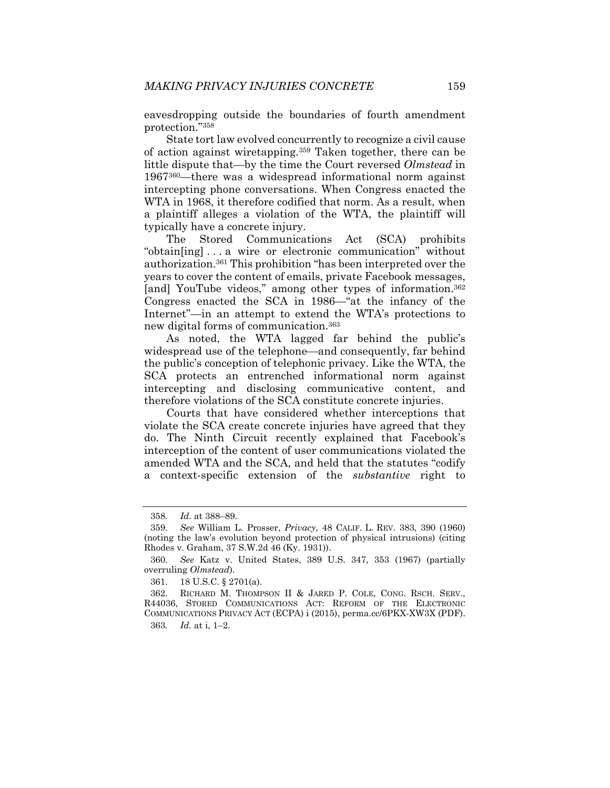eavesdropping outside the boundaries of fourth amendment protection."358

State tort law evolved concurrently to recognize a civil cause of action against wiretapping.359 Taken together, there can be little dispute that—by the time the Court reversed *Olmstead* in 1967360—there was a widespread informational norm against intercepting phone conversations. When Congress enacted the WTA in 1968, it therefore codified that norm. As a result, when a plaintiff alleges a violation of the WTA, the plaintiff will typically have a concrete injury.

The Stored Communications Act (SCA) prohibits "obtain[ing] . . . a wire or electronic communication" without authorization.361 This prohibition "has been interpreted over the years to cover the content of emails, private Facebook messages, [and] YouTube videos," among other types of information.<sup>362</sup> Congress enacted the SCA in 1986—"at the infancy of the Internet"—in an attempt to extend the WTA's protections to new digital forms of communication.363

As noted, the WTA lagged far behind the public's widespread use of the telephone—and consequently, far behind the public's conception of telephonic privacy. Like the WTA, the SCA protects an entrenched informational norm against intercepting and disclosing communicative content, and therefore violations of the SCA constitute concrete injuries.

Courts that have considered whether interceptions that violate the SCA create concrete injuries have agreed that they do. The Ninth Circuit recently explained that Facebook's interception of the content of user communications violated the amended WTA and the SCA, and held that the statutes "codify a context-specific extension of the *substantive* right to

<sup>358</sup>*. Id.* at 388–89.

<sup>359</sup>*. See* William L. Prosser, *Privacy*, 48 CALIF. L. REV. 383, 390 (1960) (noting the law's evolution beyond protection of physical intrusions) (citing Rhodes v. Graham, 37 S.W.2d 46 (Ky. 1931)).

<sup>360</sup>*. See* Katz v. United States, 389 U.S. 347, 353 (1967) (partially overruling *Olmstead*).

 <sup>361. 18</sup> U.S.C. § 2701(a).

 <sup>362.</sup> RICHARD M. THOMPSON II & JARED P. COLE, CONG. RSCH. SERV., R44036, STORED COMMUNICATIONS ACT: REFORM OF THE ELECTRONIC COMMUNICATIONS PRIVACY ACT (ECPA) i (2015), perma.cc/6PKX-XW3X (PDF). 363*. Id.* at i, 1–2.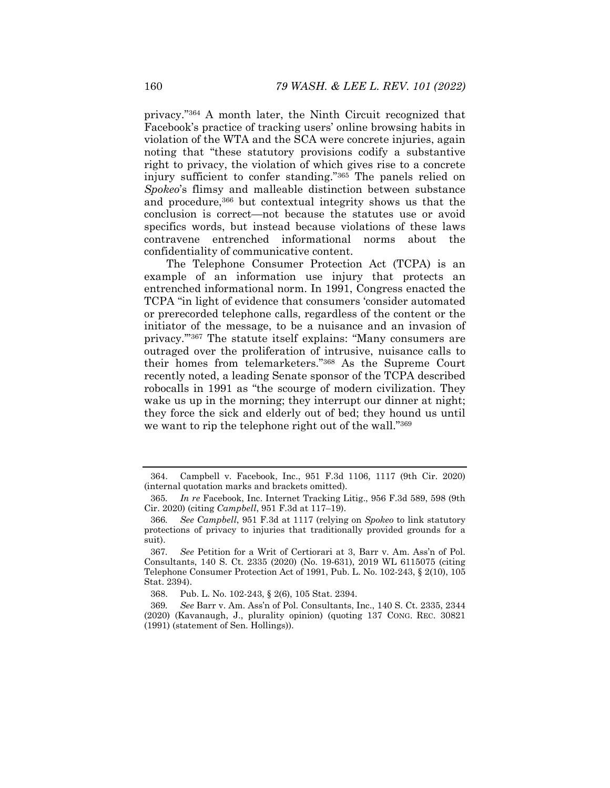privacy."364 A month later, the Ninth Circuit recognized that Facebook's practice of tracking users' online browsing habits in violation of the WTA and the SCA were concrete injuries, again noting that "these statutory provisions codify a substantive right to privacy, the violation of which gives rise to a concrete injury sufficient to confer standing."365 The panels relied on *Spokeo*'s flimsy and malleable distinction between substance and procedure,<sup>366</sup> but contextual integrity shows us that the conclusion is correct—not because the statutes use or avoid specifics words, but instead because violations of these laws contravene entrenched informational norms about the confidentiality of communicative content.

The Telephone Consumer Protection Act (TCPA) is an example of an information use injury that protects an entrenched informational norm. In 1991, Congress enacted the TCPA "in light of evidence that consumers 'consider automated or prerecorded telephone calls, regardless of the content or the initiator of the message, to be a nuisance and an invasion of privacy.'"367 The statute itself explains: "Many consumers are outraged over the proliferation of intrusive, nuisance calls to their homes from telemarketers."368 As the Supreme Court recently noted, a leading Senate sponsor of the TCPA described robocalls in 1991 as "the scourge of modern civilization. They wake us up in the morning; they interrupt our dinner at night; they force the sick and elderly out of bed; they hound us until we want to rip the telephone right out of the wall."369

 <sup>364.</sup> Campbell v. Facebook, Inc., 951 F.3d 1106, 1117 (9th Cir. 2020) (internal quotation marks and brackets omitted).

<sup>365</sup>*. In re* Facebook, Inc. Internet Tracking Litig., 956 F.3d 589, 598 (9th Cir. 2020) (citing *Campbell*, 951 F.3d at 117–19).

<sup>366</sup>*. See Campbell*, 951 F.3d at 1117 (relying on *Spokeo* to link statutory protections of privacy to injuries that traditionally provided grounds for a suit).

<sup>367</sup>*. See* Petition for a Writ of Certiorari at 3, Barr v. Am. Ass'n of Pol. Consultants, 140 S. Ct. 2335 (2020) (No. 19-631), 2019 WL 6115075 (citing Telephone Consumer Protection Act of 1991, Pub. L. No. 102-243, § 2(10), 105 Stat. 2394).

 <sup>368.</sup> Pub. L. No. 102-243, § 2(6), 105 Stat. 2394.

<sup>369</sup>*. See* Barr v. Am. Ass'n of Pol. Consultants, Inc., 140 S. Ct. 2335, 2344 (2020) (Kavanaugh, J., plurality opinion) (quoting 137 CONG. REC. 30821 (1991) (statement of Sen. Hollings)).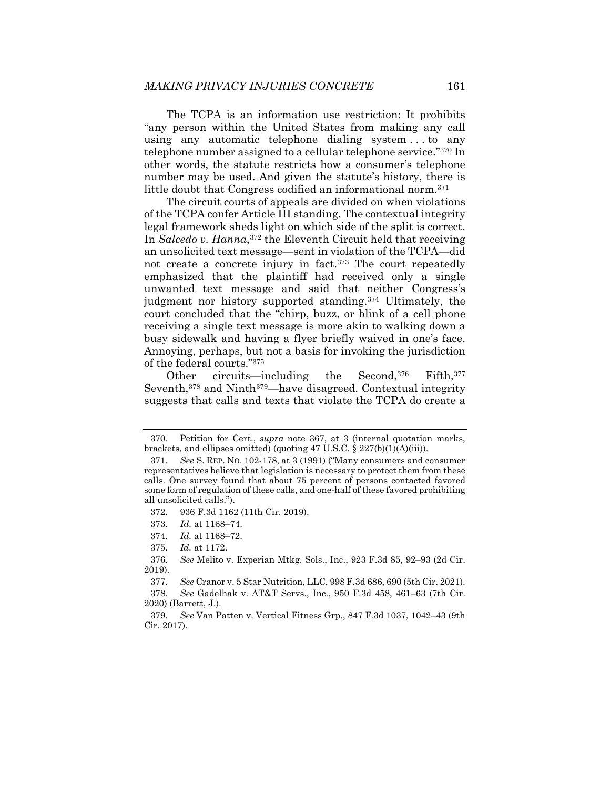The TCPA is an information use restriction: It prohibits "any person within the United States from making any call using any automatic telephone dialing system . . . to any telephone number assigned to a cellular telephone service."370 In other words, the statute restricts how a consumer's telephone number may be used. And given the statute's history, there is little doubt that Congress codified an informational norm.371

The circuit courts of appeals are divided on when violations of the TCPA confer Article III standing. The contextual integrity legal framework sheds light on which side of the split is correct. In *Salcedo v. Hanna*,372 the Eleventh Circuit held that receiving an unsolicited text message—sent in violation of the TCPA—did not create a concrete injury in fact.<sup>373</sup> The court repeatedly emphasized that the plaintiff had received only a single unwanted text message and said that neither Congress's judgment nor history supported standing.374 Ultimately, the court concluded that the "chirp, buzz, or blink of a cell phone receiving a single text message is more akin to walking down a busy sidewalk and having a flyer briefly waived in one's face. Annoying, perhaps, but not a basis for invoking the jurisdiction of the federal courts."375

Other circuits—including the Second,<sup>376</sup> Fifth,<sup>377</sup> Seventh,<sup>378</sup> and Ninth<sup>379</sup>—have disagreed. Contextual integrity suggests that calls and texts that violate the TCPA do create a

 <sup>370.</sup> Petition for Cert., *supra* note 367, at 3 (internal quotation marks, brackets, and ellipses omitted) (quoting 47 U.S.C. § 227(b)(1)(A)(iii)).

<sup>371</sup>*. See* S. REP. NO. 102-178, at 3 (1991) ("Many consumers and consumer representatives believe that legislation is necessary to protect them from these calls. One survey found that about 75 percent of persons contacted favored some form of regulation of these calls, and one-half of these favored prohibiting all unsolicited calls.").

 <sup>372. 936</sup> F.3d 1162 (11th Cir. 2019).

<sup>373</sup>*. Id.* at 1168–74.

<sup>374</sup>*. Id.* at 1168–72.

<sup>375</sup>*. Id.* at 1172.

<sup>376</sup>*. See* Melito v. Experian Mtkg. Sols., Inc., 923 F.3d 85, 92–93 (2d Cir. 2019).

<sup>377</sup>*. See* Cranor v. 5 Star Nutrition, LLC, 998 F.3d 686, 690 (5th Cir. 2021).

<sup>378</sup>*. See* Gadelhak v. AT&T Servs., Inc., 950 F.3d 458, 461–63 (7th Cir. 2020) (Barrett, J.).

<sup>379</sup>*. See* Van Patten v. Vertical Fitness Grp., 847 F.3d 1037, 1042–43 (9th Cir. 2017).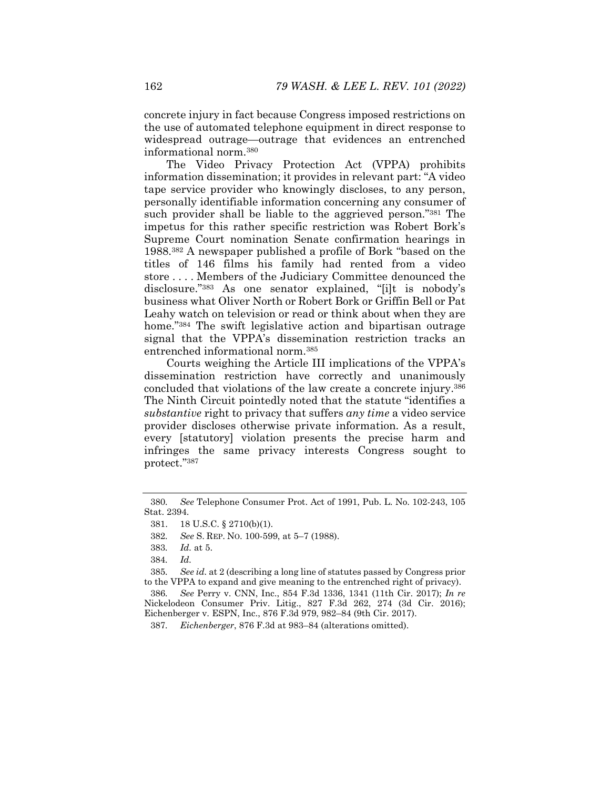concrete injury in fact because Congress imposed restrictions on the use of automated telephone equipment in direct response to widespread outrage—outrage that evidences an entrenched informational norm.380

The Video Privacy Protection Act (VPPA) prohibits information dissemination; it provides in relevant part: "A video tape service provider who knowingly discloses, to any person, personally identifiable information concerning any consumer of such provider shall be liable to the aggrieved person."381 The impetus for this rather specific restriction was Robert Bork's Supreme Court nomination Senate confirmation hearings in 1988.382 A newspaper published a profile of Bork "based on the titles of 146 films his family had rented from a video store . . . . Members of the Judiciary Committee denounced the disclosure."383 As one senator explained, "[i]t is nobody's business what Oliver North or Robert Bork or Griffin Bell or Pat Leahy watch on television or read or think about when they are home."<sup>384</sup> The swift legislative action and bipartisan outrage signal that the VPPA's dissemination restriction tracks an entrenched informational norm.385

Courts weighing the Article III implications of the VPPA's dissemination restriction have correctly and unanimously concluded that violations of the law create a concrete injury.386 The Ninth Circuit pointedly noted that the statute "identifies a *substantive* right to privacy that suffers *any time* a video service provider discloses otherwise private information. As a result, every [statutory] violation presents the precise harm and infringes the same privacy interests Congress sought to protect."387

<sup>380</sup>*. See* Telephone Consumer Prot. Act of 1991, Pub. L. No. 102-243, 105 Stat. 2394.

 <sup>381. 18</sup> U.S.C. § 2710(b)(1).

<sup>382</sup>*. See* S. REP. NO. 100-599, at 5–7 (1988).

<sup>383</sup>*. Id.* at 5.

<sup>384</sup>*. Id.*

<sup>385</sup>*. See id.* at 2 (describing a long line of statutes passed by Congress prior to the VPPA to expand and give meaning to the entrenched right of privacy).

<sup>386</sup>*. See* Perry v. CNN, Inc., 854 F.3d 1336, 1341 (11th Cir. 2017); *In re* Nickelodeon Consumer Priv. Litig., 827 F.3d 262, 274 (3d Cir. 2016); Eichenberger v. ESPN, Inc., 876 F.3d 979, 982–84 (9th Cir. 2017).

<sup>387</sup>*. Eichenberger*, 876 F.3d at 983–84 (alterations omitted).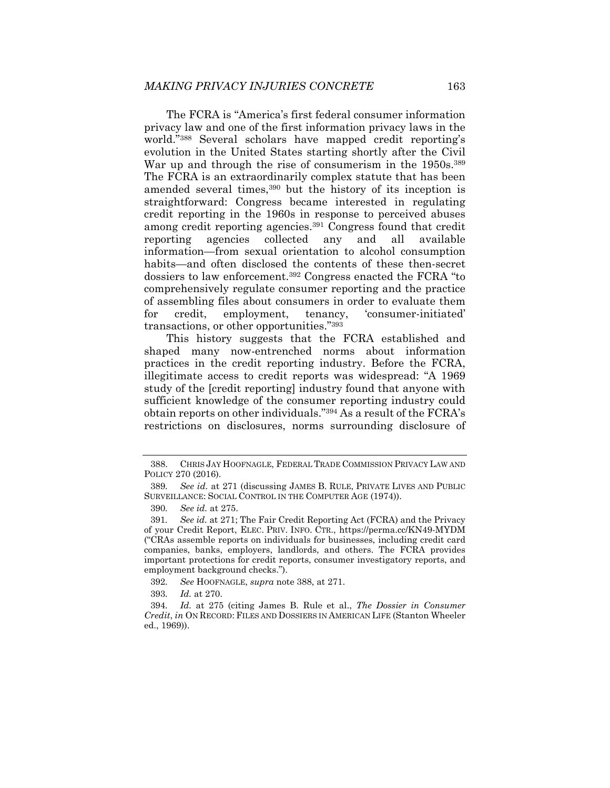The FCRA is "America's first federal consumer information privacy law and one of the first information privacy laws in the world."388 Several scholars have mapped credit reporting's evolution in the United States starting shortly after the Civil War up and through the rise of consumerism in the 1950s.<sup>389</sup> The FCRA is an extraordinarily complex statute that has been amended several times,<sup>390</sup> but the history of its inception is straightforward: Congress became interested in regulating credit reporting in the 1960s in response to perceived abuses among credit reporting agencies.<sup>391</sup> Congress found that credit reporting agencies collected any and all available information—from sexual orientation to alcohol consumption habits—and often disclosed the contents of these then-secret dossiers to law enforcement.392 Congress enacted the FCRA "to comprehensively regulate consumer reporting and the practice of assembling files about consumers in order to evaluate them for credit, employment, tenancy, 'consumer-initiated' transactions, or other opportunities."393

This history suggests that the FCRA established and shaped many now-entrenched norms about information practices in the credit reporting industry. Before the FCRA, illegitimate access to credit reports was widespread: "A 1969 study of the [credit reporting] industry found that anyone with sufficient knowledge of the consumer reporting industry could obtain reports on other individuals."394 As a result of the FCRA's restrictions on disclosures, norms surrounding disclosure of

393*. Id.* at 270.

 <sup>388.</sup> CHRIS JAY HOOFNAGLE, FEDERAL TRADE COMMISSION PRIVACY LAW AND POLICY 270 (2016).

<sup>389</sup>*. See id.* at 271 (discussing JAMES B. RULE, PRIVATE LIVES AND PUBLIC SURVEILLANCE: SOCIAL CONTROL IN THE COMPUTER AGE (1974)).

<sup>390</sup>*. See id.* at 275.

<sup>391</sup>*. See id.* at 271; The Fair Credit Reporting Act (FCRA) and the Privacy of your Credit Report, ELEC. PRIV. INFO. CTR., https://perma.cc/KN49-MYDM ("CRAs assemble reports on individuals for businesses, including credit card companies, banks, employers, landlords, and others. The FCRA provides important protections for credit reports, consumer investigatory reports, and employment background checks.").

<sup>392</sup>*. See* HOOFNAGLE, *supra* note 388, at 271.

<sup>394</sup>*. Id.* at 275 (citing James B. Rule et al., *The Dossier in Consumer Credit*, *in* ON RECORD: FILES AND DOSSIERS IN AMERICAN LIFE (Stanton Wheeler ed., 1969)).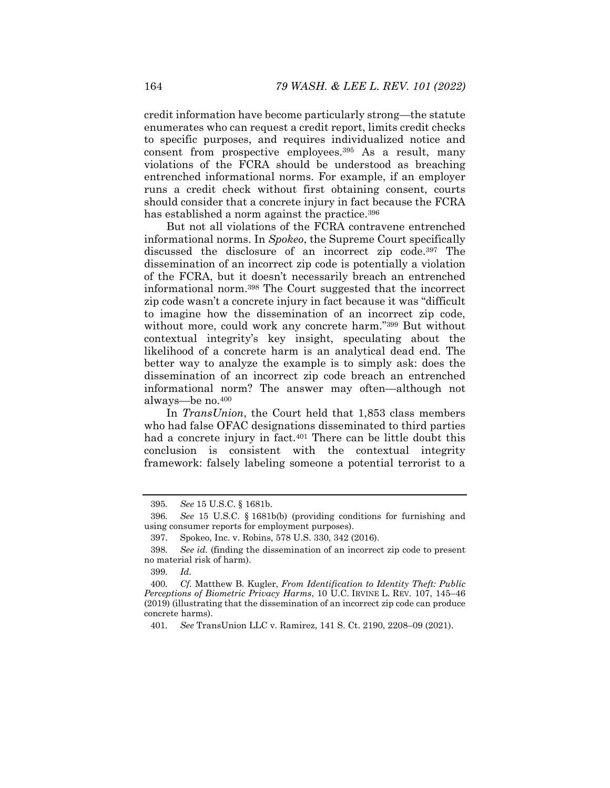credit information have become particularly strong—the statute enumerates who can request a credit report, limits credit checks to specific purposes, and requires individualized notice and consent from prospective employees.395 As a result, many violations of the FCRA should be understood as breaching entrenched informational norms. For example, if an employer runs a credit check without first obtaining consent, courts should consider that a concrete injury in fact because the FCRA has established a norm against the practice.<sup>396</sup>

But not all violations of the FCRA contravene entrenched informational norms. In *Spokeo*, the Supreme Court specifically discussed the disclosure of an incorrect zip code.397 The dissemination of an incorrect zip code is potentially a violation of the FCRA, but it doesn't necessarily breach an entrenched informational norm.398 The Court suggested that the incorrect zip code wasn't a concrete injury in fact because it was "difficult to imagine how the dissemination of an incorrect zip code, without more, could work any concrete harm."<sup>399</sup> But without contextual integrity's key insight, speculating about the likelihood of a concrete harm is an analytical dead end. The better way to analyze the example is to simply ask: does the dissemination of an incorrect zip code breach an entrenched informational norm? The answer may often—although not always—be no.400

In *TransUnion*, the Court held that 1,853 class members who had false OFAC designations disseminated to third parties had a concrete injury in fact.<sup>401</sup> There can be little doubt this conclusion is consistent with the contextual integrity framework: falsely labeling someone a potential terrorist to a

399*. Id.*

<sup>395</sup>*. See* 15 U.S.C. § 1681b.

<sup>396</sup>*. See* 15 U.S.C. § 1681b(b) (providing conditions for furnishing and using consumer reports for employment purposes).

 <sup>397.</sup> Spokeo, Inc. v. Robins, 578 U.S. 330, 342 (2016).

<sup>398</sup>*. See id.* (finding the dissemination of an incorrect zip code to present no material risk of harm).

<sup>400</sup>*. Cf.* Matthew B. Kugler, *From Identification to Identity Theft: Public Perceptions of Biometric Privacy Harms*, 10 U.C. IRVINE L. REV. 107, 145–46 (2019) (illustrating that the dissemination of an incorrect zip code can produce concrete harms).

<sup>401</sup>*. See* TransUnion LLC v. Ramirez, 141 S. Ct. 2190, 2208–09 (2021).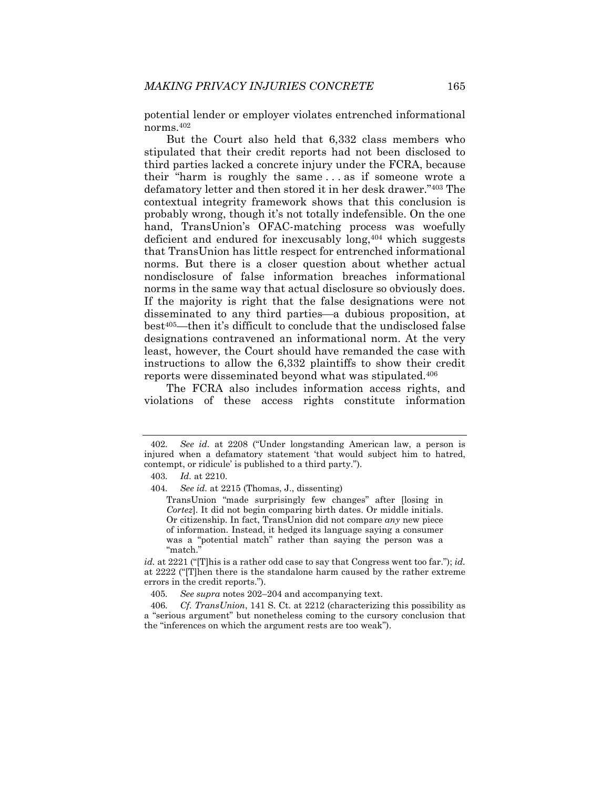potential lender or employer violates entrenched informational norms.402

But the Court also held that 6,332 class members who stipulated that their credit reports had not been disclosed to third parties lacked a concrete injury under the FCRA, because their "harm is roughly the same . . . as if someone wrote a defamatory letter and then stored it in her desk drawer."403 The contextual integrity framework shows that this conclusion is probably wrong, though it's not totally indefensible. On the one hand, TransUnion's OFAC-matching process was woefully deficient and endured for inexcusably long,404 which suggests that TransUnion has little respect for entrenched informational norms. But there is a closer question about whether actual nondisclosure of false information breaches informational norms in the same way that actual disclosure so obviously does. If the majority is right that the false designations were not disseminated to any third parties—a dubious proposition, at best405—then it's difficult to conclude that the undisclosed false designations contravened an informational norm. At the very least, however, the Court should have remanded the case with instructions to allow the 6,332 plaintiffs to show their credit reports were disseminated beyond what was stipulated.406

The FCRA also includes information access rights, and violations of these access rights constitute information

<sup>402</sup>*. See id.* at 2208 ("Under longstanding American law, a person is injured when a defamatory statement 'that would subject him to hatred, contempt, or ridicule' is published to a third party.").

<sup>403</sup>*. Id.* at 2210.

<sup>404</sup>*. See id.* at 2215 (Thomas, J., dissenting)

TransUnion "made surprisingly few changes" after [losing in *Cortez*]. It did not begin comparing birth dates. Or middle initials. Or citizenship. In fact, TransUnion did not compare *any* new piece of information. Instead, it hedged its language saying a consumer was a "potential match" rather than saying the person was a "match."

*id.* at 2221 ("[T]his is a rather odd case to say that Congress went too far."); *id.* at 2222 ("[T]hen there is the standalone harm caused by the rather extreme errors in the credit reports.").

<sup>405</sup>*. See supra* notes 202–204 and accompanying text.

<sup>406</sup>*. Cf. TransUnion*, 141 S. Ct. at 2212 (characterizing this possibility as a "serious argument" but nonetheless coming to the cursory conclusion that the "inferences on which the argument rests are too weak").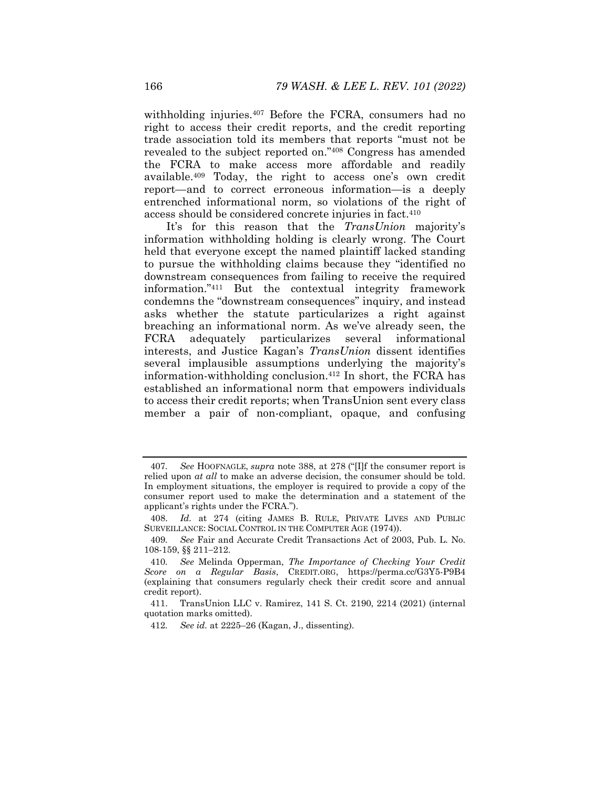withholding injuries.407 Before the FCRA, consumers had no right to access their credit reports, and the credit reporting trade association told its members that reports "must not be revealed to the subject reported on."408 Congress has amended the FCRA to make access more affordable and readily available.409 Today, the right to access one's own credit report—and to correct erroneous information—is a deeply entrenched informational norm, so violations of the right of access should be considered concrete injuries in fact.410

It's for this reason that the *TransUnion* majority's information withholding holding is clearly wrong. The Court held that everyone except the named plaintiff lacked standing to pursue the withholding claims because they "identified no downstream consequences from failing to receive the required information."411 But the contextual integrity framework condemns the "downstream consequences" inquiry, and instead asks whether the statute particularizes a right against breaching an informational norm. As we've already seen, the FCRA adequately particularizes several informational interests, and Justice Kagan's *TransUnion* dissent identifies several implausible assumptions underlying the majority's information-withholding conclusion.412 In short, the FCRA has established an informational norm that empowers individuals to access their credit reports; when TransUnion sent every class member a pair of non-compliant, opaque, and confusing

<sup>407</sup>*. See* HOOFNAGLE, *supra* note 388, at 278 ("[I]f the consumer report is relied upon *at all* to make an adverse decision, the consumer should be told. In employment situations, the employer is required to provide a copy of the consumer report used to make the determination and a statement of the applicant's rights under the FCRA.").

 <sup>408.</sup> *Id.* at 274 (citing JAMES B. RULE, PRIVATE LIVES AND PUBLIC SURVEILLANCE: SOCIAL CONTROL IN THE COMPUTER AGE (1974)).

<sup>409</sup>*. See* Fair and Accurate Credit Transactions Act of 2003, Pub. L. No. 108-159, §§ 211-212.

<sup>410</sup>*. See* Melinda Opperman, *The Importance of Checking Your Credit Score on a Regular Basis*, CREDIT.ORG, https://perma.cc/G3Y5-P9B4 (explaining that consumers regularly check their credit score and annual credit report).

 <sup>411.</sup> TransUnion LLC v. Ramirez, 141 S. Ct. 2190, 2214 (2021) (internal quotation marks omitted).

<sup>412</sup>*. See id.* at 2225–26 (Kagan, J., dissenting).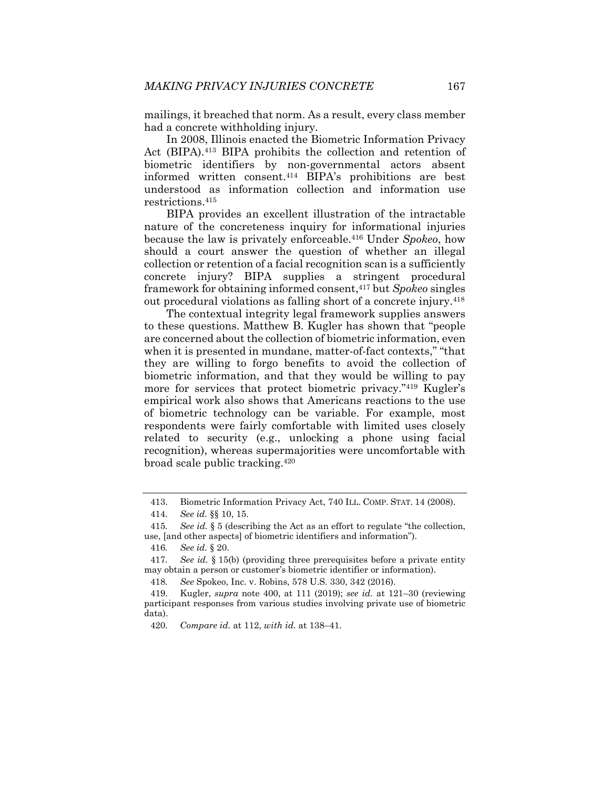mailings, it breached that norm. As a result, every class member had a concrete withholding injury.

In 2008, Illinois enacted the Biometric Information Privacy Act (BIPA).<sup>413</sup> BIPA prohibits the collection and retention of biometric identifiers by non-governmental actors absent informed written consent.414 BIPA's prohibitions are best understood as information collection and information use restrictions.415

BIPA provides an excellent illustration of the intractable nature of the concreteness inquiry for informational injuries because the law is privately enforceable.416 Under *Spokeo*, how should a court answer the question of whether an illegal collection or retention of a facial recognition scan is a sufficiently concrete injury? BIPA supplies a stringent procedural framework for obtaining informed consent,417 but *Spokeo* singles out procedural violations as falling short of a concrete injury.418

The contextual integrity legal framework supplies answers to these questions. Matthew B. Kugler has shown that "people are concerned about the collection of biometric information, even when it is presented in mundane, matter-of-fact contexts," "that they are willing to forgo benefits to avoid the collection of biometric information, and that they would be willing to pay more for services that protect biometric privacy."419 Kugler's empirical work also shows that Americans reactions to the use of biometric technology can be variable. For example, most respondents were fairly comfortable with limited uses closely related to security (e.g., unlocking a phone using facial recognition), whereas supermajorities were uncomfortable with broad scale public tracking.420

418*. See* Spokeo, Inc. v. Robins, 578 U.S. 330, 342 (2016).

 <sup>413.</sup> Biometric Information Privacy Act, 740 ILL. COMP. STAT. 14 (2008).

<sup>414</sup>*. See id.* §§ 10, 15.

<sup>415</sup>*. See id.* § 5 (describing the Act as an effort to regulate "the collection, use, [and other aspects] of biometric identifiers and information").

<sup>416</sup>*. See id.* § 20.

<sup>417</sup>*. See id.* § 15(b) (providing three prerequisites before a private entity may obtain a person or customer's biometric identifier or information).

 <sup>419.</sup> Kugler, *supra* note 400, at 111 (2019); *see id.* at 121–30 (reviewing participant responses from various studies involving private use of biometric data).

<sup>420</sup>*. Compare id.* at 112, *with id.* at 138–41.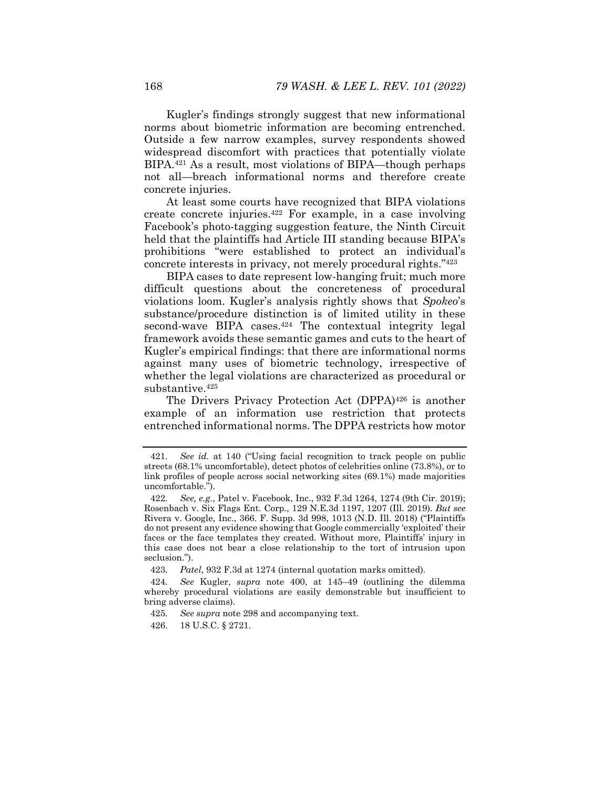Kugler's findings strongly suggest that new informational norms about biometric information are becoming entrenched. Outside a few narrow examples, survey respondents showed widespread discomfort with practices that potentially violate BIPA.421 As a result, most violations of BIPA—though perhaps not all—breach informational norms and therefore create concrete injuries.

At least some courts have recognized that BIPA violations create concrete injuries.422 For example, in a case involving Facebook's photo-tagging suggestion feature, the Ninth Circuit held that the plaintiffs had Article III standing because BIPA's prohibitions "were established to protect an individual's concrete interests in privacy, not merely procedural rights."423

BIPA cases to date represent low-hanging fruit; much more difficult questions about the concreteness of procedural violations loom. Kugler's analysis rightly shows that *Spokeo*'s substance/procedure distinction is of limited utility in these second-wave BIPA cases. $424$  The contextual integrity legal framework avoids these semantic games and cuts to the heart of Kugler's empirical findings: that there are informational norms against many uses of biometric technology, irrespective of whether the legal violations are characterized as procedural or substantive.<sup>425</sup>

The Drivers Privacy Protection Act (DPPA)<sup>426</sup> is another example of an information use restriction that protects entrenched informational norms. The DPPA restricts how motor

<sup>421</sup>*. See id.* at 140 ("Using facial recognition to track people on public streets (68.1% uncomfortable), detect photos of celebrities online (73.8%), or to link profiles of people across social networking sites (69.1%) made majorities uncomfortable.").

<sup>422</sup>*. See, e.g.*, Patel v. Facebook, Inc., 932 F.3d 1264, 1274 (9th Cir. 2019); Rosenbach v. Six Flags Ent. Corp., 129 N.E.3d 1197, 1207 (Ill. 2019). *But see* Rivera v. Google, Inc., 366. F. Supp. 3d 998, 1013 (N.D. Ill. 2018) ("Plaintiffs do not present any evidence showing that Google commercially 'exploited' their faces or the face templates they created. Without more, Plaintiffs' injury in this case does not bear a close relationship to the tort of intrusion upon seclusion.").

<sup>423</sup>*. Patel*, 932 F.3d at 1274 (internal quotation marks omitted).

<sup>424</sup>*. See* Kugler, *supra* note 400, at 145–49 (outlining the dilemma whereby procedural violations are easily demonstrable but insufficient to bring adverse claims).

<sup>425</sup>*. See supra* note 298 and accompanying text.

 <sup>426. 18</sup> U.S.C. § 2721.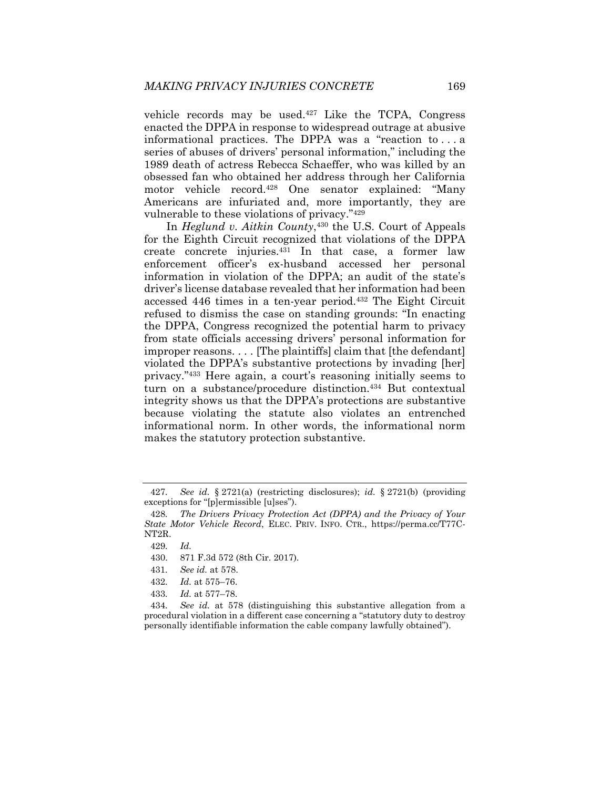vehicle records may be used.427 Like the TCPA, Congress enacted the DPPA in response to widespread outrage at abusive informational practices. The DPPA was a "reaction to . . . a series of abuses of drivers' personal information," including the 1989 death of actress Rebecca Schaeffer, who was killed by an obsessed fan who obtained her address through her California motor vehicle record.428 One senator explained: "Many Americans are infuriated and, more importantly, they are vulnerable to these violations of privacy."429

In *Heglund v. Aitkin County*,430 the U.S. Court of Appeals for the Eighth Circuit recognized that violations of the DPPA create concrete injuries.431 In that case, a former law enforcement officer's ex-husband accessed her personal information in violation of the DPPA; an audit of the state's driver's license database revealed that her information had been accessed 446 times in a ten-year period.432 The Eight Circuit refused to dismiss the case on standing grounds: "In enacting the DPPA, Congress recognized the potential harm to privacy from state officials accessing drivers' personal information for improper reasons. . . . [The plaintiffs] claim that [the defendant] violated the DPPA's substantive protections by invading [her] privacy."433 Here again, a court's reasoning initially seems to turn on a substance/procedure distinction.<sup>434</sup> But contextual integrity shows us that the DPPA's protections are substantive because violating the statute also violates an entrenched informational norm. In other words, the informational norm makes the statutory protection substantive.

<sup>427</sup>*. See id.* § 2721(a) (restricting disclosures); *id.* § 2721(b) (providing exceptions for "[p]ermissible [u]ses").

<sup>428</sup>*. The Drivers Privacy Protection Act (DPPA) and the Privacy of Your State Motor Vehicle Record*, ELEC. PRIV. INFO. CTR., https://perma.cc/T77C-NT2R.

<sup>429</sup>*. Id.*

 <sup>430. 871</sup> F.3d 572 (8th Cir. 2017).

<sup>431</sup>*. See id.* at 578.

<sup>432</sup>*. Id.* at 575–76.

<sup>433</sup>*. Id.* at 577–78.

<sup>434</sup>*. See id.* at 578 (distinguishing this substantive allegation from a procedural violation in a different case concerning a "statutory duty to destroy personally identifiable information the cable company lawfully obtained").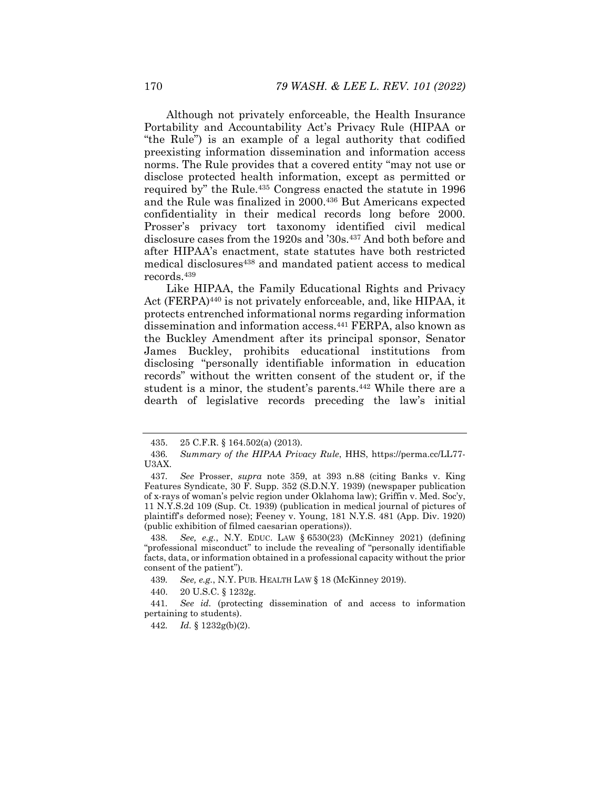Although not privately enforceable, the Health Insurance Portability and Accountability Act's Privacy Rule (HIPAA or "the Rule") is an example of a legal authority that codified preexisting information dissemination and information access norms. The Rule provides that a covered entity "may not use or disclose protected health information, except as permitted or required by" the Rule.<sup>435</sup> Congress enacted the statute in 1996 and the Rule was finalized in 2000.<sup>436</sup> But Americans expected confidentiality in their medical records long before 2000. Prosser's privacy tort taxonomy identified civil medical disclosure cases from the 1920s and '30s.437 And both before and after HIPAA's enactment, state statutes have both restricted medical disclosures<sup>438</sup> and mandated patient access to medical records.439

Like HIPAA, the Family Educational Rights and Privacy Act (FERPA)440 is not privately enforceable, and, like HIPAA, it protects entrenched informational norms regarding information dissemination and information access.441 FERPA, also known as the Buckley Amendment after its principal sponsor, Senator James Buckley, prohibits educational institutions from disclosing "personally identifiable information in education records" without the written consent of the student or, if the student is a minor, the student's parents.442 While there are a dearth of legislative records preceding the law's initial

 <sup>435. 25</sup> C.F.R. § 164.502(a) (2013).

<sup>436</sup>*. Summary of the HIPAA Privacy Rule*, HHS, https://perma.cc/LL77- U3AX.

<sup>437</sup>*. See* Prosser, *supra* note 359, at 393 n.88 (citing Banks v. King Features Syndicate, 30 F. Supp. 352 (S.D.N.Y. 1939) (newspaper publication of x-rays of woman's pelvic region under Oklahoma law); Griffin v. Med. Soc'y, 11 N.Y.S.2d 109 (Sup. Ct. 1939) (publication in medical journal of pictures of plaintiff's deformed nose); Feeney v. Young, 181 N.Y.S. 481 (App. Div. 1920) (public exhibition of filmed caesarian operations)).

<sup>438</sup>*. See, e.g.*, N.Y. EDUC. LAW § 6530(23) (McKinney 2021) (defining "professional misconduct" to include the revealing of "personally identifiable facts, data, or information obtained in a professional capacity without the prior consent of the patient").

<sup>439</sup>*. See, e.g.*, N.Y. PUB. HEALTH LAW § 18 (McKinney 2019).

 <sup>440. 20</sup> U.S.C. § 1232g.

<sup>441</sup>*. See id.* (protecting dissemination of and access to information pertaining to students).

<sup>442</sup>*. Id.* § 1232g(b)(2).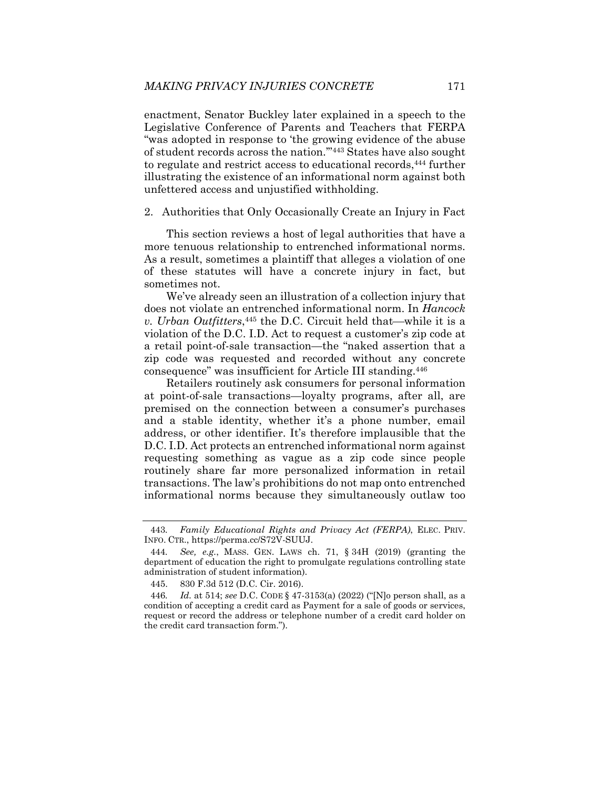enactment, Senator Buckley later explained in a speech to the Legislative Conference of Parents and Teachers that FERPA "was adopted in response to 'the growing evidence of the abuse of student records across the nation.'"443 States have also sought to regulate and restrict access to educational records,444 further illustrating the existence of an informational norm against both unfettered access and unjustified withholding.

2. Authorities that Only Occasionally Create an Injury in Fact

This section reviews a host of legal authorities that have a more tenuous relationship to entrenched informational norms. As a result, sometimes a plaintiff that alleges a violation of one of these statutes will have a concrete injury in fact, but sometimes not.

We've already seen an illustration of a collection injury that does not violate an entrenched informational norm. In *Hancock v. Urban Outfitters*,<sup>445</sup> the D.C. Circuit held that—while it is a violation of the D.C. I.D. Act to request a customer's zip code at a retail point-of-sale transaction—the "naked assertion that a zip code was requested and recorded without any concrete consequence" was insufficient for Article III standing.446

Retailers routinely ask consumers for personal information at point-of-sale transactions—loyalty programs, after all, are premised on the connection between a consumer's purchases and a stable identity, whether it's a phone number, email address, or other identifier. It's therefore implausible that the D.C. I.D. Act protects an entrenched informational norm against requesting something as vague as a zip code since people routinely share far more personalized information in retail transactions. The law's prohibitions do not map onto entrenched informational norms because they simultaneously outlaw too

<sup>443</sup>*. Family Educational Rights and Privacy Act (FERPA)*, ELEC. PRIV. INFO. CTR., https://perma.cc/S72V-SUUJ.

<sup>444</sup>*. See, e.g.*, MASS. GEN. LAWS ch. 71, § 34H (2019) (granting the department of education the right to promulgate regulations controlling state administration of student information).

 <sup>445. 830</sup> F.3d 512 (D.C. Cir. 2016).

<sup>446</sup>*. Id.* at 514; *see* D.C. CODE § 47-3153(a) (2022) ("[N]o person shall, as a condition of accepting a credit card as Payment for a sale of goods or services, request or record the address or telephone number of a credit card holder on the credit card transaction form.").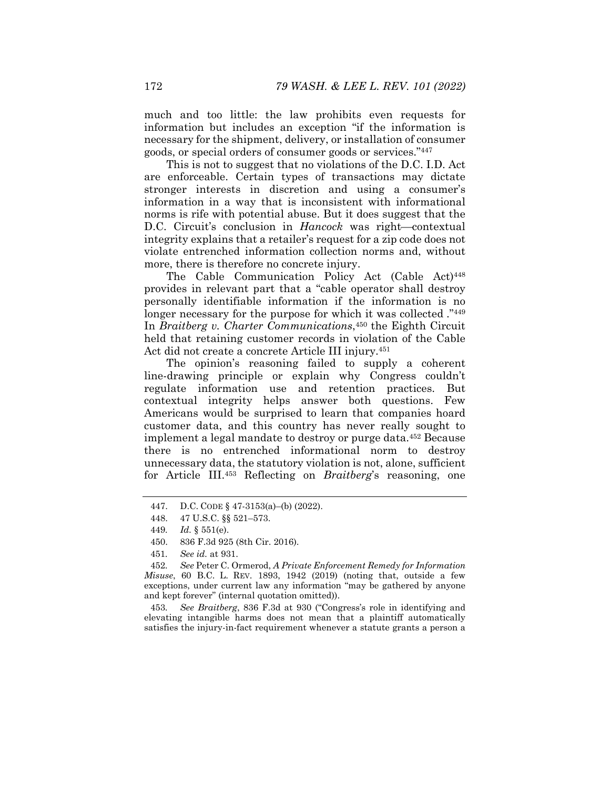much and too little: the law prohibits even requests for information but includes an exception "if the information is necessary for the shipment, delivery, or installation of consumer goods, or special orders of consumer goods or services."447

This is not to suggest that no violations of the D.C. I.D. Act are enforceable. Certain types of transactions may dictate stronger interests in discretion and using a consumer's information in a way that is inconsistent with informational norms is rife with potential abuse. But it does suggest that the D.C. Circuit's conclusion in *Hancock* was right-contextual integrity explains that a retailer's request for a zip code does not violate entrenched information collection norms and, without more, there is therefore no concrete injury.

The Cable Communication Policy Act (Cable Act)<sup>448</sup> provides in relevant part that a "cable operator shall destroy personally identifiable information if the information is no longer necessary for the purpose for which it was collected.<sup>"449</sup> In *Braitberg v. Charter Communications*,450 the Eighth Circuit held that retaining customer records in violation of the Cable Act did not create a concrete Article III injury.451

The opinion's reasoning failed to supply a coherent line-drawing principle or explain why Congress couldn't regulate information use and retention practices. But contextual integrity helps answer both questions. Few Americans would be surprised to learn that companies hoard customer data, and this country has never really sought to implement a legal mandate to destroy or purge data.452 Because there is no entrenched informational norm to destroy unnecessary data, the statutory violation is not, alone, sufficient for Article III.453 Reflecting on *Braitberg*'s reasoning, one

- 450. 836 F.3d 925 (8th Cir. 2016).
- 451*. See id.* at 931.

452*. See* Peter C. Ormerod, *A Private Enforcement Remedy for Information Misuse*, 60 B.C. L. REV. 1893, 1942 (2019) (noting that, outside a few exceptions, under current law any information "may be gathered by anyone and kept forever" (internal quotation omitted)).

453*. See Braitberg*, 836 F.3d at 930 ("Congress's role in identifying and elevating intangible harms does not mean that a plaintiff automatically satisfies the injury-in-fact requirement whenever a statute grants a person a

 <sup>447.</sup> D.C. CODE § 47-3153(a)–(b) (2022).

 <sup>448. 47</sup> U.S.C. §§ 521–573.

<sup>449</sup>*. Id.* § 551(e).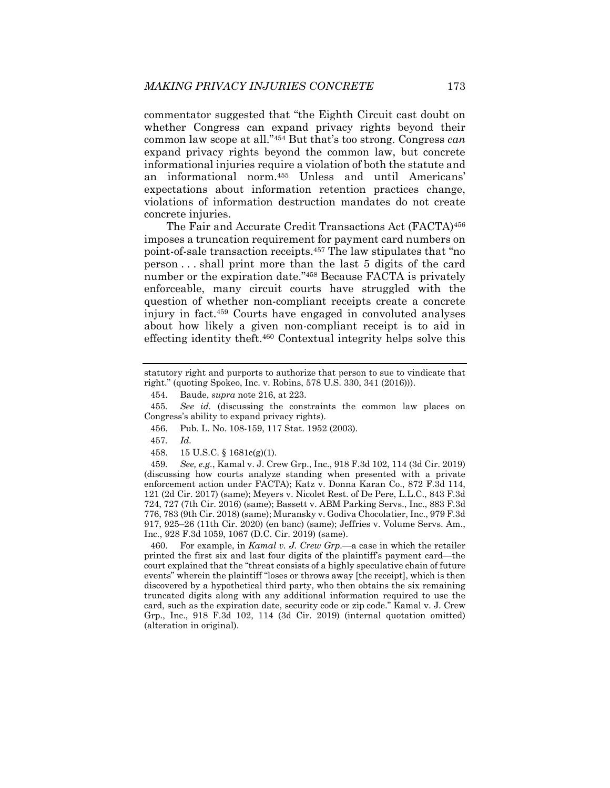commentator suggested that "the Eighth Circuit cast doubt on whether Congress can expand privacy rights beyond their common law scope at all."454 But that's too strong. Congress *can* expand privacy rights beyond the common law, but concrete informational injuries require a violation of both the statute and an informational norm.455 Unless and until Americans' expectations about information retention practices change, violations of information destruction mandates do not create concrete injuries.

The Fair and Accurate Credit Transactions Act (FACTA)456 imposes a truncation requirement for payment card numbers on point-of-sale transaction receipts.457 The law stipulates that "no person . . . shall print more than the last 5 digits of the card number or the expiration date."458 Because FACTA is privately enforceable, many circuit courts have struggled with the question of whether non-compliant receipts create a concrete injury in fact.459 Courts have engaged in convoluted analyses about how likely a given non-compliant receipt is to aid in effecting identity theft.460 Contextual integrity helps solve this

- 456. Pub. L. No. 108-159, 117 Stat. 1952 (2003).
- 457*. Id.*
- 458. 15 U.S.C. § 1681c(g)(1).

459*. See, e.g.*, Kamal v. J. Crew Grp., Inc., 918 F.3d 102, 114 (3d Cir. 2019) (discussing how courts analyze standing when presented with a private enforcement action under FACTA); Katz v. Donna Karan Co., 872 F.3d 114, 121 (2d Cir. 2017) (same); Meyers v. Nicolet Rest. of De Pere, L.L.C., 843 F.3d 724, 727 (7th Cir. 2016) (same); Bassett v. ABM Parking Servs., Inc., 883 F.3d 776, 783 (9th Cir. 2018) (same); Muransky v. Godiva Chocolatier, Inc., 979 F.3d 917, 925–26 (11th Cir. 2020) (en banc) (same); Jeffries v. Volume Servs. Am., Inc*.*, 928 F.3d 1059, 1067 (D.C. Cir. 2019) (same).

460. For example, in *Kamal v. J. Crew Grp*.—a case in which the retailer printed the first six and last four digits of the plaintiff's payment card—the court explained that the "threat consists of a highly speculative chain of future events" wherein the plaintiff "loses or throws away [the receipt], which is then discovered by a hypothetical third party, who then obtains the six remaining truncated digits along with any additional information required to use the card, such as the expiration date, security code or zip code." Kamal v. J. Crew Grp., Inc., 918 F.3d 102, 114 (3d Cir. 2019) (internal quotation omitted) (alteration in original).

statutory right and purports to authorize that person to sue to vindicate that right." (quoting Spokeo, Inc. v. Robins, 578 U.S. 330, 341 (2016))).

 <sup>454.</sup> Baude, *supra* note 216, at 223.

<sup>455</sup>*. See id.* (discussing the constraints the common law places on Congress's ability to expand privacy rights).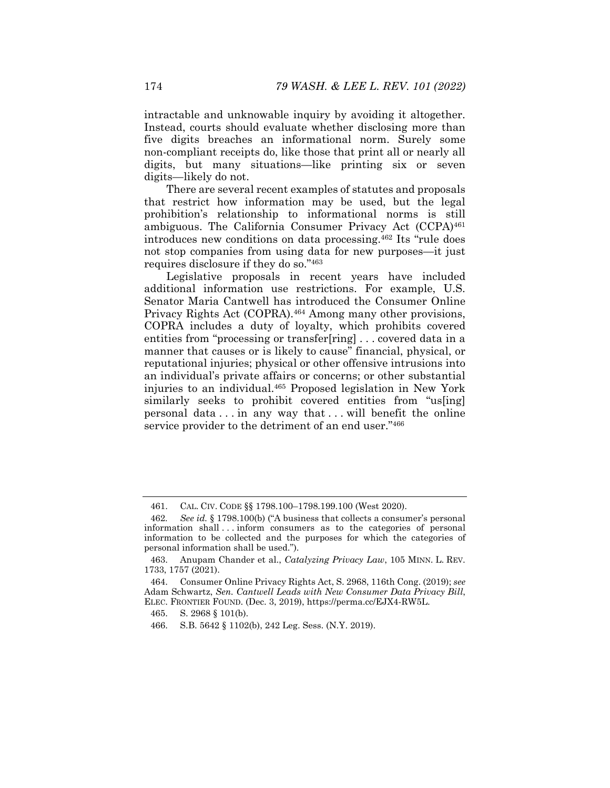intractable and unknowable inquiry by avoiding it altogether. Instead, courts should evaluate whether disclosing more than five digits breaches an informational norm. Surely some non-compliant receipts do, like those that print all or nearly all digits, but many situations—like printing six or seven digits—likely do not.

There are several recent examples of statutes and proposals that restrict how information may be used, but the legal prohibition's relationship to informational norms is still ambiguous. The California Consumer Privacy Act (CCPA)<sup>461</sup> introduces new conditions on data processing.462 Its "rule does not stop companies from using data for new purposes—it just requires disclosure if they do so."463

Legislative proposals in recent years have included additional information use restrictions. For example, U.S. Senator Maria Cantwell has introduced the Consumer Online Privacy Rights Act (COPRA).464 Among many other provisions, COPRA includes a duty of loyalty, which prohibits covered entities from "processing or transfer[ring] . . . covered data in a manner that causes or is likely to cause" financial, physical, or reputational injuries; physical or other offensive intrusions into an individual's private affairs or concerns; or other substantial injuries to an individual.465 Proposed legislation in New York similarly seeks to prohibit covered entities from "us[ing] personal data . . . in any way that . . . will benefit the online service provider to the detriment of an end user."466

 <sup>461.</sup> CAL. CIV. CODE §§ 1798.100–1798.199.100 (West 2020).

<sup>462</sup>*. See id.* § 1798.100(b) ("A business that collects a consumer's personal information shall . . . inform consumers as to the categories of personal information to be collected and the purposes for which the categories of personal information shall be used.").

 <sup>463.</sup> Anupam Chander et al., *Catalyzing Privacy Law*, 105 MINN. L. REV. 1733, 1757 (2021).

 <sup>464.</sup> Consumer Online Privacy Rights Act, S. 2968, 116th Cong. (2019); *see*  Adam Schwartz, *Sen. Cantwell Leads with New Consumer Data Privacy Bill*, ELEC. FRONTIER FOUND. (Dec. 3, 2019), https://perma.cc/EJX4-RW5L.

 <sup>465.</sup> S. 2968 § 101(b).

 <sup>466.</sup> S.B. 5642 § 1102(b), 242 Leg. Sess. (N.Y. 2019).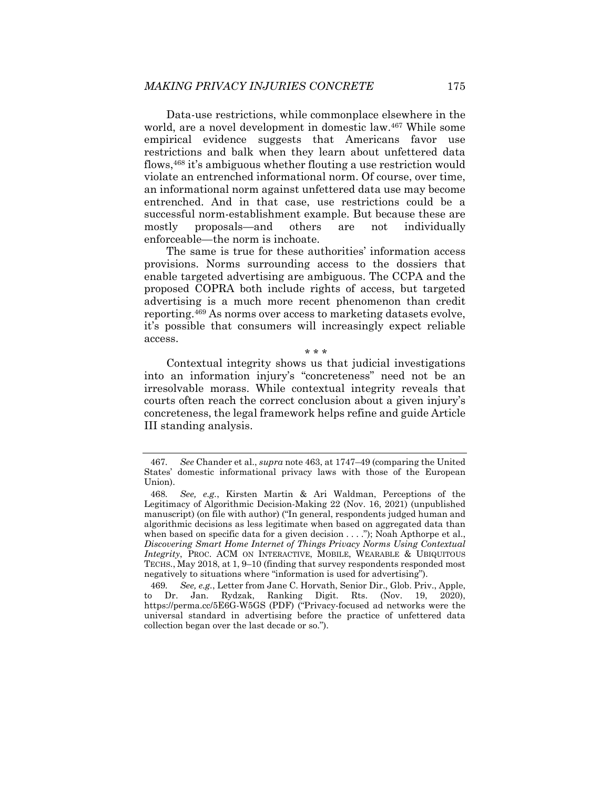Data-use restrictions, while commonplace elsewhere in the world, are a novel development in domestic law.<sup>467</sup> While some empirical evidence suggests that Americans favor use restrictions and balk when they learn about unfettered data flows,468 it's ambiguous whether flouting a use restriction would violate an entrenched informational norm. Of course, over time, an informational norm against unfettered data use may become entrenched. And in that case, use restrictions could be a successful norm-establishment example. But because these are mostly proposals—and others are not individually enforceable—the norm is inchoate.

The same is true for these authorities' information access provisions. Norms surrounding access to the dossiers that enable targeted advertising are ambiguous. The CCPA and the proposed COPRA both include rights of access, but targeted advertising is a much more recent phenomenon than credit reporting.469 As norms over access to marketing datasets evolve, it's possible that consumers will increasingly expect reliable access.

Contextual integrity shows us that judicial investigations into an information injury's "concreteness" need not be an irresolvable morass. While contextual integrity reveals that courts often reach the correct conclusion about a given injury's concreteness, the legal framework helps refine and guide Article III standing analysis.

\* \* \*

<sup>467</sup>*. See* Chander et al., *supra* note 463, at 1747–49 (comparing the United States' domestic informational privacy laws with those of the European Union).

<sup>468</sup>*. See, e.g.*, Kirsten Martin & Ari Waldman, Perceptions of the Legitimacy of Algorithmic Decision-Making 22 (Nov. 16, 2021) (unpublished manuscript) (on file with author) ("In general, respondents judged human and algorithmic decisions as less legitimate when based on aggregated data than when based on specific data for a given decision . . . ."); Noah Apthorpe et al., *Discovering Smart Home Internet of Things Privacy Norms Using Contextual Integrity*, PROC. ACM ON INTERACTIVE, MOBILE, WEARABLE & UBIQUITOUS TECHS., May 2018, at 1, 9–10 (finding that survey respondents responded most negatively to situations where "information is used for advertising").

<sup>469</sup>*. See, e.g.*, Letter from Jane C. Horvath, Senior Dir., Glob. Priv., Apple, to Dr. Jan. Rydzak, Ranking Digit. Rts. (Nov. 19, 2020), https://perma.cc/5E6G-W5GS (PDF) ("Privacy-focused ad networks were the universal standard in advertising before the practice of unfettered data collection began over the last decade or so.").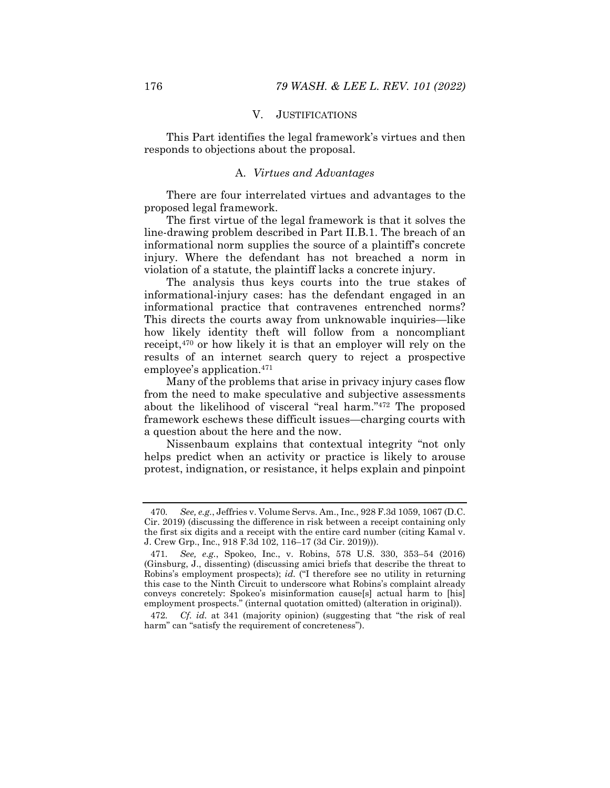## V. JUSTIFICATIONS

This Part identifies the legal framework's virtues and then responds to objections about the proposal.

## A. *Virtues and Advantages*

There are four interrelated virtues and advantages to the proposed legal framework.

The first virtue of the legal framework is that it solves the line-drawing problem described in Part II.B.1. The breach of an informational norm supplies the source of a plaintiff's concrete injury. Where the defendant has not breached a norm in violation of a statute, the plaintiff lacks a concrete injury.

The analysis thus keys courts into the true stakes of informational-injury cases: has the defendant engaged in an informational practice that contravenes entrenched norms? This directs the courts away from unknowable inquiries—like how likely identity theft will follow from a noncompliant receipt,470 or how likely it is that an employer will rely on the results of an internet search query to reject a prospective employee's application.471

Many of the problems that arise in privacy injury cases flow from the need to make speculative and subjective assessments about the likelihood of visceral "real harm."472 The proposed framework eschews these difficult issues—charging courts with a question about the here and the now.

Nissenbaum explains that contextual integrity "not only helps predict when an activity or practice is likely to arouse protest, indignation, or resistance, it helps explain and pinpoint

<sup>470</sup>*. See, e.g.*, Jeffries v. Volume Servs. Am., Inc*.*, 928 F.3d 1059, 1067 (D.C. Cir. 2019) (discussing the difference in risk between a receipt containing only the first six digits and a receipt with the entire card number (citing Kamal v. J. Crew Grp., Inc., 918 F.3d 102, 116–17 (3d Cir. 2019))).

<sup>471</sup>*. See, e.g.*, Spokeo, Inc., v. Robins, 578 U.S. 330, 353–54 (2016) (Ginsburg, J., dissenting) (discussing amici briefs that describe the threat to Robins's employment prospects); *id.* ("I therefore see no utility in returning this case to the Ninth Circuit to underscore what Robins's complaint already conveys concretely: Spokeo's misinformation cause[s] actual harm to [his] employment prospects." (internal quotation omitted) (alteration in original)).

<sup>472</sup>*. Cf. id.* at 341 (majority opinion) (suggesting that "the risk of real harm" can "satisfy the requirement of concreteness").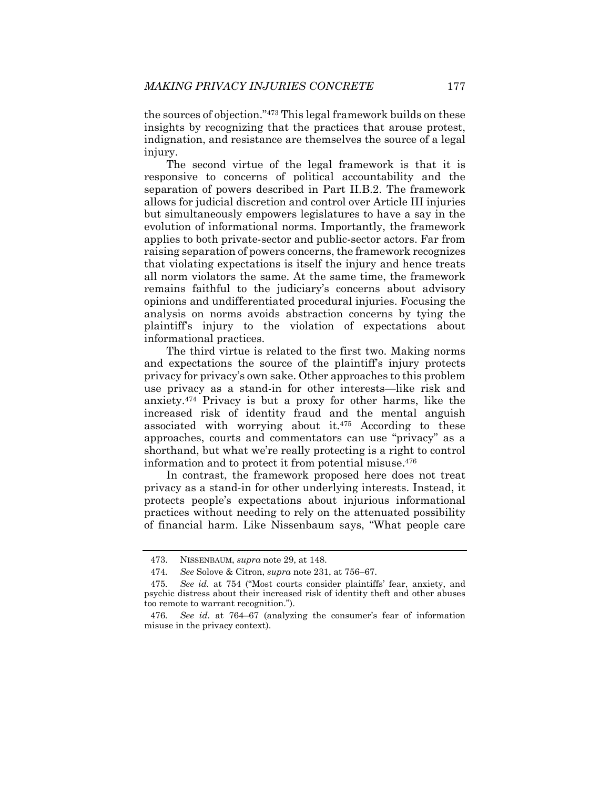the sources of objection."473 This legal framework builds on these insights by recognizing that the practices that arouse protest, indignation, and resistance are themselves the source of a legal injury.

The second virtue of the legal framework is that it is responsive to concerns of political accountability and the separation of powers described in Part II.B.2. The framework allows for judicial discretion and control over Article III injuries but simultaneously empowers legislatures to have a say in the evolution of informational norms. Importantly, the framework applies to both private-sector and public-sector actors. Far from raising separation of powers concerns, the framework recognizes that violating expectations is itself the injury and hence treats all norm violators the same. At the same time, the framework remains faithful to the judiciary's concerns about advisory opinions and undifferentiated procedural injuries. Focusing the analysis on norms avoids abstraction concerns by tying the plaintiff's injury to the violation of expectations about informational practices.

The third virtue is related to the first two. Making norms and expectations the source of the plaintiff's injury protects privacy for privacy's own sake. Other approaches to this problem use privacy as a stand-in for other interests—like risk and anxiety.474 Privacy is but a proxy for other harms, like the increased risk of identity fraud and the mental anguish associated with worrying about it. $475$  According to these approaches, courts and commentators can use "privacy" as a shorthand, but what we're really protecting is a right to control information and to protect it from potential misuse.476

In contrast, the framework proposed here does not treat privacy as a stand-in for other underlying interests. Instead, it protects people's expectations about injurious informational practices without needing to rely on the attenuated possibility of financial harm. Like Nissenbaum says, "What people care

 <sup>473.</sup> NISSENBAUM, *supra* note 29, at 148.

<sup>474</sup>*. See* Solove & Citron, *supra* note 231, at 756–67.

<sup>475</sup>*. See id.* at 754 ("Most courts consider plaintiffs' fear, anxiety, and psychic distress about their increased risk of identity theft and other abuses too remote to warrant recognition.").

<sup>476</sup>*. See id.* at 764–67 (analyzing the consumer's fear of information misuse in the privacy context).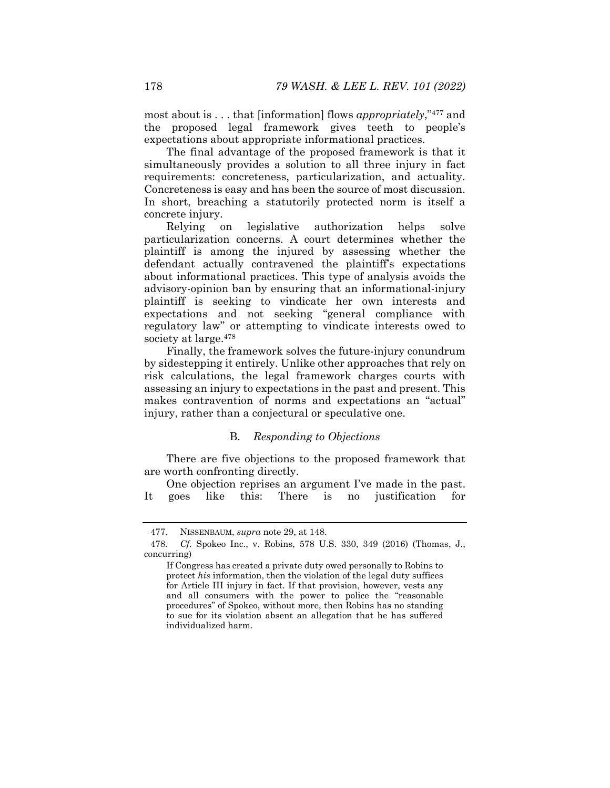most about is . . . that [information] flows *appropriately*,"477 and the proposed legal framework gives teeth to people's expectations about appropriate informational practices.

The final advantage of the proposed framework is that it simultaneously provides a solution to all three injury in fact requirements: concreteness, particularization, and actuality. Concreteness is easy and has been the source of most discussion. In short, breaching a statutorily protected norm is itself a concrete injury.

Relying on legislative authorization helps solve particularization concerns. A court determines whether the plaintiff is among the injured by assessing whether the defendant actually contravened the plaintiff's expectations about informational practices. This type of analysis avoids the advisory-opinion ban by ensuring that an informational-injury plaintiff is seeking to vindicate her own interests and expectations and not seeking "general compliance with regulatory law" or attempting to vindicate interests owed to society at large.478

Finally, the framework solves the future-injury conundrum by sidestepping it entirely. Unlike other approaches that rely on risk calculations, the legal framework charges courts with assessing an injury to expectations in the past and present. This makes contravention of norms and expectations an "actual" injury, rather than a conjectural or speculative one.

## B. *Responding to Objections*

There are five objections to the proposed framework that are worth confronting directly.

One objection reprises an argument I've made in the past. It goes like this: There is no justification for

 <sup>477.</sup> NISSENBAUM, *supra* note 29, at 148.

<sup>478</sup>*. Cf.* Spokeo Inc., v. Robins, 578 U.S. 330, 349 (2016) (Thomas, J., concurring)

If Congress has created a private duty owed personally to Robins to protect *his* information, then the violation of the legal duty suffices for Article III injury in fact. If that provision, however, vests any and all consumers with the power to police the "reasonable procedures" of Spokeo, without more, then Robins has no standing to sue for its violation absent an allegation that he has suffered individualized harm.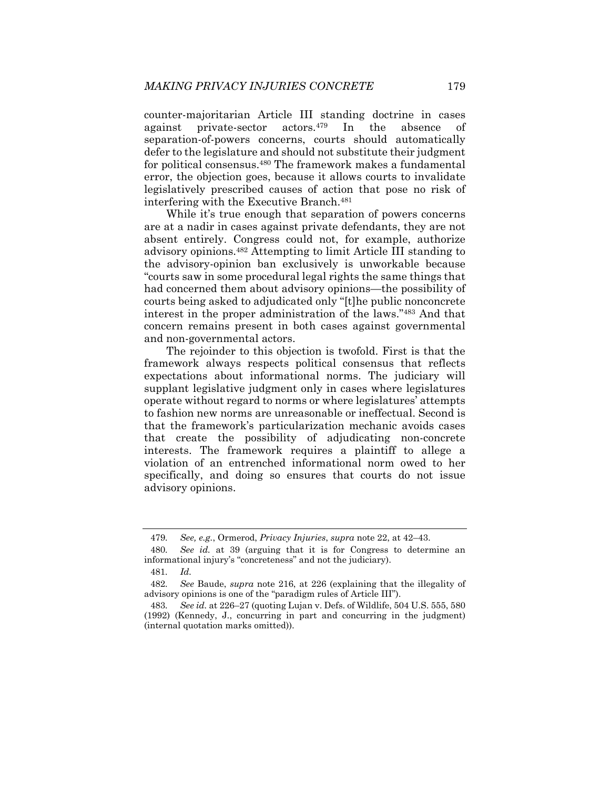counter-majoritarian Article III standing doctrine in cases against private-sector actors.479 In the absence of separation-of-powers concerns, courts should automatically defer to the legislature and should not substitute their judgment for political consensus.480 The framework makes a fundamental error, the objection goes, because it allows courts to invalidate legislatively prescribed causes of action that pose no risk of interfering with the Executive Branch.<sup>481</sup>

While it's true enough that separation of powers concerns are at a nadir in cases against private defendants, they are not absent entirely. Congress could not, for example, authorize advisory opinions.482 Attempting to limit Article III standing to the advisory-opinion ban exclusively is unworkable because "courts saw in some procedural legal rights the same things that had concerned them about advisory opinions—the possibility of courts being asked to adjudicated only "[t]he public nonconcrete interest in the proper administration of the laws."483 And that concern remains present in both cases against governmental and non-governmental actors.

The rejoinder to this objection is twofold. First is that the framework always respects political consensus that reflects expectations about informational norms. The judiciary will supplant legislative judgment only in cases where legislatures operate without regard to norms or where legislatures' attempts to fashion new norms are unreasonable or ineffectual. Second is that the framework's particularization mechanic avoids cases that create the possibility of adjudicating non-concrete interests. The framework requires a plaintiff to allege a violation of an entrenched informational norm owed to her specifically, and doing so ensures that courts do not issue advisory opinions.

<sup>479</sup>*. See, e.g.*, Ormerod, *Privacy Injuries*, *supra* note 22, at 42–43.

<sup>480</sup>*. See id.* at 39 (arguing that it is for Congress to determine an informational injury's "concreteness" and not the judiciary).

<sup>481</sup>*. Id.*

<sup>482</sup>*. See* Baude, *supra* note 216, at 226 (explaining that the illegality of advisory opinions is one of the "paradigm rules of Article III").

<sup>483</sup>*. See id.* at 226–27 (quoting Lujan v. Defs. of Wildlife, 504 U.S. 555, 580 (1992) (Kennedy, J., concurring in part and concurring in the judgment) (internal quotation marks omitted)).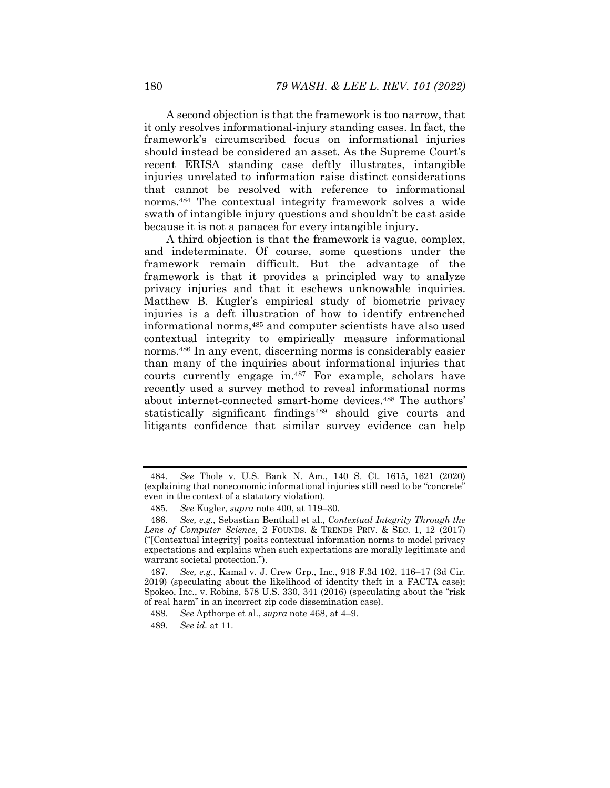A second objection is that the framework is too narrow, that it only resolves informational-injury standing cases. In fact, the framework's circumscribed focus on informational injuries should instead be considered an asset. As the Supreme Court's recent ERISA standing case deftly illustrates, intangible injuries unrelated to information raise distinct considerations that cannot be resolved with reference to informational norms.484 The contextual integrity framework solves a wide swath of intangible injury questions and shouldn't be cast aside because it is not a panacea for every intangible injury.

A third objection is that the framework is vague, complex, and indeterminate. Of course, some questions under the framework remain difficult. But the advantage of the framework is that it provides a principled way to analyze privacy injuries and that it eschews unknowable inquiries. Matthew B. Kugler's empirical study of biometric privacy injuries is a deft illustration of how to identify entrenched informational norms,485 and computer scientists have also used contextual integrity to empirically measure informational norms.486 In any event, discerning norms is considerably easier than many of the inquiries about informational injuries that courts currently engage in.487 For example, scholars have recently used a survey method to reveal informational norms about internet-connected smart-home devices.488 The authors' statistically significant findings<sup>489</sup> should give courts and litigants confidence that similar survey evidence can help

<sup>484</sup>*. See* Thole v. U.S. Bank N. Am., 140 S. Ct. 1615, 1621 (2020) (explaining that noneconomic informational injuries still need to be "concrete" even in the context of a statutory violation).

<sup>485</sup>*. See* Kugler, *supra* note 400, at 119–30.

<sup>486</sup>*. See, e.g.*, Sebastian Benthall et al., *Contextual Integrity Through the Lens of Computer Science*, 2 FOUNDS. & TRENDS PRIV. & SEC. 1, 12 (2017) ("[Contextual integrity] posits contextual information norms to model privacy expectations and explains when such expectations are morally legitimate and warrant societal protection.").

<sup>487</sup>*. See, e.g.*, Kamal v. J. Crew Grp., Inc., 918 F.3d 102, 116–17 (3d Cir. 2019) (speculating about the likelihood of identity theft in a FACTA case); Spokeo, Inc., v. Robins, 578 U.S. 330, 341 (2016) (speculating about the "risk of real harm" in an incorrect zip code dissemination case).

<sup>488</sup>*. See* Apthorpe et al., *supra* note 468, at 4–9.

<sup>489</sup>*. See id.* at 11.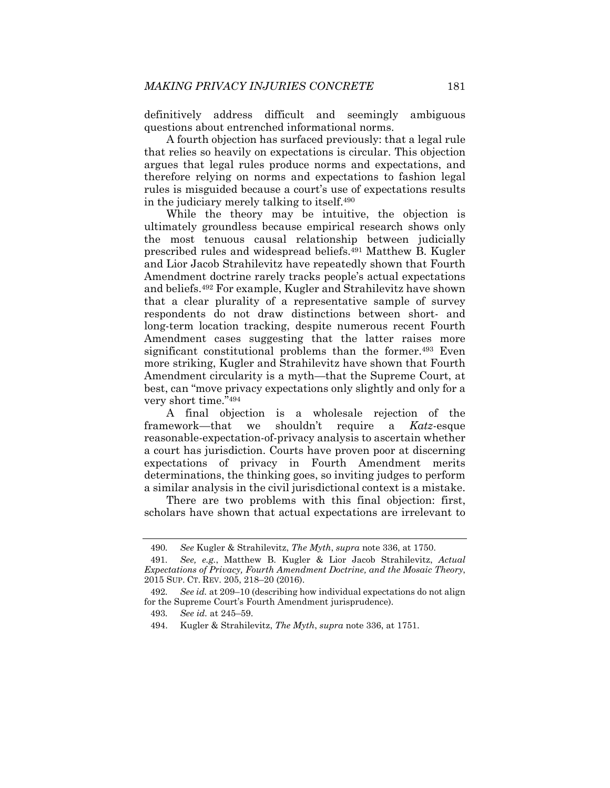definitively address difficult and seemingly ambiguous questions about entrenched informational norms.

A fourth objection has surfaced previously: that a legal rule that relies so heavily on expectations is circular. This objection argues that legal rules produce norms and expectations, and therefore relying on norms and expectations to fashion legal rules is misguided because a court's use of expectations results in the judiciary merely talking to itself.490

While the theory may be intuitive, the objection is ultimately groundless because empirical research shows only the most tenuous causal relationship between judicially prescribed rules and widespread beliefs.491 Matthew B. Kugler and Lior Jacob Strahilevitz have repeatedly shown that Fourth Amendment doctrine rarely tracks people's actual expectations and beliefs.492 For example, Kugler and Strahilevitz have shown that a clear plurality of a representative sample of survey respondents do not draw distinctions between short- and long-term location tracking, despite numerous recent Fourth Amendment cases suggesting that the latter raises more significant constitutional problems than the former.<sup>493</sup> Even more striking, Kugler and Strahilevitz have shown that Fourth Amendment circularity is a myth—that the Supreme Court, at best, can "move privacy expectations only slightly and only for a very short time."494

A final objection is a wholesale rejection of the framework—that we shouldn't require a *Katz*-esque reasonable-expectation-of-privacy analysis to ascertain whether a court has jurisdiction. Courts have proven poor at discerning expectations of privacy in Fourth Amendment merits determinations, the thinking goes, so inviting judges to perform a similar analysis in the civil jurisdictional context is a mistake.

There are two problems with this final objection: first, scholars have shown that actual expectations are irrelevant to

<sup>490</sup>*. See* Kugler & Strahilevitz, *The Myth*, *supra* note 336, at 1750.

<sup>491</sup>*. See, e.g.*, Matthew B. Kugler & Lior Jacob Strahilevitz, *Actual Expectations of Privacy, Fourth Amendment Doctrine, and the Mosaic Theory*, 2015 SUP. CT. REV. 205, 218–20 (2016).

<sup>492</sup>*. See id.* at 209–10 (describing how individual expectations do not align for the Supreme Court's Fourth Amendment jurisprudence).

<sup>493</sup>*. See id.* at 245–59.

 <sup>494.</sup> Kugler & Strahilevitz, *The Myth*, *supra* note 336, at 1751.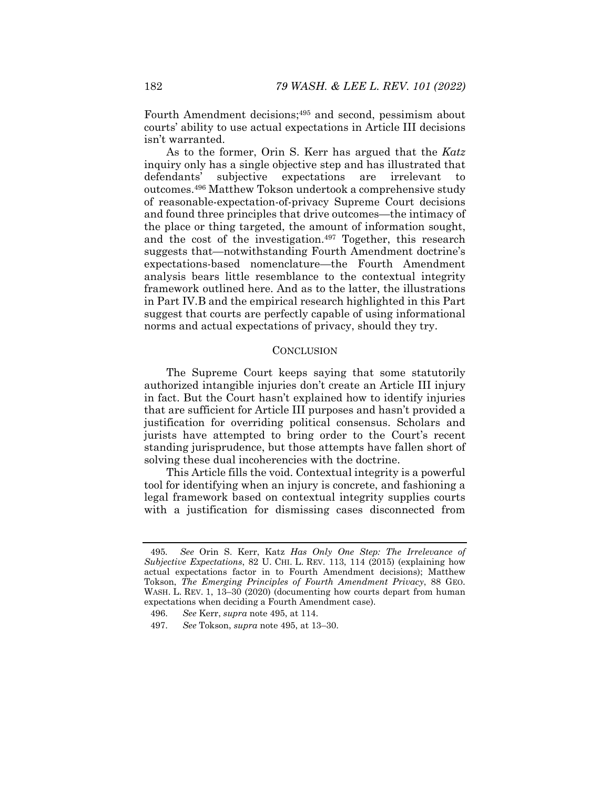Fourth Amendment decisions;<sup>495</sup> and second, pessimism about courts' ability to use actual expectations in Article III decisions isn't warranted.

As to the former, Orin S. Kerr has argued that the *Katz* inquiry only has a single objective step and has illustrated that defendants' subjective expectations are irrelevant to outcomes.496 Matthew Tokson undertook a comprehensive study of reasonable-expectation-of-privacy Supreme Court decisions and found three principles that drive outcomes—the intimacy of the place or thing targeted, the amount of information sought, and the cost of the investigation.497 Together, this research suggests that—notwithstanding Fourth Amendment doctrine's expectations-based nomenclature—the Fourth Amendment analysis bears little resemblance to the contextual integrity framework outlined here. And as to the latter, the illustrations in Part IV.B and the empirical research highlighted in this Part suggest that courts are perfectly capable of using informational norms and actual expectations of privacy, should they try.

## **CONCLUSION**

The Supreme Court keeps saying that some statutorily authorized intangible injuries don't create an Article III injury in fact. But the Court hasn't explained how to identify injuries that are sufficient for Article III purposes and hasn't provided a justification for overriding political consensus. Scholars and jurists have attempted to bring order to the Court's recent standing jurisprudence, but those attempts have fallen short of solving these dual incoherencies with the doctrine.

This Article fills the void. Contextual integrity is a powerful tool for identifying when an injury is concrete, and fashioning a legal framework based on contextual integrity supplies courts with a justification for dismissing cases disconnected from

<sup>495</sup>*. See* Orin S. Kerr, Katz *Has Only One Step: The Irrelevance of Subjective Expectations*, 82 U. CHI. L. REV. 113, 114 (2015) (explaining how actual expectations factor in to Fourth Amendment decisions); Matthew Tokson, *The Emerging Principles of Fourth Amendment Privacy*, 88 GEO. WASH. L. REV. 1, 13–30 (2020) (documenting how courts depart from human expectations when deciding a Fourth Amendment case).

 <sup>496.</sup> *See* Kerr, *supra* note 495, at 114.

 <sup>497.</sup> *See* Tokson, *supra* note 495, at 13–30.